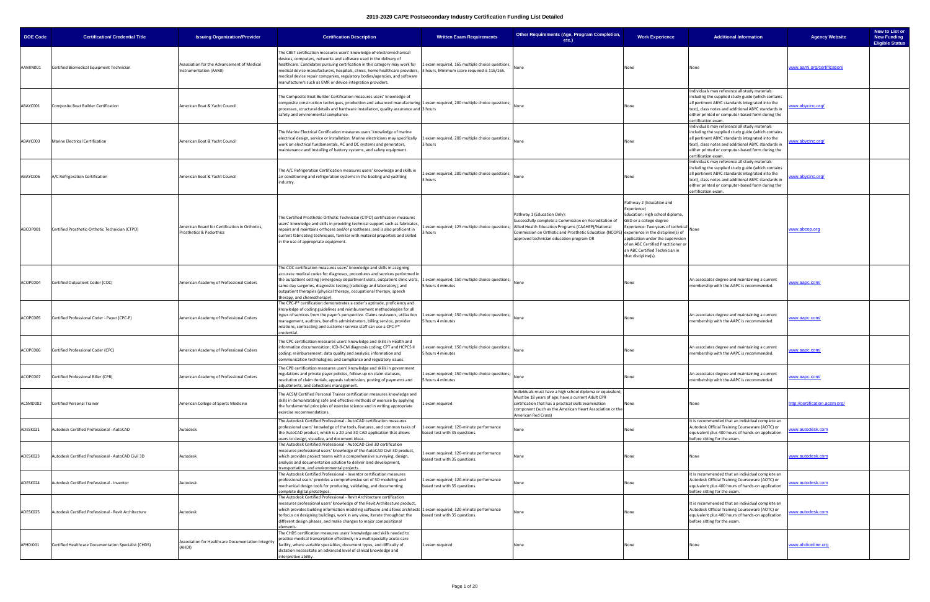| <b>DOE Code</b> | <b>Certification/ Credential Title</b>               | <b>Issuing Organization/Provider</b>                                       | <b>Certification Description</b>                                                                                                                                                                                                                                                                                                                                                                                                                                          | <b>Written Exam Requirements</b>                                                               | Other Requirements (Age, Program Completion,<br>$etc.$ )                                                                                                                                                                                                                                                                            | <b>Work Experience</b>                                                                                                                                                                                                                                                          | <b>Additional Information</b>                                                                                                                                                                                                                                                             | <b>Agency Website</b>          | New to List or<br><b>New Funding</b><br><b>Eligible Status</b> |
|-----------------|------------------------------------------------------|----------------------------------------------------------------------------|---------------------------------------------------------------------------------------------------------------------------------------------------------------------------------------------------------------------------------------------------------------------------------------------------------------------------------------------------------------------------------------------------------------------------------------------------------------------------|------------------------------------------------------------------------------------------------|-------------------------------------------------------------------------------------------------------------------------------------------------------------------------------------------------------------------------------------------------------------------------------------------------------------------------------------|---------------------------------------------------------------------------------------------------------------------------------------------------------------------------------------------------------------------------------------------------------------------------------|-------------------------------------------------------------------------------------------------------------------------------------------------------------------------------------------------------------------------------------------------------------------------------------------|--------------------------------|----------------------------------------------------------------|
| AAMIN001        | Certified Biomedical Equipment Technician            | Association for the Advancement of Medical<br>Instrumentation (AAMI)       | The CBET certification measures users' knowledge of electromechanical<br>devices, computers, networks and software used in the delivery of<br>healthcare. Candidates pursuing certification in this category may work for<br>medical device manufacturers, hospitals, clinics, home healthcare providers,<br>medical device repair companies, regulatory bodies/agencies, and software<br>manufacturers such as EMR or device integration providers.                      | 1 exam required, 165 multiple choice questions,<br>3 hours, Minimum score required is 116/165. | None                                                                                                                                                                                                                                                                                                                                | None                                                                                                                                                                                                                                                                            | None                                                                                                                                                                                                                                                                                      | www.aami.org/certification/    |                                                                |
| ABAYC001        | Composite Boat Builder Certification                 | American Boat & Yacht Council                                              | The Composite Boat Builder Certification measures users' knowledge of<br>composite construction techniques, production and advanced manufacturing 1 exam required, 200 multiple choice questions; $\big _{\rm None}$<br>processes, structural details and hardware installation, quality assurance and 3 hours<br>safety and environmental compliance.                                                                                                                    |                                                                                                |                                                                                                                                                                                                                                                                                                                                     | None                                                                                                                                                                                                                                                                            | Individuals may reference all study materials<br>including the supplied study guide (which contains<br>all pertinent ABYC standards integrated into the<br>text), class notes and additional ABYC standards in<br>either printed or computer-based form during the<br>certification exam. | ww.abycinc.org/                |                                                                |
| ABAYC003        | <b>Marine Electrical Certification</b>               | American Boat & Yacht Council                                              | The Marine Electrical Certification measures users' knowledge of marine<br>electrical design, service or installation. Marine electricians may specifically<br>work on electrical fundamentals, AC and DC systems and generators,<br>maintenance and Installing of battery systems, and safety equipment.                                                                                                                                                                 | 1 exam required, 200 multiple choice questions;<br>3 hours                                     | None                                                                                                                                                                                                                                                                                                                                | None                                                                                                                                                                                                                                                                            | ndividuals may reference all study materials<br>including the supplied study guide (which contains<br>all pertinent ABYC standards integrated into the<br>text), class notes and additional ABYC standards in<br>either printed or computer-based form during the<br>certification exam.  | ww.abycinc.org/                |                                                                |
| ABAYC006        | A/C Refrigeration Certification                      | American Boat & Yacht Council                                              | The A/C Refrigeration Certification measures users' knowledge and skills in<br>air conditioning and refrigeration systems in the boating and yachting<br>industry.                                                                                                                                                                                                                                                                                                        | 1 exam required, 200 multiple choice questions;<br>3 hours                                     |                                                                                                                                                                                                                                                                                                                                     | None                                                                                                                                                                                                                                                                            | Individuals may reference all study materials<br>including the supplied study guide (which contains<br>all pertinent ABYC standards integrated into the<br>text), class notes and additional ABYC standards in<br>either printed or computer-based form during the<br>certification exam. | ww.abycinc.org/                |                                                                |
| ABCOP001        | Certified Prosthetic-Orthotic Technician (CTPO)      | American Board for Certification in Orthotics,<br>Prosthetics & Pedorthics | The Certified Prosthetic-Orthotic Technician (CTPO) certification measures<br>users' knowledge and skills in providing technical support such as fabricates<br>repairs and maintains orthoses and/or prostheses; and is also proficient in<br>current fabricating techniques, familiar with material properties and skilled<br>in the use of appropriate equipment                                                                                                        | 3 hours                                                                                        | Pathway 1 (Education Only):<br>Successfully complete a Commission on Accreditation of<br>exam required; 125 multiple choice questions; Allied Health Education Programs (CAAHEP)/National<br>Commission on Orthotic and Prosthetic Education (NCOPE) experience in the discipline(s) of<br>approved technician education program OR | Pathway 2 (Education and<br>Experience)<br>Education: High school diploma,<br>GED or a college degree<br>Experience: Two years of technical<br>application under the supervision<br>of an ABC Certified Practitioner o<br>an ABC Certified Technician in<br>that discipline(s). | None                                                                                                                                                                                                                                                                                      | www.abcop.org                  |                                                                |
| ACOPC004        | Certified Outpatient Coder (COC)                     | American Academy of Professional Coders                                    | The COC certification measures users' knowledge and skills in assigning<br>accurate medical codes for diagnoses, procedures and services performed ir<br>the outpatient setting (emergency department visits, outpatient clinic visits, 1 exam required; 150 multiple choice questions; 1<br>same day surgeries, diagnostic testing (radiology and laboratory), and<br>outpatient therapies (physical therapy, occupational therapy, speech<br>herapy, and chemotherapy). | 5 hours 4 minutes                                                                              | None                                                                                                                                                                                                                                                                                                                                | None                                                                                                                                                                                                                                                                            | An associates degree and maintaining a current<br>membership with the AAPC is recommended.                                                                                                                                                                                                | www.aapc.com/                  |                                                                |
| ACOPC005        | Certified Professional Coder - Payer (CPC-P)         | American Academy of Professional Coders                                    | The CPC-P® certification demonstrates a coder's aptitude, proficiency and<br>knowledge of coding guidelines and reimbursement methodologies for all<br>types of services from the payer's perspective. Claims reviewers, utilization<br>management, auditors, benefits administrators, billing service, provider<br>relations, contracting and customer service staff can use a CPC-P®<br>credential.                                                                     | 1 exam required; 150 multiple choice questions;<br>5 hours 4 minutes                           | None                                                                                                                                                                                                                                                                                                                                | None                                                                                                                                                                                                                                                                            | An associates degree and maintaining a current<br>membership with the AAPC is recommended.                                                                                                                                                                                                | ww.aapc.com/                   |                                                                |
| ACOPC006        | Certified Professional Coder (CPC)                   | American Academy of Professional Coders                                    | The CPC certification measures users' knowledge and skills in Health and<br>information documentation; ICD-9-CM diagnosis coding; CPT and HCPCS II<br>coding; reimbursement; data quality and analysis; information and<br>communication technologies; and compliance and regulatory issues.                                                                                                                                                                              | Lexam required; 150 multiple choice questions;<br>5 hours 4 minutes                            | None                                                                                                                                                                                                                                                                                                                                | None                                                                                                                                                                                                                                                                            | An associates degree and maintaining a current<br>membership with the AAPC is recommended.                                                                                                                                                                                                | /ww.aapc.com                   |                                                                |
| ACOPC007        | Certified Professional Biller (CPB)                  | American Academy of Professional Coders                                    | The CPB certification measures users' knowledge and skills in government<br>regulations and private payer policies, follow-up on claim statuses,<br>resolution of claim denials, appeals submission, posting of payments and<br>adjustments, and collections management.                                                                                                                                                                                                  | 1 exam required; 150 multiple choice questions;<br>5 hours 4 minutes                           |                                                                                                                                                                                                                                                                                                                                     | None                                                                                                                                                                                                                                                                            | An associates degree and maintaining a current<br>membership with the AAPC is recommended.                                                                                                                                                                                                | ww.aapc.com/                   |                                                                |
| ACSMD002        | <b>Certified Personal Trainer</b>                    | American College of Sports Medicine                                        | The ACSM Certified Personal Trainer certification measures knowledge and<br>skills in demonstrating safe and effective methods of exercise by applying<br>the fundamental principles of exercise science and in writing appropriate<br>exercise recommendations.                                                                                                                                                                                                          | exam required                                                                                  | Individuals must have a high school diploma or equivalent;<br>Must be 18 years of age; have a current Adult CPR<br>certification that has a practical skills examination<br>component (such as the American Heart Association or the<br>American Red Cross)                                                                         | None                                                                                                                                                                                                                                                                            | None                                                                                                                                                                                                                                                                                      | http://certification.acsm.org/ |                                                                |
| ADESK021        | Autodesk Certified Professional - AutoCAD            | Autodesk                                                                   | The Autodesk Certified Professional - AutoCAD certification measures<br>professional users' knowledge of the tools, features, and common tasks of<br>he AutoCAD product, which is a 2D and 3D CAD application that allows:<br>sers to design, visualize, and document ideas.                                                                                                                                                                                              | 1 exam required; 120-minute performance<br>based test with 35 questions.                       | lone                                                                                                                                                                                                                                                                                                                                | None                                                                                                                                                                                                                                                                            | It is recommended that an individual complete an<br>Autodesk Official Training Courseware (AOTC) or<br>equivalent plus 400 hours of hands-on application<br>before sitting for the exam.                                                                                                  | ww.autodesk.com                |                                                                |
| ADESK023        | Autodesk Certified Professional - AutoCAD Civil 3D   | Autodesk                                                                   | The Autodesk Certified Professional - AutoCAD Civil 3D certification<br>measures professional users' knowledge of the AutoCAD Civil 3D product,<br>which provides project teams with a comprehensive surveying, design,<br>analysis and documentation solution to deliver land development,<br>ransportation, and environmental projects.                                                                                                                                 | Lexam required; 120-minute performance<br>based test with 35 questions.                        | None                                                                                                                                                                                                                                                                                                                                | None                                                                                                                                                                                                                                                                            | None                                                                                                                                                                                                                                                                                      | www.autodesk.com               |                                                                |
| ADESK024        | Autodesk Certified Professional - Inventor           | Autodesk                                                                   | The Autodesk Certified Professional - Inventor certification measures<br>professional users' provides a comprehensive set of 3D modeling and<br>mechanical design tools for producing, validating, and documenting<br>omplete digital prototypes.                                                                                                                                                                                                                         | 1 exam required; 120-minute performance<br>based test with 35 questions.                       | Vone                                                                                                                                                                                                                                                                                                                                | None                                                                                                                                                                                                                                                                            | It is recommended that an individual complete an<br>Autodesk Official Training Courseware (AOTC) or<br>equivalent plus 400 hours of hands-on application<br>before sitting for the exam.                                                                                                  | ww.autodesk.com                |                                                                |
| ADESK025        | Autodesk Certified Professional - Revit Architecture | Autodesk                                                                   | The Autodesk Certified Professional - Revit Architecture certification<br>measures professional users' knowledge of the Revit Architecture product,<br>which provides building information modeling software and allows architects 1 exam required; 120-minute performance<br>o focus on designing buildings, work in any view, iterate throughout the:<br>different design phases, and make changes to major compositional<br>lements.                                   | based test with 35 questions.                                                                  | None                                                                                                                                                                                                                                                                                                                                | None                                                                                                                                                                                                                                                                            | It is recommended that an individual complete an<br>Autodesk Official Training Courseware (AOTC) or<br>equivalent plus 400 hours of hands-on application<br>before sitting for the exam.                                                                                                  | ww.autodesk.com                |                                                                |
| AFHDI001        | Certified Healthcare Documentation Specialist (CHDS) | Association for Healthcare Documentation Integrity<br>(AHDI)               | The CHDS certification measures users' knowledge and skills needed to<br>practice medical transcription effectively in a multispecialty acute-care<br>facility, where variable specialties, document types, and difficulty of<br>dictation necessitate an advanced level of clinical knowledge and<br>nterpretive ability.                                                                                                                                                | 1 exam required                                                                                | None                                                                                                                                                                                                                                                                                                                                | None                                                                                                                                                                                                                                                                            | None                                                                                                                                                                                                                                                                                      | www.ahdionline.org             |                                                                |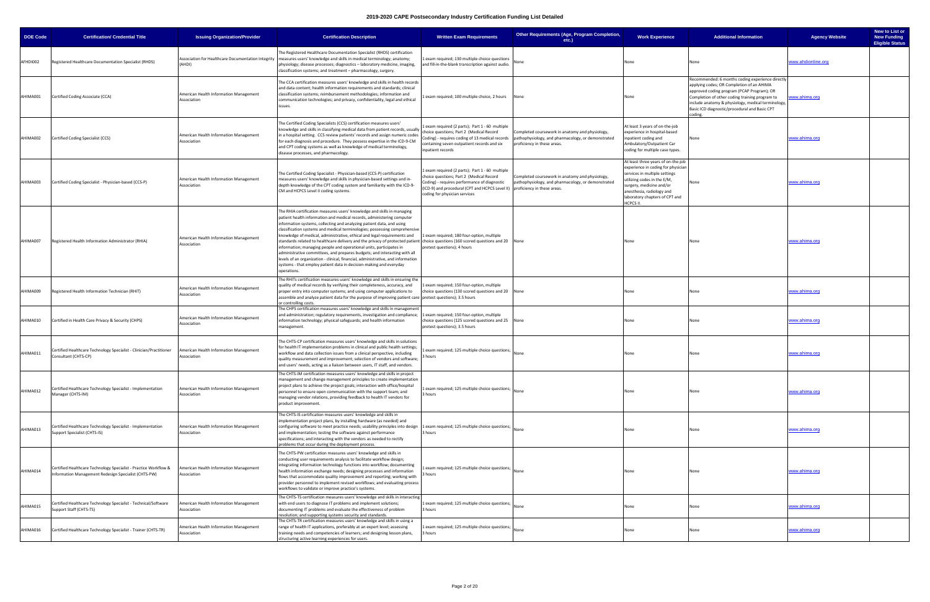| <b>DOE Code</b> | <b>Certification/ Credential Title</b>                                                                                   | <b>Issuing Organization/Provider</b>                         | <b>Certification Description</b>                                                                                                                                                                                                                                                                                                                                                                                                                                                                                                                                                                                                                                                                                                                                                                                                                        | <b>Written Exam Requirements</b>                                                                                                                                                                                                                            | Other Requirements (Age, Program Completion,<br>$etc.$ )                                                                             | <b>Work Experience</b>                                                                                                                                                                                                                           | <b>Additional Information</b>                                                                                                                                                                                                                                                                                  | <b>Agency Website</b> | New to List or<br><b>New Funding</b><br><b>Eligible Status</b> |
|-----------------|--------------------------------------------------------------------------------------------------------------------------|--------------------------------------------------------------|---------------------------------------------------------------------------------------------------------------------------------------------------------------------------------------------------------------------------------------------------------------------------------------------------------------------------------------------------------------------------------------------------------------------------------------------------------------------------------------------------------------------------------------------------------------------------------------------------------------------------------------------------------------------------------------------------------------------------------------------------------------------------------------------------------------------------------------------------------|-------------------------------------------------------------------------------------------------------------------------------------------------------------------------------------------------------------------------------------------------------------|--------------------------------------------------------------------------------------------------------------------------------------|--------------------------------------------------------------------------------------------------------------------------------------------------------------------------------------------------------------------------------------------------|----------------------------------------------------------------------------------------------------------------------------------------------------------------------------------------------------------------------------------------------------------------------------------------------------------------|-----------------------|----------------------------------------------------------------|
| AFHDI002        | Registered Healthcare Documentation Specialist (RHDS)                                                                    | Association for Healthcare Documentation Integrity<br>(AHDI) | The Registered Healthcare Documentation Specialist (RHDS) certification<br>measures users' knowledge and skills in medical terminology; anatomy;<br>physiology; disease processes; diagnostics - laboratory medicine, imaging,<br>classification systems; and treatment – pharmacology, surgery.                                                                                                                                                                                                                                                                                                                                                                                                                                                                                                                                                        | 1 exam required; 130 multiple choice questions<br>and fill-in-the-blank transcription against audio.                                                                                                                                                        |                                                                                                                                      | None                                                                                                                                                                                                                                             | Jone                                                                                                                                                                                                                                                                                                           | www.ahdionline.org    |                                                                |
| AHIMA001        | Certified Coding Associate (CCA)                                                                                         | American Health Information Management<br>Association        | The CCA certification measures users' knowledge and skills in health records<br>and data content; health information requirements and standards; clinical<br>classification systems; reimbursement methodologies; information and<br>communication technologies; and privacy, confidentiality, legal and ethical<br>issues.                                                                                                                                                                                                                                                                                                                                                                                                                                                                                                                             | 1 exam required; 100 multiple choice, 2 hours                                                                                                                                                                                                               | None                                                                                                                                 | None                                                                                                                                                                                                                                             | Recommended: 6 months coding experience directly<br>applying codes; OR Completion of an AHIMA<br>approved coding program (PCAP Program); OR<br>Completion of other coding training program to<br>include anatomy & physiology, medical terminology,<br>Basic ICD diagnostic/procedural and Basic CPT<br>oding. | www.ahima.org         |                                                                |
| AHIMA002        | Certified Coding Specialist (CCS)                                                                                        | American Health Information Management<br>Association        | The Certified Coding Specialists (CCS) certification measures users'<br>knowledge and skills in classifying medical data from patient records, usually<br>in a hospital setting. CCS review patients' records and assign numeric codes<br>for each diagnosis and procedure. They possess expertise in the ICD-9-CM<br>and CPT coding systems as well as knowledge of medical terminology,<br>disease processes, and pharmacology.                                                                                                                                                                                                                                                                                                                                                                                                                       | 1 exam required (2 parts); Part 1 - 60 multiple<br>choice questions; Part 2 (Medical Record<br>Coding) - requires coding of 13 medical records<br>containing seven outpatient records and six<br>inpatient records                                          | Completed coursework in anatomy and physiology,<br>pathophysiology, and pharmacology, or demonstrated<br>proficiency in these areas. | At least 3 years of on-the-job<br>experience in hospital-based<br>inpatient coding and<br>Ambulatory/Outpatient Car<br>coding for multiple case types.                                                                                           | None                                                                                                                                                                                                                                                                                                           | www.ahima.org         |                                                                |
| AHIMA003        | Certified Coding Specialist - Physician-based (CCS-P)                                                                    | American Health Information Management<br>Association        | The Certified Coding Specialist - Physician-based (CCS-P) certification<br>measures users' knowledge and skills in physician-based settings and in-<br>depth knowledge of the CPT coding system and familiarity with the ICD-9-<br>CM and HCPCS Level II coding systems.                                                                                                                                                                                                                                                                                                                                                                                                                                                                                                                                                                                | 1 exam required (2 parts); Part 1 - 60 multiple<br>choice questions; Part 2 (Medical Record<br>Coding) - requires performance of diagnostic<br>(ICD-9) and procedural (CPT and HCPCS Level II) proficiency in these areas.<br>coding for physician services | Completed coursework in anatomy and physiology,<br>pathophysiology, and pharmacology, or demonstrated                                | At least three years of on-the-job<br>experience in coding for physiciar<br>services in multiple settings<br>utilizing codes in the E/M,<br>surgery, medicine and/or<br>anesthesia, radiology and<br>laboratory chapters of CPT and<br>HCPCS II. | Jone                                                                                                                                                                                                                                                                                                           | www.ahima.org         |                                                                |
| AHIMA007        | Registered Health Information Administrator (RHIA)                                                                       | American Health Information Management<br>Association        | The RHIA certification measures users' knowledge and skills in managing<br>patient health information and medical records, administering computer<br>information systems, collecting and analyzing patient data, and using<br>classification systems and medical terminologies; possessing comprehensive<br>knowledge of medical, administrative, ethical and legal requirements and<br>standards related to healthcare delivery and the privacy of protected patient choice questions (160 scored questions and 20   None<br>information; managing people and operational units, participates in<br>administrative committees, and prepares budgets; and interacting with all<br>levels of an organization - clinical, financial, administrative, and information<br>systems - that employ patient data in decision-making and everyday<br>operations. | 1 exam required; 180 four-option, multiple<br>pretest questions); 4 hours                                                                                                                                                                                   |                                                                                                                                      | None                                                                                                                                                                                                                                             | None                                                                                                                                                                                                                                                                                                           | www.ahima.org         |                                                                |
| AHIMA009        | Registered Health Information Technician (RHIT)                                                                          | American Health Information Management<br>Association        | The RHITs certification measures users' knowledge and skills in ensuring the<br>quality of medical records by verifying their completeness, accuracy, and<br>proper entry into computer systems; and using computer applications to<br>assemble and analyze patient data for the purpose of improving patient care pretest questions); 3.5 hours<br>or controlling costs.                                                                                                                                                                                                                                                                                                                                                                                                                                                                               | Lexam required; 150 four-option, multiple<br>choice questions (130 scored questions and 20 None                                                                                                                                                             |                                                                                                                                      | None                                                                                                                                                                                                                                             | None                                                                                                                                                                                                                                                                                                           | www.ahima.org         |                                                                |
| AHIMA010        | Certified in Health Care Privacy & Security (CHPS)                                                                       | American Health Information Management<br>Association        | The CHPS certification measures users' knowledge and skills in management<br>and administration; regulatory requirements, investigation and compliance;<br>information technology; physical safeguards; and health information<br>management.                                                                                                                                                                                                                                                                                                                                                                                                                                                                                                                                                                                                           | 1 exam required; 150 four-option, multiple<br>choice questions (125 scored questions and 25 None<br>pretest questions); 3.5 hours                                                                                                                           |                                                                                                                                      | None                                                                                                                                                                                                                                             | None                                                                                                                                                                                                                                                                                                           | www.ahima.org         |                                                                |
| AHIMA011        | Certified Healthcare Technology Specialist - Clinician/Practitioner<br>Consultant (CHTS-CP)                              | American Health Information Management<br>Association        | The CHTS-CP certification measures users' knowledge and skills in solutions<br>for health IT implementation problems in clinical and public health settings;<br>workflow and data collection issues from a clinical perspective, including<br>quality measurement and improvement; selection of vendors and software;<br>and users' needs, acting as a liaison between users, IT staff, and vendors.                                                                                                                                                                                                                                                                                                                                                                                                                                                    | exam required; 125 multiple choice questions;<br>3 hours                                                                                                                                                                                                    | None                                                                                                                                 | None                                                                                                                                                                                                                                             | None                                                                                                                                                                                                                                                                                                           | www.ahima.org         |                                                                |
| AHIMA012        | Certified Healthcare Technology Specialist - Implementation<br>Manager (CHTS-IM)                                         | American Health Information Management<br>Association        | The CHTS-IM certification measures users' knowledge and skills in project<br>management and change management principles to create implementation<br>project plans to achieve the project goals; interaction with office/hospital<br>personnel to ensure open communication with the support team; and<br>managing vendor relations, providing feedback to health IT vendors for<br>product improvement.                                                                                                                                                                                                                                                                                                                                                                                                                                                | 1 exam required; 125 multiple choice questions;<br>3 hours                                                                                                                                                                                                  | None                                                                                                                                 | None                                                                                                                                                                                                                                             | None                                                                                                                                                                                                                                                                                                           | www.ahima.org         |                                                                |
| AHIMA013        | Certified Healthcare Technology Specialist - Implementation<br>Support Specialist (CHTS-IS)                              | American Health Information Management<br>Association        | The CHTS-IS certification measures users' knowledge and skills in<br>implementation project plans, by installing hardware (as needed) and<br>configuring software to meet practice needs; usability principles into design $\ $ 1 exam required; 125 multiple choice questions; $\ $ None<br>and implementation; testing the software against performance<br>specifications; and interacting with the vendors as needed to rectify<br>problems that occur during the deployment process.                                                                                                                                                                                                                                                                                                                                                                | 3 hours                                                                                                                                                                                                                                                     |                                                                                                                                      | None                                                                                                                                                                                                                                             | None                                                                                                                                                                                                                                                                                                           | <u>www.ahima.org</u>  |                                                                |
| AHIMA014        | Certified Healthcare Technology Specialist - Practice Workflow &<br>Information Management Redesign Specialist (CHTS-PW) | American Health Information Management<br>Association        | The CHTS-PW certification measures users' knowledge and skills in<br>conducting user requirements analysis to facilitate workflow design;<br>integrating information technology functions into workflow; documenting<br>health information exchange needs; designing processes and information<br>flows that accommodate quality improvement and reporting; working with<br>provider personnel to implement revised workflows; and evaluating process<br>workflows to validate or improve practice's systems.                                                                                                                                                                                                                                                                                                                                           | exam required; 125 multiple choice questions;<br>3 hours                                                                                                                                                                                                    | None                                                                                                                                 | None                                                                                                                                                                                                                                             | None                                                                                                                                                                                                                                                                                                           | www.ahima.org         |                                                                |
| AHIMA015        | Certified Healthcare Technology Specialist - Technical/Software<br>Support Staff (CHTS-TS)                               | American Health Information Management<br>Association        | The CHTS-TS certification measures users' knowledge and skills in interacting<br>with end users to diagnose IT problems and implement solutions;<br>documenting IT problems and evaluate the effectiveness of problem<br>resolution; and supporting systems security and standards.                                                                                                                                                                                                                                                                                                                                                                                                                                                                                                                                                                     | 1 exam required; 125 multiple choice questions;<br>3 hours                                                                                                                                                                                                  | None                                                                                                                                 | None                                                                                                                                                                                                                                             | None                                                                                                                                                                                                                                                                                                           | www.ahima.org         |                                                                |
| AHIMA016        | Certified Healthcare Technology Specialist - Trainer (CHTS-TR)                                                           | American Health Information Management<br>Association        | The CHTS-TR certification measures users' knowledge and skills in using a<br>range of health IT applications, preferably at an expert level; assessing<br>training needs and competencies of learners; and designing lesson plans,<br>structuring active learning experiences for users.                                                                                                                                                                                                                                                                                                                                                                                                                                                                                                                                                                | 1 exam required; 125 multiple choice questions;<br>3 hours                                                                                                                                                                                                  |                                                                                                                                      | None                                                                                                                                                                                                                                             |                                                                                                                                                                                                                                                                                                                | <u>www.ahima.org</u>  |                                                                |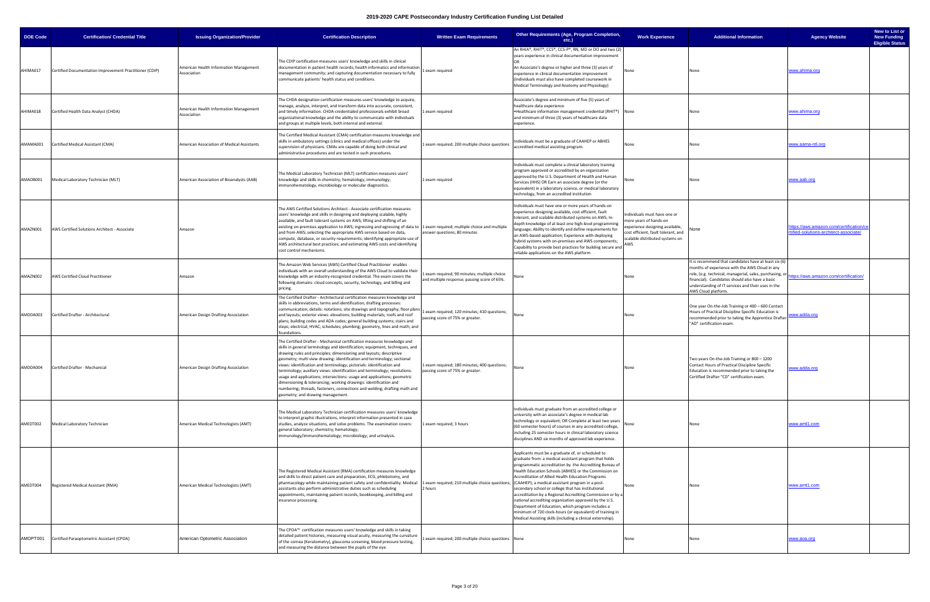| <b>DOE Code</b> | <b>Certification/ Credential Title</b>                  | <b>Issuing Organization/Provider</b>                  | <b>Certification Description</b>                                                                                                                                                                                                                                                                                                                                                                                                                                                                                                                                                                                                                                                                                                                                     | Other Requirements (Age, Program Completion,<br><b>Written Exam Requirements</b><br>etc.)                                                                                                                                                                                                                                                                                                                                                                                                                                                                                                                                                          | <b>Work Experience</b>                                                                                                                                                     | <b>Additional Information</b>                                                                                                                                                                                                                                                                       | <b>Agency Website</b>                                                          | New to List or<br><b>New Funding</b><br><b>Eligible Status</b> |
|-----------------|---------------------------------------------------------|-------------------------------------------------------|----------------------------------------------------------------------------------------------------------------------------------------------------------------------------------------------------------------------------------------------------------------------------------------------------------------------------------------------------------------------------------------------------------------------------------------------------------------------------------------------------------------------------------------------------------------------------------------------------------------------------------------------------------------------------------------------------------------------------------------------------------------------|----------------------------------------------------------------------------------------------------------------------------------------------------------------------------------------------------------------------------------------------------------------------------------------------------------------------------------------------------------------------------------------------------------------------------------------------------------------------------------------------------------------------------------------------------------------------------------------------------------------------------------------------------|----------------------------------------------------------------------------------------------------------------------------------------------------------------------------|-----------------------------------------------------------------------------------------------------------------------------------------------------------------------------------------------------------------------------------------------------------------------------------------------------|--------------------------------------------------------------------------------|----------------------------------------------------------------|
| AHIMA017        | Certified Documentation Improvement Practitioner (CDIP) | American Health Information Management<br>Association | The CDIP certification measures users' knowledge and skills in clinical<br>documentation in patient health records; health informatics and information<br>1 exam required<br>management community; and capturing documentation necessary to fully<br>communicate patients' health status and conditions.                                                                                                                                                                                                                                                                                                                                                                                                                                                             | An RHIA®, RHIT®, CCS®, CCS-P®, RN, MD or DO and two (2)<br>years experience in clinical documentation improvement<br>An Associate's degree or higher and three (3) years of<br>experience in clinical documentation improvement<br>(Individuals must also have completed coursework in<br>Medical Terminology and Anatomy and Physiology)                                                                                                                                                                                                                                                                                                          |                                                                                                                                                                            |                                                                                                                                                                                                                                                                                                     | www.ahima.org                                                                  |                                                                |
| AHIMA018        | Certified Health Data Analyst (CHDA)                    | American Health Information Management<br>Association | The CHDA designation certification measures users' knowledge to acquire,<br>manage, analyze, interpret, and transform data into accurate, consistent,<br>and timely information. CHDA-credentialed professionals exhibit broad<br>1 exam required<br>organizational knowledge and the ability to communicate with individuals<br>and groups at multiple levels, both internal and external.                                                                                                                                                                                                                                                                                                                                                                          | Associate's degree and minimum of five (5) years of<br>healthcare data experience<br>. Healthcare information management credential (RHIT®) None<br>and minimum of three (3) years of healthcare data<br>experience.                                                                                                                                                                                                                                                                                                                                                                                                                               |                                                                                                                                                                            | None                                                                                                                                                                                                                                                                                                | <u>www.ahima.org</u>                                                           |                                                                |
| AMAMA001        | Certified Medical Assistant (CMA)                       | American Association of Medical Assistants            | The Certified Medical Assistant (CMA) certification measures knowledge and<br>skills in ambulatory settings (clinics and medical offices) under the<br>supervision of physicians. CMAs are capable of doing both clinical and<br>administrative procedures and are tested in such procedures.                                                                                                                                                                                                                                                                                                                                                                                                                                                                        | ndividuals must be a graduate of CAAHEP or ABHES<br>1 exam required; 200 multiple choice questions<br>accredited medical assisting program.                                                                                                                                                                                                                                                                                                                                                                                                                                                                                                        |                                                                                                                                                                            | None                                                                                                                                                                                                                                                                                                | <u>vww.aama-ntl.org</u>                                                        |                                                                |
| AMAOB001        | Medical Laboratory Technician (MLT)                     | American Association of Bioanalysts (AAB)             | The Medical Laboratory Technician (MLT) certification measures users'<br>knowledge and skills in chemistry; hematology; immunology;<br>1 exam required<br>immunohematology, microbiology or molecular diagnostics.                                                                                                                                                                                                                                                                                                                                                                                                                                                                                                                                                   | ndividuals must complete a clinical laboratory training<br>program approved or accredited by an organization<br>approved by the U.S. Department of Health and Human<br>Services (HHS) OR Earn an associate degree (or the<br>equivalent) in a laboratory science, or medical laboratory<br>technology, from an accredited institution                                                                                                                                                                                                                                                                                                              |                                                                                                                                                                            | None                                                                                                                                                                                                                                                                                                | www.aab.org                                                                    |                                                                |
| AMAZN001        | AWS Certified Solutions Architect - Associate           | Amazon                                                | The AWS Certified Solutions Architect - Associate certification measures<br>users' knowledge and skills in designing and deploying scalable, highly<br>available, and fault tolerant systems on AWS; lifting and shifting of an<br>existing on-premises application to AWS; ingressing and egressing of data to  1 exam required; multiple choice and multiple<br>and from AWS; selecting the appropriate AWS service based on data,<br>answer questions; 80 minutes<br>compute, database, or security requirements; identifying appropriate use of<br>AWS architectural best practices; and estimating AWS costs and identifying<br>cost control mechanisms.                                                                                                        | Individuals must have one or more years of hands-on<br>experience designing available, cost efficient, fault<br>tolerant, and scalable distributed systems on AWS; In-<br>depth knowledge of at least one high-level programming<br>anguage; Ability to identify and define requirements for<br>an AWS-based application; Experience with deploying<br>hybrid systems with on-premises and AWS components;<br>Capability to provide best practices for building secure and<br>reliable applications on the AWS platform                                                                                                                            | Individuals must have one or<br>more years of hands-on<br>experience designing available,<br>cost efficient, fault tolerant, and<br>scalable distributed systems on<br>AWS | None                                                                                                                                                                                                                                                                                                | ttps://aws.amazon.com/certification/c<br>tified-solutions-architect-associate/ |                                                                |
| AMAZN002        | AWS Certified Cloud Practitioner                        | Amazon                                                | The Amazon Web Services (AWS) Certified Cloud Practitioner enables<br>individuals with an overall understanding of the AWS Cloud to validate their<br>knowledge with an industry-recognized credential. The exam covers the<br>following domains: cloud concepts, security, technology, and billing and<br>pricing.                                                                                                                                                                                                                                                                                                                                                                                                                                                  | exam required; 90 minutes; multiple choice<br>Vone<br>and multiple response; passing score of 65%.                                                                                                                                                                                                                                                                                                                                                                                                                                                                                                                                                 | None                                                                                                                                                                       | It is recommend that candidates have at least six (6)<br>months of experience with the AWS Cloud in any<br>role, (e.g. technical, managerial, sales, purchasing, or<br>financial). Candidates should also have a basic<br>understanding of IT services and their uses in the<br>AWS Cloud platform. | tps://aws.amazon.com/certification/                                            |                                                                |
| AMDDA003        | Certified Drafter - Architectural                       | American Design Drafting Association                  | The Certified Drafter - Architectural certification measures knowledge and<br>skills in abbreviations, terms and identification; drafting processes:<br>communication; details: notations; site drawings and topography; floor plans<br>and layouts; exterior views: elevations; building materials; roofs and roof<br>passing score of 75% or greater.<br>plans; building codes and ADA codes; general building systems; stairs and<br>steps; electrical; HVAC; schedules; plumbing; geometry, lines and math; and<br>oundations.                                                                                                                                                                                                                                   | exam required; 120 minutes; 410 questions;<br>None                                                                                                                                                                                                                                                                                                                                                                                                                                                                                                                                                                                                 | None                                                                                                                                                                       | One year On-the-Job Training or 400 - 600 Contact<br>Hours of Practical Discipline Specific Education is<br>recommended prior to taking the Apprentice Drafter<br>"AD" certification exam.                                                                                                          | www.adda.org                                                                   |                                                                |
|                 | AMDDA004 Certified Drafter - Mechanical                 | American Design Drafting Association                  | The Certified Drafter - Mechanical certification measures knowledge and<br>kills in general terminology and identification; equipment, techniques, and<br>drawing rules and principles; dimensioning and layouts; descriptive<br>geometry; multi view drawing: identification and terminology; sectional<br>views: identification and terminology; pictorials: identification and<br>terminology; auxiliary views: identification and terminology; revolutions:<br>passing score of 75% or greater.<br>isage and applications; intersections: usage and applications; geometric<br>dimensioning & tolerancing; working drawings: identification and<br>numbering; threads, fasteners, connections and welding; drafting math and<br>eometry; and drawing management. | 1 exam required; 180 minutes; 400 questions;                                                                                                                                                                                                                                                                                                                                                                                                                                                                                                                                                                                                       |                                                                                                                                                                            | Two years On-the-Job Training or 800 - 1200<br>Contact Hours of Practical Discipline Specific<br>Education is recommended prior to taking the<br>Certified Drafter "CD" certification exam.                                                                                                         | <u>www.adda.org</u>                                                            |                                                                |
| AMEDT002        | Medical Laboratory Technician                           | American Medical Technologists (AMT)                  | The Medical Laboratory Technician certification measures users' knowledge<br>to interpret graphic illustrations, interpret information presented in case<br>studies, analyze situations, and solve problems. The examination covers:<br>1 exam required; 3 hours<br>general laboratory; chemistry; hematology;<br>mmunology/immunohematology; microbiology; and urinalysis.                                                                                                                                                                                                                                                                                                                                                                                          | Individuals must graduate from an accredited college or<br>university with an associate's degree in medical lab<br>technology or equivalent; OR Complete at least two years<br>(60 semester hours) of courses in any accredited college,<br>including 25 semester hours in clinical laboratory science<br>disciplines AND six months of approved lab experience.                                                                                                                                                                                                                                                                                   | None                                                                                                                                                                       |                                                                                                                                                                                                                                                                                                     | www.amt1.com                                                                   |                                                                |
| AMEDT004        | Registered Medical Assistant (RMA)                      | American Medical Technologists (AMT)                  | The Registered Medical Assistant (RMA) certification measures knowledge<br>and skills to direct patient care and preparation, ECG, phlebotomy, and<br>pharmacology while maintaining patient safety and confidentiality. Medical 1 exam required; 210 multiple choice questions; (CAAHEP); a medical assistant program in a post-<br>2 hours<br>assistants also perform administrative duties such as scheduling<br>appointments, maintaining patient records, bookkeeping, and billing and<br>insurance processing.                                                                                                                                                                                                                                                 | Applicants must be a graduate of, or scheduled to<br>graduate from: a medical assistant program that holds<br>programmatic accreditation by the Accrediting Bureau of<br>Health Education Schools (ABHES) or the Commission on<br>Accreditation of Allied Health Education Programs<br>secondary school or college that has institutional<br>accreditation by a Regional Accrediting Commission or by a<br>national accrediting organization approved by the U.S.<br>Department of Education, which program includes a<br>minimum of 720 clock-hours (or equivalent) of training in<br>Medical Assisting skills (including a clinical externship). |                                                                                                                                                                            | None                                                                                                                                                                                                                                                                                                | www.amt1.com                                                                   |                                                                |
| AMOPT001        | Certified Paraoptometric Assistant (CPOA)               | American Optometric Association                       | The CPOA™ certification measures users' knowledge and skills in taking<br>detailed patient histories, measuring visual acuity, measuring the curvature<br>of the cornea (Keratometry), glaucoma screening, blood pressure testing,<br>and measuring the distance between the pupils of the eye.                                                                                                                                                                                                                                                                                                                                                                                                                                                                      | 1 exam required; 200 multiple choice questions None                                                                                                                                                                                                                                                                                                                                                                                                                                                                                                                                                                                                | None                                                                                                                                                                       |                                                                                                                                                                                                                                                                                                     | www.aoa.org                                                                    |                                                                |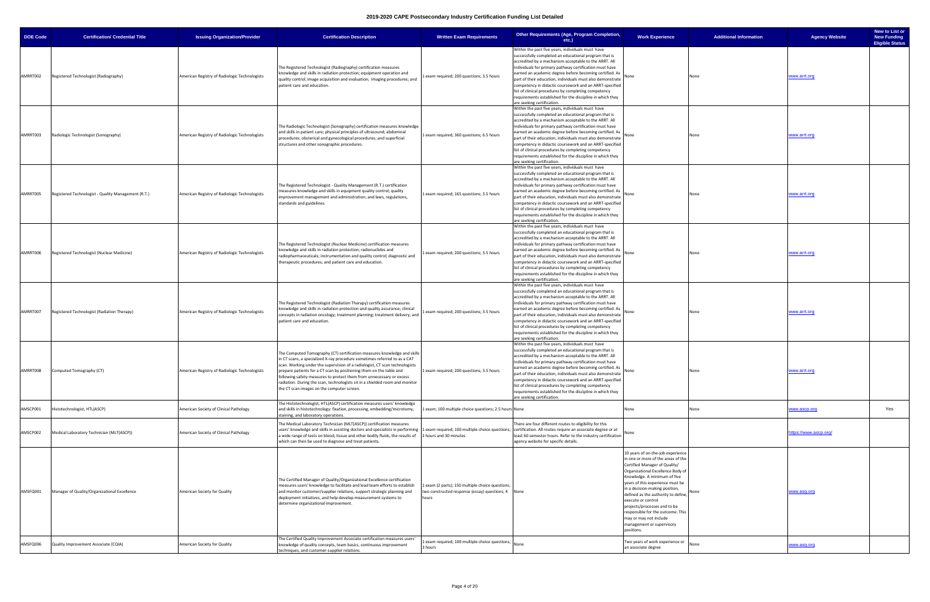| DOE Code | <b>Certification/ Credential Title</b>              | <b>Issuing Organization/Provider</b>          | <b>Certification Description</b>                                                                                                                                                                                                                                                                                                                                                                                                                                                                                  | <b>Written Exam Requirements</b>                                                                                | <b>Other Requirements (Age, Program Completion,</b><br>$etc.$ )                                                                                                                                                                                                                                                                                                                                                                                                                                                                                                       | <b>Work Experience</b>                                                                                                                                                                                                                                                                                                                                                                                                                                     | <b>Additional Information</b> | <b>Agency Website</b>        | New to List or<br><b>New Funding</b><br><b>Eligible Status</b> |
|----------|-----------------------------------------------------|-----------------------------------------------|-------------------------------------------------------------------------------------------------------------------------------------------------------------------------------------------------------------------------------------------------------------------------------------------------------------------------------------------------------------------------------------------------------------------------------------------------------------------------------------------------------------------|-----------------------------------------------------------------------------------------------------------------|-----------------------------------------------------------------------------------------------------------------------------------------------------------------------------------------------------------------------------------------------------------------------------------------------------------------------------------------------------------------------------------------------------------------------------------------------------------------------------------------------------------------------------------------------------------------------|------------------------------------------------------------------------------------------------------------------------------------------------------------------------------------------------------------------------------------------------------------------------------------------------------------------------------------------------------------------------------------------------------------------------------------------------------------|-------------------------------|------------------------------|----------------------------------------------------------------|
| AMRRT002 | Registered Technologist (Radiography)               | American Registry of Radiologic Technologists | The Registered Technologist (Radiography) certification measures<br>knowledge and skills in radiation protection; equipment operation and<br>quality control; image acquisition and evaluation; imaging procedures; and<br>patient care and education.                                                                                                                                                                                                                                                            | exam required; 200 questions; 3.5 hours                                                                         | Within the past five years, individuals must have<br>successfully completed an educational program that is<br>accredited by a mechanism acceptable to the ARRT. All<br>Individuals for primary pathway certification must have<br>earned an academic degree before becoming certified. As<br>part of their education, individuals must also demonstrate<br>competency in didactic coursework and an ARRT-specified<br>list of clinical procedures by completing competency<br>requirements established for the discipline in which they<br>are seeking certification. | None                                                                                                                                                                                                                                                                                                                                                                                                                                                       | None                          | www.arrt.org                 |                                                                |
| AMRRT003 | Radiologic Technologist (Sonography)                | American Registry of Radiologic Technologists | The Radiologic Technologist (Sonography) certification measures knowledge<br>and skills in patient care; physical principles of ultrasound; abdominal<br>procedures; obsterical and gynecological procedures; and superficial<br>structures and other sonographic procedures.                                                                                                                                                                                                                                     | 1 exam required; 360 questions; 6.5 hours                                                                       | Within the past five years, individuals must have<br>successfully completed an educational program that is<br>accredited by a mechanism acceptable to the ARRT. All<br>Individuals for primary pathway certification must have<br>earned an academic degree before becoming certified. As<br>part of their education, individuals must also demonstrate<br>competency in didactic coursework and an ARRT-specified<br>list of clinical procedures by completing competency<br>requirements established for the discipline in which they<br>are seeking certification. | None                                                                                                                                                                                                                                                                                                                                                                                                                                                       | None                          | www.arrt.org                 |                                                                |
| AMRRT005 | Registered Technologist - Quality Management (R.T.) | American Registry of Radiologic Technologists | The Registered Technologist - Quality Management (R.T.) certification<br>measures knowledge and skills in equipment quality control; quality<br>improvement management and administration; and laws, regulations,<br>standards and guidelines.                                                                                                                                                                                                                                                                    | 1 exam required; 165 questions; 3.5 hours                                                                       | Within the past five years, individuals must have<br>successfully completed an educational program that is<br>accredited by a mechanism acceptable to the ARRT. All<br>Individuals for primary pathway certification must have<br>earned an academic degree before becoming certified. As<br>part of their education, individuals must also demonstrate<br>competency in didactic coursework and an ARRT-specified<br>list of clinical procedures by completing competency<br>requirements established for the discipline in which they<br>are seeking certification. | None                                                                                                                                                                                                                                                                                                                                                                                                                                                       | None                          | www.arrt.org                 |                                                                |
| AMRRT006 | Registered Technologist (Nuclear Medicine)          | American Registry of Radiologic Technologists | The Registered Technologist (Nuclear Medicine) certification measures<br>knowledge and skills in radiation protection; radionuclides and<br>radiopharmaceuticals; instrumentation and quality control; diagnostic and<br>therapeutic procedures; and patient care and education.                                                                                                                                                                                                                                  | 1 exam required; 200 questions; 3.5 hours                                                                       | Within the past five years, individuals must have<br>successfully completed an educational program that is<br>accredited by a mechanism acceptable to the ARRT. All<br>Individuals for primary pathway certification must have<br>earned an academic degree before becoming certified. As<br>part of their education, individuals must also demonstrate<br>competency in didactic coursework and an ARRT-specified<br>list of clinical procedures by completing competency<br>requirements established for the discipline in which they<br>are seeking certification. | None                                                                                                                                                                                                                                                                                                                                                                                                                                                       | None                          | www.arrt.org                 |                                                                |
| AMRRT007 | Registered Technologist (Radiation Therapy)         | American Registry of Radiologic Technologists | The Registered Technologist (Radiation Therapy) certification measures<br>knowledge and skills in radiation protection and quality assurance; clinical<br>concepts in radiation oncology; treatment planning; treatment delivery; and<br>patient care and education.                                                                                                                                                                                                                                              | 1 exam required; 200 questions; 3.5 hours                                                                       | Within the past five years, individuals must have<br>successfully completed an educational program that is<br>accredited by a mechanism acceptable to the ARRT. All<br>Individuals for primary pathway certification must have<br>earned an academic degree before becoming certified. As<br>part of their education, individuals must also demonstrate<br>competency in didactic coursework and an ARRT-specified<br>list of clinical procedures by completing competency<br>requirements established for the discipline in which they<br>are seeking certification. |                                                                                                                                                                                                                                                                                                                                                                                                                                                            |                               | www.arrt.org                 |                                                                |
| AMRRT008 | Computed Tomography (CT)                            | American Registry of Radiologic Technologists | The Computed Tomography (CT) certification measures knowledge and skills<br>in CT scans, a specialized X-ray procedure sometimes referred to as a CAT<br>scan. Working under the supervision of a radiologist, CT scan technologists<br>prepare patients for a CT scan by positioning them on the table and<br>following safety measures to protect them from unnecessary or excess<br>radiation. During the scan, technologists sit in a shielded room and monitor<br>the CT scan images on the computer screen. | 1 exam required; 200 questions; 3.5 hours                                                                       | Within the past five years, individuals must have<br>successfully completed an educational program that is<br>accredited by a mechanism acceptable to the ARRT. All<br>Individuals for primary pathway certification must have<br>earned an academic degree before becoming certified. As<br>part of their education, individuals must also demonstrate<br>competency in didactic coursework and an ARRT-specified<br>list of clinical procedures by completing competency<br>requirements established for the discipline in which they<br>are seeking certification. |                                                                                                                                                                                                                                                                                                                                                                                                                                                            |                               | www.arrt.org                 |                                                                |
| AMSCP001 | Histotechnologist, HTL(ASCP)                        | American Society of Clinical Pathology        | The Histotechnologist, HTL(ASCP) certification measures users' knowledge<br>and skills in histotechnology: fixation, processing, embedding/microtomy,<br>staining, and laboratory operations.                                                                                                                                                                                                                                                                                                                     | 1 exam; 100 multiple choice questions; 2.5 hours None                                                           |                                                                                                                                                                                                                                                                                                                                                                                                                                                                                                                                                                       | None                                                                                                                                                                                                                                                                                                                                                                                                                                                       | None                          | vww.ascp.org                 | Yes                                                            |
| AMSCP002 | Medical Laboratory Technician (MLT(ASCP))           | American Society of Clinical Pathology        | The Medical Laboratory Technician (MLT(ASCP)) certification measures<br>users' knowledge and skills in assisting doctors and specialists in performing 1 exam required; 100 multiple choice questions;<br>a wide range of tests on blood, tissue and other bodily fluids, the results of 2 hours and 30 minutes<br>which can then be used to diagnose and treat patients.                                                                                                                                         |                                                                                                                 | There are four different routes to eligibility for this<br>certification. All routes require an associate degree or at<br>least 60 semester hours. Refer to the industry certification<br>agency website for specific details.                                                                                                                                                                                                                                                                                                                                        |                                                                                                                                                                                                                                                                                                                                                                                                                                                            |                               | <u>nttps://www.ascp.org/</u> |                                                                |
| AMSFQ001 | Manager of Quality/Organizational Excellence        | American Society for Quality                  | The Certified Manager of Quality/Organizational Excellence certification<br>measures users' knowledge to facilitate and lead team efforts to establish<br>and monitor customer/supplier relations, support strategic planning and<br>deployment initiatives, and help develop measurement systems to<br>determine organizational improvement.                                                                                                                                                                     | 1 exam (2 parts); 150 multiple choice questions;<br>two constructed response (essay) questions; 4 None<br>hours |                                                                                                                                                                                                                                                                                                                                                                                                                                                                                                                                                                       | 10 years of on-the-job experience<br>in one or more of the areas of the<br>Certified Manager of Quality/<br>Organizational Excellence Body of<br>Knowledge. A minimum of five<br>years of this experience must be<br>in a decision-making position,<br>defined as the authority to define,<br>execute or control<br>projects/processes and to be<br>responsible for the outcome. This<br>may or may not include<br>management or supervisory<br>positions. |                               | www.asq.org                  |                                                                |
| AMSFQ006 | Quality Improvement Associate (CQIA)                | American Society for Quality                  | The Certified Quality Improvement Associate certification measures users'<br>knowledge of quality concepts, team basics, continuous improvement<br>techniques, and customer-supplier relations.                                                                                                                                                                                                                                                                                                                   | 1 exam required; 100 multiple choice questions;<br>3 hours                                                      | None                                                                                                                                                                                                                                                                                                                                                                                                                                                                                                                                                                  | Two years of work experience or<br>an associate degree                                                                                                                                                                                                                                                                                                                                                                                                     |                               | www.asq.org                  |                                                                |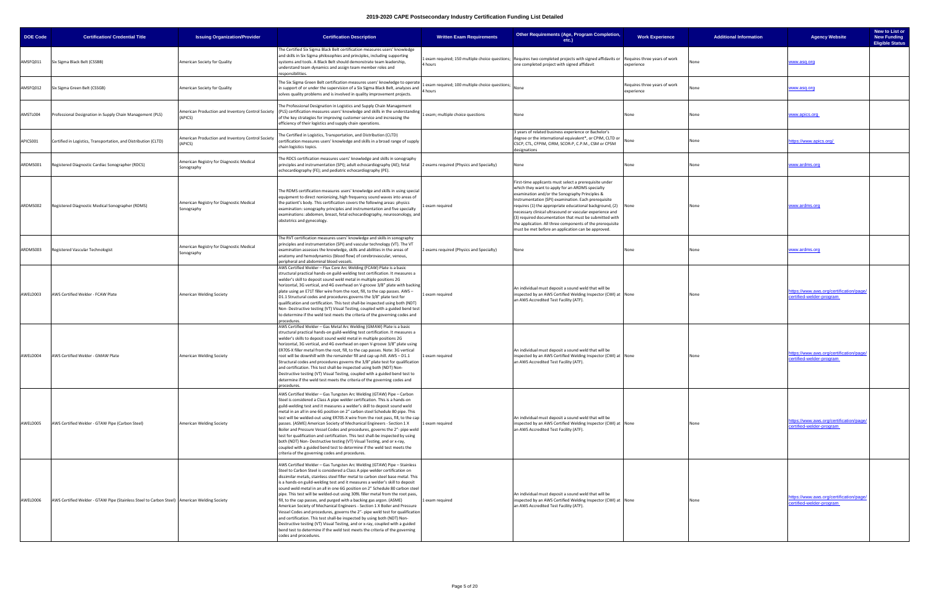| <b>DOE Code</b> | <b>Certification/ Credential Title</b>                                                        | <b>Issuing Organization/Provider</b>                         | <b>Certification Description</b>                                                                                                                                                                                                                                                                                                                                                                                                                                                                                                                                                                                                                                                                                                                                                                                                                                                                                                                                                                       | <b>Written Exam Requirements</b>                         | Other Requirements (Age, Program Completion,<br>etc.)                                                                                                                                                                                                                                                                                                                                                                                                                                                                         | <b>Work Experience</b>                     | <b>Additional Information</b> | <b>Agency Website</b>                                               | New to List or<br><b>New Funding</b><br><b>Eligible Status</b> |
|-----------------|-----------------------------------------------------------------------------------------------|--------------------------------------------------------------|--------------------------------------------------------------------------------------------------------------------------------------------------------------------------------------------------------------------------------------------------------------------------------------------------------------------------------------------------------------------------------------------------------------------------------------------------------------------------------------------------------------------------------------------------------------------------------------------------------------------------------------------------------------------------------------------------------------------------------------------------------------------------------------------------------------------------------------------------------------------------------------------------------------------------------------------------------------------------------------------------------|----------------------------------------------------------|-------------------------------------------------------------------------------------------------------------------------------------------------------------------------------------------------------------------------------------------------------------------------------------------------------------------------------------------------------------------------------------------------------------------------------------------------------------------------------------------------------------------------------|--------------------------------------------|-------------------------------|---------------------------------------------------------------------|----------------------------------------------------------------|
| AMSFQ011        | Six Sigma Black Belt (CSSBB)                                                                  | American Society for Quality                                 | The Certified Six Sigma Black Belt certification measures users' knowledge<br>and skills in Six Sigma philosophies and principles, including supporting<br>systems and tools. A Black Belt should demonstrate team leadership,<br>understand team dynamics and assign team member roles and<br>esponsibilities.                                                                                                                                                                                                                                                                                                                                                                                                                                                                                                                                                                                                                                                                                        | 4 hours                                                  | 1 exam required; 150 multiple choice questions; Requires two completed projects with signed affidavits or Requires three years of work<br>one completed project with signed affidavit                                                                                                                                                                                                                                                                                                                                         | experience                                 |                               | www.asq.org                                                         |                                                                |
| AMSFQ012        | Six Sigma Green Belt (CSSGB)                                                                  | American Society for Quality                                 | The Six Sigma Green Belt certification measures users' knowledge to operate<br>in support of or under the supervision of a Six Sigma Black Belt, analyzes and<br>solves quality problems and is involved in quality improvement projects.                                                                                                                                                                                                                                                                                                                                                                                                                                                                                                                                                                                                                                                                                                                                                              | exam required; 100 multiple choice questions;<br>4 hours |                                                                                                                                                                                                                                                                                                                                                                                                                                                                                                                               | Requires three years of work<br>experience |                               | www.asq.org                                                         |                                                                |
| AMSTL004        | Professional Designation in Supply Chain Management (PLS)                                     | American Production and Inventory Control Society<br>(APICS) | The Professional Designation in Logistics and Supply Chain Management<br>(PLS) certification measures users' knowledge and skills in the understanding<br>of the key strategies for improving customer service and increasing the<br>efficiency of their logistics and supply chain operations.                                                                                                                                                                                                                                                                                                                                                                                                                                                                                                                                                                                                                                                                                                        | 1 exam; multiple choice questions                        | None                                                                                                                                                                                                                                                                                                                                                                                                                                                                                                                          | None                                       | None                          | www.apics.org                                                       |                                                                |
| APICS001        | Certified in Logistics, Transportation, and Distribution (CLTD)                               | American Production and Inventory Control Society<br>(APICS) | The Certified in Logistics, Transportation, and Distribution (CLTD)<br>certification measures users' knowledge and skills in a broad range of supply<br>chain logistics topics.                                                                                                                                                                                                                                                                                                                                                                                                                                                                                                                                                                                                                                                                                                                                                                                                                        |                                                          | 3 years of related business experience or Bachelor's<br>degree or the international equivalent*, or CPIM, CLTD or<br>CSCP, CTL, CFPIM, CIRM, SCOR-P, C.P.M., CSM or CPSM<br>designations                                                                                                                                                                                                                                                                                                                                      | None                                       |                               | https://www.apics.org/                                              |                                                                |
| ARDMS001        | Registered Diagnostic Cardiac Sonographer (RDCS)                                              | American Registry for Diagnostic Medical<br>Sonography       | The RDCS certification measures users' knowledge and skills in sonography<br>principles and instrumentation (SPI); adult echocardiography (AE); fetal<br>echocardiography (FE); and pediatric echocardiography (PE).                                                                                                                                                                                                                                                                                                                                                                                                                                                                                                                                                                                                                                                                                                                                                                                   | 2 exams required (Physics and Specialty)                 | None                                                                                                                                                                                                                                                                                                                                                                                                                                                                                                                          | None                                       | None                          | www.ardms.org                                                       |                                                                |
| ARDMS002        | Registered Diagnostic Medical Sonographer (RDMS)                                              | American Registry for Diagnostic Medical<br>Sonography       | The RDMS certification measures users' knowledge and skills in using special<br>equipment to direct nonionizing, high frequency sound waves into areas of<br>the patient's body. This certification covers the following areas: physics<br>examination: sonography principles and instrumentation and five specialty<br>examinations: abdomen, breast, fetal echocardiography, neurosonology, and<br>obstetrics and gynecology.                                                                                                                                                                                                                                                                                                                                                                                                                                                                                                                                                                        | exam required                                            | First-time applicants must select a prerequisite under<br>which they want to apply for an ARDMS specialty<br>examination and/or the Sonography Principles &<br>Instrumentation (SPI) examination. Each prerequisite<br>requires (1) the appropriate educational background, (2) None<br>necessary clinical ultrasound or vascular experience and<br>(3) required documentation that must be submitted with<br>the application. All three components of the prerequisite<br>must be met before an application can be approved. |                                            | None                          | www.ardms.org                                                       |                                                                |
| ARDMS003        | Registered Vascular Technologist                                                              | American Registry for Diagnostic Medical<br>Sonography       | The RVT certification measures users' knowledge and skills in sonography<br>principles and instrumentation (SPI) and vascular technology (VT). The VT<br>examination assesses the knowledge, skills and abilities in the areas of<br>anatomy and hemodynamics (blood flow) of cerebrovascular, venous,<br>beripheral and abdominal blood vessels.                                                                                                                                                                                                                                                                                                                                                                                                                                                                                                                                                                                                                                                      | 2 exams required (Physics and Specialty)                 | None                                                                                                                                                                                                                                                                                                                                                                                                                                                                                                                          | None                                       |                               | ww.ardms.org                                                        |                                                                |
| AWELD003        | AWS Certified Welder - FCAW Plate                                                             | American Welding Society                                     | AWS Certified Welder - Flux Core Arc Welding (FCAW) Plate is a basic<br>structural practical hands-on guild-welding test certification. It measures a<br>welder's skill to deposit sound weld metal in multiple positions 2G<br>horizontal, 3G vertical, and 4G overhead on V-groove 3/8" plate with backing<br>plate using an E71T filler wire from the root, fill, to the cap passes. AWS -<br>D1.1 Structural codes and procedures governs the 3/8" plate test for<br>qualification and certification. This test shall-be inspected using both (NDT)<br>Non-Destructive testing (VT) Visual Testing, coupled with a guided bend test<br>o determine if the weld test meets the criteria of the governing codes and<br>procedures.                                                                                                                                                                                                                                                                   | 1 exam required                                          | An individual must deposit a sound weld that will be<br>inspected by an AWS Certified Welding Inspector (CWI) at None<br>an AWS Accredited Test Facility (ATF).                                                                                                                                                                                                                                                                                                                                                               |                                            | None                          | ttps://www.aws.org/certification/page<br>ertified-welder-program    |                                                                |
| AWELD004        | AWS Certified Welder - GMAW Plate                                                             | American Welding Society                                     | AWS Certified Welder - Gas Metal Arc Welding (GMAW) Plate is a basic<br>structural practical hands-on guild-welding test certification. It measures a<br>welder's skills to deposit sound weld metal in multiple positions 2G<br>horizontal, 3G vertical, and 4G overhead on open V-groove 3/8" plate using<br>ER70S-X filler metal from the root, fill, to the cap passes. Note: 3G vertical<br>root will be downhill with the remainder fill and cap up-hill. AWS - D1.1<br>Structural codes and procedures governs the 3/8" plate test for qualification<br>nd certification. This test shall-be inspected using both (NDT) Non-<br>Destructive testing (VT) Visual Testing, coupled with a guided bend test to<br>determine if the weld test meets the criteria of the governing codes and<br>procedures.                                                                                                                                                                                          | 1 exam required                                          | An individual must deposit a sound weld that will be<br>inspected by an AWS Certified Welding Inspector (CWI) at None<br>an AWS Accredited Test Facility (ATF).                                                                                                                                                                                                                                                                                                                                                               |                                            | None                          | https://www.aws.org/certification/page/<br>ertified-welder-program  |                                                                |
| AWELD005        | AWS Certified Welder - GTAW Pipe (Carbon Steel)                                               | American Welding Society                                     | AWS Certified Welder - Gas Tungsten Arc Welding (GTAW) Pipe - Carbon<br>Steel is considered a Class A pipe welder certification. This is a hands-on<br>guild-welding test and it measures a welder's skill to deposit sound weld<br>metal in an all in one 6G position on 2" carbon steel Schedule 80 pipe. This<br>test will be welded-out using ER70S-X wire from the root pass, fill, to the cap<br>passes. (ASME) American Society of Mechanical Engineers - Section 1 X<br>Boiler and Pressure Vessel Codes and procedures, governs the 2"- pipe weld<br>test for qualification and certification. This test shall-be inspected by using<br>both (NDT) Non-Destructive testing (VT) Visual Testing, and or x-ray,<br>coupled with a guided bend test to determine if the weld test meets the<br>criteria of the governing codes and procedures.                                                                                                                                                   | 1 exam required                                          | An individual must deposit a sound weld that will be<br>inspected by an AWS Certified Welding Inspector (CWI) at None<br>an AWS Accredited Test Facility (ATF).                                                                                                                                                                                                                                                                                                                                                               |                                            | None                          | https://www.aws.org/certification/page/<br>certified-welder-program |                                                                |
| AWELD006        | AWS Certified Welder - GTAW Pipe (Stainless Steel to Carbon Steel)   American Welding Society |                                                              | AWS Certified Welder - Gas Tungsten Arc Welding (GTAW) Pipe - Stainless<br>Steel to Carbon Steel is considered a Class A pipe welder certification on<br>dissimilar metals, stainless steel filler metal to carbon steel base metal. This<br>is a hands-on guild-welding test and it measures a welder's skill to deposit<br>sound weld metal in an all in one 6G position on 2" Schedule 80 carbon steel<br>pipe. This test will be welded-out using 309L filler metal from the root pass,<br>fill, to the cap passes, and purged with a backing gas argon. (ASME)<br>American Society of Mechanical Engineers - Section 1 X Boiler and Pressure<br>Vessel Codes and procedures, governs the 2"- pipe weld test for qualification<br>and certification. This test shall-be inspected by using both (NDT) Non-<br>Destructive testing (VT) Visual Testing, and or x-ray, coupled with a guided<br>bend test to determine if the weld test meets the criteria of the governing<br>codes and procedures. | 1 exam required                                          | An individual must deposit a sound weld that will be<br>inspected by an AWS Certified Welding Inspector (CWI) at None<br>an AWS Accredited Test Facility (ATF).                                                                                                                                                                                                                                                                                                                                                               |                                            |                               | https://www.aws.org/certification/page/<br>certified-welder-program |                                                                |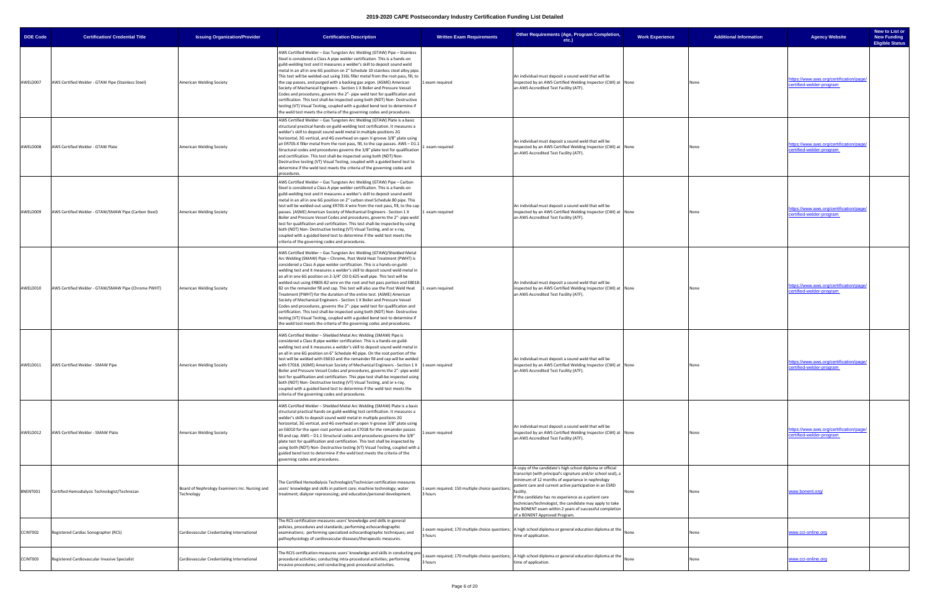| <b>DOE Code</b> | <b>Certification/ Credential Title</b>               | <b>Issuing Organization/Provider</b>                         | <b>Certification Description</b>                                                                                                                                                                                                                                                                                                                                                                                                                                                                                                                                                                                                                                                                                                                                                                                                                                                                                                                                                                                                     | <b>Written Exam Requirements</b>                           | Other Requirements (Age, Program Completion,<br>etc.)                                                                                                                                                                                                                                                                                                                                                                                                                   | <b>Work Experience</b> | <b>Additional Information</b> | <b>Agency Website</b>                                               | New to List or<br><b>New Funding</b><br><b>Eligible Status</b> |
|-----------------|------------------------------------------------------|--------------------------------------------------------------|--------------------------------------------------------------------------------------------------------------------------------------------------------------------------------------------------------------------------------------------------------------------------------------------------------------------------------------------------------------------------------------------------------------------------------------------------------------------------------------------------------------------------------------------------------------------------------------------------------------------------------------------------------------------------------------------------------------------------------------------------------------------------------------------------------------------------------------------------------------------------------------------------------------------------------------------------------------------------------------------------------------------------------------|------------------------------------------------------------|-------------------------------------------------------------------------------------------------------------------------------------------------------------------------------------------------------------------------------------------------------------------------------------------------------------------------------------------------------------------------------------------------------------------------------------------------------------------------|------------------------|-------------------------------|---------------------------------------------------------------------|----------------------------------------------------------------|
| AWELD007        | AWS Certified Welder - GTAW Pipe (Stainless Steel)   | American Welding Society                                     | AWS Certified Welder - Gas Tungsten Arc Welding (GTAW) Pipe - Stainless<br>Steel is considered a Class A pipe welder certification. This is a hands-on<br>guild-welding test and it measures a welder's skill to deposit sound weld<br>metal in an all in one 6G position on 2" Schedule 10 stainless steel alloy pipe.<br>This test will be welded-out using 316L filler metal from the root pass, fill, to<br>the cap passes, and purged with a backing gas argon. (ASME) American<br>Society of Mechanical Engineers - Section 1 X Boiler and Pressure Vessel<br>Codes and procedures, governs the 2"- pipe weld test for qualification and<br>certification. This test shall-be inspected using both (NDT) Non- Destructive<br>testing (VT) Visual Testing, coupled with a guided bend test to determine if<br>the weld test meets the criteria of the governing codes and procedures.                                                                                                                                           | 1 exam required                                            | An individual must deposit a sound weld that will be<br>nspected by an AWS Certified Welding Inspector (CWI) at None<br>an AWS Accredited Test Facility (ATF).                                                                                                                                                                                                                                                                                                          |                        | None                          | ttps://www.aws.org/certification/page<br>ertified-welder-program    |                                                                |
| AWELD008        | AWS Certified Welder - GTAW Plate                    | American Welding Society                                     | AWS Certified Welder – Gas Tungsten Arc Welding (GTAW) Plate is a basic<br>structural practical hands-on guild-welding test certification. It measures a<br>welder's skill to deposit sound weld metal in multiple positions 2G<br>horizontal, 3G vertical, and 4G overhead on open V-groove 3/8" plate using<br>an ER70S-X filler metal from the root pass, fill, to the cap passes. AWS - D1.1<br>Structural codes and procedures governs the 3/8" plate test for qualification<br>and certification. This test shall-be inspected using both (NDT) Non-<br>Destructive testing (VT) Visual Testing, coupled with a guided bend test to<br>determine if the weld test meets the criteria of the governing codes and<br>procedures.                                                                                                                                                                                                                                                                                                 | exam required                                              | An individual must deposit a sound weld that will be<br>inspected by an AWS Certified Welding Inspector (CWI) at None<br>an AWS Accredited Test Facility (ATF).                                                                                                                                                                                                                                                                                                         |                        | None                          | https://www.aws.org/certification/page/<br>certified-welder-program |                                                                |
| AWELD009        | AWS Certified Welder - GTAW/SMAW Pipe (Carbon Steel) | American Welding Society                                     | AWS Certified Welder - Gas Tungsten Arc Welding (GTAW) Pipe - Carbon<br>Steel is considered a Class A pipe welder certification. This is a hands-on<br>guild-welding test and it measures a welder's skill to deposit sound weld<br>metal in an all in one 6G position on 2" carbon steel Schedule 80 pipe. This<br>test will be welded-out using ER70S-X wire from the root pass, fill, to the cap<br>passes. (ASME) American Society of Mechanical Engineers - Section 1 X<br>Boiler and Pressure Vessel Codes and procedures, governs the 2"- pipe weld<br>test for qualification and certification. This test shall-be inspected by using<br>both (NDT) Non-Destructive testing (VT) Visual Testing, and or x-ray,<br>coupled with a guided bend test to determine if the weld test meets the<br>criteria of the governing codes and procedures.                                                                                                                                                                                 | 1 exam required                                            | An individual must deposit a sound weld that will be<br>nspected by an AWS Certified Welding Inspector (CWI) at None<br>an AWS Accredited Test Facility (ATF).                                                                                                                                                                                                                                                                                                          |                        | None                          | https://www.aws.org/certification/page<br>certified-welder-program  |                                                                |
| AWELD010        | AWS Certified Welder - GTAW/SMAW Pipe (Chrome PWHT)  | American Welding Society                                     | AWS Certified Welder - Gas Tungsten Arc Welding (GTAW)/Shielded Metal<br>Arc Welding (SMAW) Pipe – Chrome, Post Weld Heat Treatment (PWHT) is<br>considered a Class A pipe welder certification. This is a hands-on guild-<br>welding test and it measures a welder's skill to deposit sound weld metal in<br>an all in one 6G position on 2-3/4" OD 0.625 wall pipe. This test will be<br>welded-out using ER80S-B2 wire on the root and hot pass portion and E8018-<br>B2 on the remainder fill and cap. This test will also use the Post Weld Heat<br>Treatment (PWHT) for the duration of the entire test. (ASME) American<br>Society of Mechanical Engineers - Section 1 X Boiler and Pressure Vessel<br>Codes and procedures, governs the 2"- pipe weld test for qualification and<br>certification. This test shall-be inspected using both (NDT) Non- Destructive<br>testing (VT) Visual Testing, coupled with a guided bend test to determine if<br>the weld test meets the criteria of the governing codes and procedures. | 1 exam required                                            | An individual must deposit a sound weld that will be<br>inspected by an AWS Certified Welding Inspector (CWI) at None<br>an AWS Accredited Test Facility (ATF).                                                                                                                                                                                                                                                                                                         |                        | None                          | https://www.aws.org/certification/page/<br>certified-welder-program |                                                                |
|                 | AWELD011 AWS Certified Welder - SMAW Pipe            | American Welding Society                                     | AWS Certified Welder - Shielded Metal Arc Welding (SMAW) Pipe is<br>considered a Class B pipe welder certification. This is a hands-on guild-<br>welding test and it measures a welder's skill to deposit sound weld metal in<br>an all in one 6G position on 6" Schedule 40 pipe. On the root portion of the<br>test will be welded with E6010 and the remainder fill and cap will be welded<br>with E7018. (ASME) American Society of Mechanical Engineers - Section 1 X 1 exam required<br>Boiler and Pressure Vessel Codes and procedures, governs the 2"- pipe weld<br>test for qualification and certification. This pipe test shall-be inspected using<br>both (NDT) Non-Destructive testing (VT) Visual Testing, and or x-ray,<br>coupled with a guided bend test to determine if the weld test meets the<br>criteria of the governing codes and procedures.                                                                                                                                                                 |                                                            | An individual must deposit a sound weld that will be<br>nspected by an AWS Certified Welding Inspector (CWI) at None<br>an AWS Accredited Test Facility (ATF).                                                                                                                                                                                                                                                                                                          |                        | None                          | ttps://www.aws.org/certification/page/<br>tified-welder-progra      |                                                                |
| AWELD012        | AWS Certified Welder - SMAW Plate                    | American Welding Society                                     | AWS Certified Welder - Shielded Metal Arc Welding (SMAW) Plate is a basic<br>structural practical hands-on guild-welding test certification. It measures a<br>welder's skills to deposit sound weld metal in multiple positions 2G<br>horizontal, 3G vertical, and 4G overhead on open V-groove 3/8" plate using<br>an E6010 for the open root portion and an E7018 for the remainder passes<br>fill and cap. AWS - D1.1 Structural codes and procedures governs the 3/8"<br>plate test for qualification and certification. This test shall be inspected by<br>using both (NDT) Non- Destructive testing (VT) Visual Testing, coupled with a<br>guided bend test to determine if the weld test meets the criteria of the<br>governing codes and procedures.                                                                                                                                                                                                                                                                         | exam required                                              | An individual must deposit a sound weld that will be<br>inspected by an AWS Certified Welding Inspector (CWI) at None<br>an AWS Accredited Test Facility (ATF).                                                                                                                                                                                                                                                                                                         |                        | None                          | https://www.aws.org/certification/page/<br>certified-welder-program |                                                                |
| BNENT001        | Certified Hemodialysis Technologist/Technician       | Board of Nephrology Examiners Inc. Nursing and<br>Technology | The Certified Hemodialysis Technologist/Technician certification measures<br>users' knowledge and skills in patient care; machine technology; water<br>treatment; dialyzer reprocessing; and education/personal development.                                                                                                                                                                                                                                                                                                                                                                                                                                                                                                                                                                                                                                                                                                                                                                                                         | 1 exam required; 150 multiple choice questions;<br>3 hours | A copy of the candidate's high school diploma or official<br>transcript (with principal's signature and/or school seal), a<br>minimum of 12 months of experience in nephrology<br>patient care and current active participation in an ESRD<br>facility.<br>If the candidate has no experience as a patient care<br>technician/technologist, the candidate may apply to take<br>the BONENT exam within 2 years of successful completion<br>of a BONENT Approved Program. | None                   | None                          | www.bonent.org/                                                     |                                                                |
| CCINT002        | Registered Cardiac Sonographer (RCS)                 | Cardiovascular Credentialing International                   | The RCS certification measures users' knowledge and skills in general<br>policies, procedures and standards; performing echocardiographic<br>examinations; performing specialized echocardiographic techniques; and<br>pathophysiology of cardiovascular diseases/therapeutic measures.                                                                                                                                                                                                                                                                                                                                                                                                                                                                                                                                                                                                                                                                                                                                              | 3 hours                                                    | Lexam required; 170 multiple choice questions;   A high school diploma or general education diploma at the<br>time of application.                                                                                                                                                                                                                                                                                                                                      | None                   | None                          | ww.cci-online.org                                                   |                                                                |
| CCINT003        | Registered Cardiovascular Invasive Specialist        | Cardiovascular Credentialing International                   | The RCIS certification measures users' knowledge and skills in conducting pr<br>procedural activities; conducting intra-procedural activities; performing<br>invasive procedures; and conducting post-procedural activities.                                                                                                                                                                                                                                                                                                                                                                                                                                                                                                                                                                                                                                                                                                                                                                                                         | 3 hours                                                    | exam required; 170 multiple choice questions;   A high school diploma or general education diploma at the<br>time of application.                                                                                                                                                                                                                                                                                                                                       | None                   | None                          | www.cci-online.org                                                  |                                                                |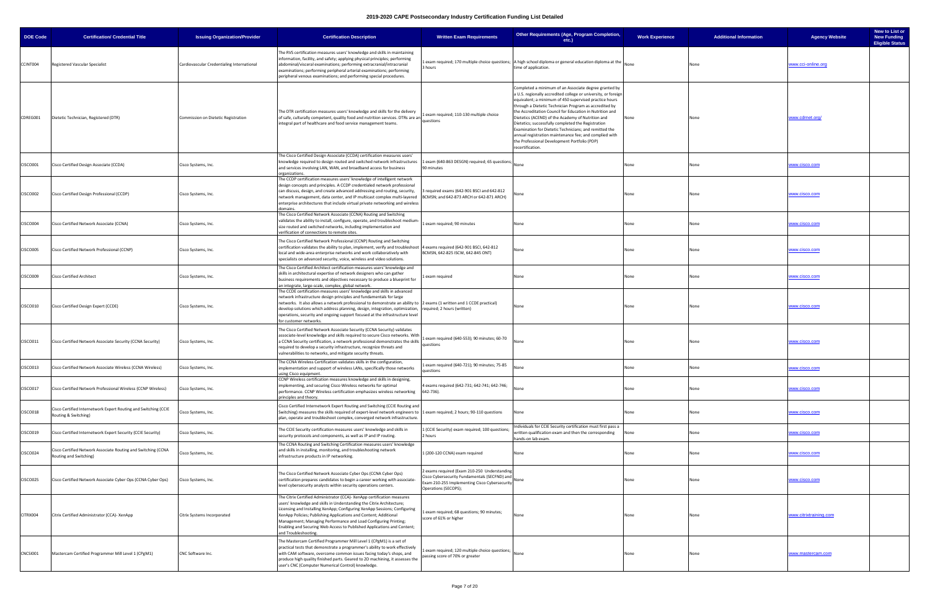| <b>DOE Code</b> | <b>Certification/ Credential Title</b>                                                  | <b>Issuing Organization/Provider</b>       | <b>Certification Description</b>                                                                                                                                                                                                                                                                                                                                                                                                                                       | <b>Written Exam Requirements</b>                                                                                                                                       | Other Requirements (Age, Program Completion,<br>etc.)                                                                                                                                                                                                                                                                                                                                                                                                                                                                                                                                                      | <b>Work Experience</b> | <b>Additional Information</b> | <b>Agency Website</b>  | New to List or<br><b>New Funding</b><br><b>Eligible Status</b> |
|-----------------|-----------------------------------------------------------------------------------------|--------------------------------------------|------------------------------------------------------------------------------------------------------------------------------------------------------------------------------------------------------------------------------------------------------------------------------------------------------------------------------------------------------------------------------------------------------------------------------------------------------------------------|------------------------------------------------------------------------------------------------------------------------------------------------------------------------|------------------------------------------------------------------------------------------------------------------------------------------------------------------------------------------------------------------------------------------------------------------------------------------------------------------------------------------------------------------------------------------------------------------------------------------------------------------------------------------------------------------------------------------------------------------------------------------------------------|------------------------|-------------------------------|------------------------|----------------------------------------------------------------|
| CCINT004        | Registered Vascular Specialist                                                          | Cardiovascular Credentialing International | The RVS certification measures users' knowledge and skills in maintaining<br>information, facility, and safety; applying physical principles; performing<br>abdominal/visceral examinations; performing extracranial/intracranial<br>examinations; performing peripheral arterial examinations; performing<br>peripheral venous examinations; and performing special procedures.                                                                                       | 3 hours                                                                                                                                                                | 1 exam required; 170 multiple choice questions; $ A$ high school diploma or general education diploma at the $ $ None<br>time of application.                                                                                                                                                                                                                                                                                                                                                                                                                                                              |                        | None                          | www.cci-online.org     |                                                                |
| CDREG001        | Dietetic Technician, Registered (DTR)                                                   | Commission on Dietetic Registration        | The DTR certification measures users' knowledge and skills for the delivery<br>of safe, culturally competent, quality food and nutrition services. DTRs are an<br>integral part of healthcare and food service management teams.                                                                                                                                                                                                                                       | 1 exam required; 110-130 multiple choice<br>questions                                                                                                                  | Completed a minimum of an Associate degree granted by<br>a U.S. regionally accredited college or university, or foreign<br>equivalent; a minimum of 450 supervised practice hours<br>through a Dietetic Technician Program as accredited by<br>the Accreditation Council for Education in Nutrition and<br>Dietetics (ACEND) of the Academy of Nutrition and<br>Dietetics; successfully completed the Registration<br>Examination for Dietetic Technicians; and remitted the<br>annual registration maintenance fee; and complied with<br>the Professional Development Portfolio (PDP)<br>recertification. | None                   | None                          | www.cdrnet.org/        |                                                                |
| CISCO001        | Cisco Certified Design Associate (CCDA)                                                 | Cisco Systems, Inc.                        | The Cisco Certified Design Associate (CCDA) certification measures users'<br>knowledge required to design routed and switched network infrastructures<br>and services involving LAN, WAN, and broadband access for business<br>organizations.                                                                                                                                                                                                                          | 1 exam (640-863 DESGN) required; 65 questions;<br>90 minutes                                                                                                           |                                                                                                                                                                                                                                                                                                                                                                                                                                                                                                                                                                                                            | None                   | None                          | www.cisco.com          |                                                                |
| <b>CISCO002</b> | Cisco Certified Design Professional (CCDP)                                              | Cisco Systems, Inc.                        | The CCDP certification measures users' knowledge of intelligent network<br>design concepts and principles. A CCDP credentialed network professional<br>can discuss, design, and create advanced addressing and routing, security,<br>network management, data center, and IP multicast complex multi-layered<br>enterprise architectures that include virtual private networking and wireless<br>domains.                                                              | 3 required exams (642-901 BSCI and 642-812<br>BCMSN; and 642-873 ARCH or 642-871 ARCH)                                                                                 | one                                                                                                                                                                                                                                                                                                                                                                                                                                                                                                                                                                                                        | None                   | None                          | www.cisco.com          |                                                                |
| CISCO004        | Cisco Certified Network Associate (CCNA)                                                | Cisco Systems, Inc.                        | The Cisco Certified Network Associate (CCNA) Routing and Switching<br>validates the ability to install, configure, operate, and troubleshoot medium<br>size routed and switched networks, including implementation and<br>verification of connections to remote sites.                                                                                                                                                                                                 | exam required; 90 minutes                                                                                                                                              | Vone                                                                                                                                                                                                                                                                                                                                                                                                                                                                                                                                                                                                       | None                   | None                          | ww.cisco.com           |                                                                |
| <b>CISCO005</b> | Cisco Certified Network Professional (CCNP)                                             | Cisco Systems, Inc.                        | The Cisco Certified Network Professional (CCNP) Routing and Switching<br>certification validates the ability to plan, implement, verify and troubleshoot  4 exams required (642-901 BSCI, 642-812<br>local and wide-area enterprise networks and work collaboratively with<br>specialists on advanced security, voice, wireless and video solutions.                                                                                                                   | BCMSN, 642-825 ISCW, 642-845 ONT)                                                                                                                                      | None                                                                                                                                                                                                                                                                                                                                                                                                                                                                                                                                                                                                       | None                   | None                          | www.cisco.com          |                                                                |
| <b>CISCO009</b> | <b>Cisco Certified Architect</b>                                                        | Cisco Systems, Inc.                        | The Cisco Certified Architect certification measures users' knowledge and<br>skills in architectural expertise of network designers who can gather<br>business requirements and objectives necessary to produce a blueprint for<br>an integrate, large-scale, complex, global network.                                                                                                                                                                                 | exam required                                                                                                                                                          | None                                                                                                                                                                                                                                                                                                                                                                                                                                                                                                                                                                                                       | None                   | None                          | www.cisco.com          |                                                                |
| CISCO010        | Cisco Certified Design Expert (CCDE)                                                    | Cisco Systems, Inc.                        | The CCDE certification measures users' knowledge and skills in advanced<br>network infrastructure design principles and fundamentals for large<br>networks. It also allows a network professional to demonstrate an ability to 2 exams (1 written and 1 CCDE practical)<br>develop solutions which address planning, design, integration, optimization,<br>operations, security and ongoing support focused at the infrastructure level<br>for customer networks.      | required; 2 hours (written)                                                                                                                                            | None                                                                                                                                                                                                                                                                                                                                                                                                                                                                                                                                                                                                       | None                   | None                          | www.cisco.com          |                                                                |
| CISCO011        | Cisco Certified Network Associate Security (CCNA Security)                              | Cisco Systems, Inc.                        | The Cisco Certified Network Associate Security (CCNA Security) validates<br>associate-level knowledge and skills required to secure Cisco networks. Wit<br>a CCNA Security certification, a network professional demonstrates the skills<br>required to develop a security infrastructure, recognize threats and<br>vulnerabilities to networks, and mitigate security threats.                                                                                        | exam required (640-553); 90 minutes; 60-70<br>questions                                                                                                                | None                                                                                                                                                                                                                                                                                                                                                                                                                                                                                                                                                                                                       | None                   | None                          | ww.cisco.com           |                                                                |
| CISCO013        | Cisco Certified Network Associate Wireless (CCNA Wireless)                              | Cisco Systems, Inc.                        | The CCNA Wireless Certification validates skills in the configuration,<br>implementation and support of wireless LANs, specifically those networks<br>using Cisco equipment.                                                                                                                                                                                                                                                                                           | exam required (640-721); 90 minutes; 75-85<br>questions                                                                                                                | None                                                                                                                                                                                                                                                                                                                                                                                                                                                                                                                                                                                                       | None                   | None                          | www.cisco.com          |                                                                |
| <b>CISCO017</b> | Cisco Certified Network Professional Wireless (CCNP Wireless)                           | Cisco Systems, Inc.                        | CCNP Wireless certification measures knowledge and skills in designing,<br>implementing, and securing Cisco Wireless networks for optimal<br>performance. CCNP Wireless certification emphasizes wireless networking<br>principles and theory.                                                                                                                                                                                                                         | 4 exams required (642-731; 642-741; 642-746;<br>642-736).                                                                                                              |                                                                                                                                                                                                                                                                                                                                                                                                                                                                                                                                                                                                            | None                   | None                          | www.cisco.com          |                                                                |
| <b>CISCO018</b> | Cisco Certified Internetwork Expert Routing and Switching (CCIE<br>Routing & Switching) | Cisco Systems, Inc.                        | Cisco Certified Internetwork Expert Routing and Switching (CCIE Routing and<br>Switching) measures the skills required of expert-level network engineers to 1 exam required; 2 hours; 90-110 questions<br>plan, operate and troubleshoot complex, converged network infrastructure.                                                                                                                                                                                    |                                                                                                                                                                        | None                                                                                                                                                                                                                                                                                                                                                                                                                                                                                                                                                                                                       | None                   | None                          | ww.cisco.com           |                                                                |
| CISCO019        | Cisco Certified Internetwork Expert Security (CCIE Security)                            | Cisco Systems, Inc.                        | The CCIE Security certification measures users' knowledge and skills in<br>security protocols and components, as well as IP and IP routing.                                                                                                                                                                                                                                                                                                                            | 1 (CCIE Security) exam required; 100 questions;<br>2 hours                                                                                                             | ndividuals for CCIE Security certification must first pass a<br>written qualification exam and then the corresponding<br>ands-on lab exam.                                                                                                                                                                                                                                                                                                                                                                                                                                                                 | None                   | None                          | www.cisco.com          |                                                                |
| <b>CISCO024</b> | Cisco Certified Network Associate Routing and Switching (CCNA<br>Routing and Switching) | Cisco Systems, Inc.                        | The CCNA Routing and Switching Certification measures users' knowledge<br>and skills in installing, monitoring, and troubleshooting network<br>infrastructure products in IP networking.                                                                                                                                                                                                                                                                               | 1 (200-120 CCNA) exam required                                                                                                                                         | None                                                                                                                                                                                                                                                                                                                                                                                                                                                                                                                                                                                                       | None                   | None                          | <u>www.cisco.com</u>   |                                                                |
| <b>CISCO025</b> | Cisco Certified Network Associate Cyber Ops (CCNA Cyber Ops)                            | Cisco Systems, Inc.                        | The Cisco Certified Network Associate Cyber Ops (CCNA Cyber Ops)<br>certification prepares candidates to begin a career working with associate-<br>evel cybersecurity analysts within security operations centers.                                                                                                                                                                                                                                                     | 2 exams required (Exam 210-250 Understanding<br>Cisco Cybersecurity Fundamentals (SECFND) and<br>Exam 210-255 Implementing Cisco Cybersecurity<br>Operations (SECOPS); |                                                                                                                                                                                                                                                                                                                                                                                                                                                                                                                                                                                                            | None                   | None                          | www.cisco.com          |                                                                |
| CITRX004        | Citrix Certified Administrator (CCA)- XenApp                                            | Citrix Systems Incorporated                | The Citrix Certified Administrator (CCA)- XenApp certification measures<br>users' knowledge and skills in Understanding the Citrix Architecture;<br>Licensing and Installing XenApp; Configuring XenApp Sessions; Configuring<br>XenApp Policies; Publishing Applications and Content; Additional<br>Management; Managing Performance and Load Configuring Printing;<br>Enabling and Securing Web Access to Published Applications and Content;<br>and Troubleshooting | exam required; 68 questions; 90 minutes;<br>score of 61% or higher                                                                                                     | Vone                                                                                                                                                                                                                                                                                                                                                                                                                                                                                                                                                                                                       | None                   | None                          | www.citrixtraining.com |                                                                |
| CNCSI001        | Mastercam Certified Programmer Mill Level 1 (CPgM1)                                     | CNC Software Inc.                          | The Mastercam Certified Programmer Mill Level 1 (CPgM1) is a set of<br>practical tests that demonstrate a programmer's ability to work effectively<br>with CAM software, overcome common issues facing today's shops, and<br>produce high quality finished parts. Geared to 2D machining, it assesses the<br>user's CNC (Computer Numerical Control) knowledge.                                                                                                        | Lexam required; 120 multiple choice questions;<br>passing score of 70% or greater                                                                                      |                                                                                                                                                                                                                                                                                                                                                                                                                                                                                                                                                                                                            | None                   | None                          | ww.mastercam.com       |                                                                |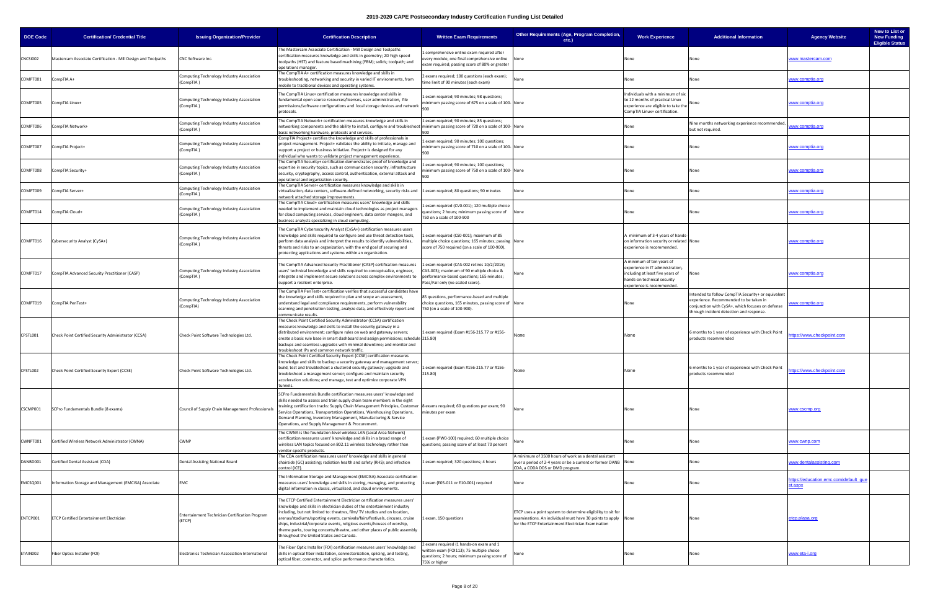| <b>DOE Code</b> | <b>Certification/ Credential Title</b>                        | <b>Issuing Organization/Provider</b>                     | <b>Certification Description</b>                                                                                                                                                                                                                                                                                                                                                                                                                                                                                          | <b>Written Exam Requirements</b>                                                                                                                                           | Other Requirements (Age, Program Completion,<br>$etc.$ )                                                                                                                            | <b>Work Experience</b>                                                                                                                                         | <b>Additional Information</b>                                                                                                                                                                | <b>Agency Website</b>                            | New to List or<br><b>New Funding</b><br><b>Eligible Status</b> |
|-----------------|---------------------------------------------------------------|----------------------------------------------------------|---------------------------------------------------------------------------------------------------------------------------------------------------------------------------------------------------------------------------------------------------------------------------------------------------------------------------------------------------------------------------------------------------------------------------------------------------------------------------------------------------------------------------|----------------------------------------------------------------------------------------------------------------------------------------------------------------------------|-------------------------------------------------------------------------------------------------------------------------------------------------------------------------------------|----------------------------------------------------------------------------------------------------------------------------------------------------------------|----------------------------------------------------------------------------------------------------------------------------------------------------------------------------------------------|--------------------------------------------------|----------------------------------------------------------------|
| CNCSI002        | Mastercam Associate Certification - Mill Design and Toolpaths | CNC Software Inc.                                        | The Mastercam Associate Certification - Mill Design and Toolpaths<br>certification measures knowledge and skills in geometry; 2D high speed<br>toolpaths (HST) and feature based machining (FBM); solids; toolpath; and<br>operations manager                                                                                                                                                                                                                                                                             | L comprehensive online exam required after<br>every module, one final comprehensive online<br>exam required; passing score of 80% or greater                               | None                                                                                                                                                                                | None                                                                                                                                                           | None                                                                                                                                                                                         | www.mastercam.com                                |                                                                |
| COMPT001        | CompTIA A+                                                    | Computing Technology Industry Association<br>(CompTIA)   | The CompTIA A+ certification measures knowledge and skills in<br>troubleshooting, networking and security in varied IT environments, from<br>mobile to traditional devices and operating systems.                                                                                                                                                                                                                                                                                                                         | 2 exams required; 100 questions (each exam);<br>time limit of 90 minutes (each exam)                                                                                       | None                                                                                                                                                                                | None                                                                                                                                                           | None                                                                                                                                                                                         | <u>www.comptia.org</u>                           |                                                                |
| COMPT005        | CompTIA Linux+                                                | Computing Technology Industry Association<br>(CompTIA)   | The CompTIA Linux+ certification measures knowledge and skills in<br>fundamental open source resources/licenses, user administration, file<br>permissions/software configurations and local storage devices and network<br>protocols.                                                                                                                                                                                                                                                                                     | 1 exam required; 90 minutes; 98 questions;<br>minimum passing score of 675 on a scale of 100-None<br>900                                                                   |                                                                                                                                                                                     | Individuals with a minimum of six<br>to 12 months of practical Linux<br>experience are eligible to take the<br>CompTIA Linux+ certification.                   |                                                                                                                                                                                              | <u>www.comptia.org</u>                           |                                                                |
| COMPT006        | CompTIA Network+                                              | Computing Technology Industry Association<br>(CompTIA)   | The CompTIA Network+ certification measures knowledge and skills in<br>networking components and the ability to install, configure and troubleshoot minimum passing score of 720 on a scale of 100-None<br>basic networking hardware, protocols and services.                                                                                                                                                                                                                                                             | 1 exam required; 90 minutes; 85 questions;<br>900                                                                                                                          |                                                                                                                                                                                     | None                                                                                                                                                           | Nine months networking experience recommended,<br>but not required.                                                                                                                          | www.comptia.org                                  |                                                                |
| COMPT007        | CompTIA Project+                                              | Computing Technology Industry Association<br>(CompTIA)   | CompTIA Project+ certifies the knowledge and skills of professionals in<br>project management. Project+ validates the ability to initiate, manage and<br>support a project or business initiative. Project+ is designed for any<br>ndividual who wants to validate project management experience.                                                                                                                                                                                                                         | 1 exam required; 90 minutes; 100 questions;<br>minimum passing score of 710 on a scale of 100-None<br>900                                                                  |                                                                                                                                                                                     | None                                                                                                                                                           | None                                                                                                                                                                                         | www.comptia.org                                  |                                                                |
| COMPT008        | CompTIA Security+                                             | Computing Technology Industry Association<br>(CompTIA)   | The CompTIA Security+ certification demonstrates proof of knowledge and<br>expertise in security topics, such as communication security, infrastructure<br>security, cryptography, access control, authentication, external attack and<br>operational and organization security.                                                                                                                                                                                                                                          | exam required; 90 minutes; 100 questions;<br>minimum passing score of 750 on a scale of 100-None                                                                           |                                                                                                                                                                                     | None                                                                                                                                                           | None                                                                                                                                                                                         | www.comptia.org                                  |                                                                |
| COMPT009        | CompTIA Server+                                               | Computing Technology Industry Association<br>(CompTIA)   | The CompTIA Server+ certification measures knowledge and skills in<br>virtualization, data centers, software-defined networking, security risks and 1 exam required; 80 questions; 90 minutes<br>network attached storage improvements.                                                                                                                                                                                                                                                                                   |                                                                                                                                                                            | None                                                                                                                                                                                | None                                                                                                                                                           | None                                                                                                                                                                                         | www.comptia.org                                  |                                                                |
| COMPT014        | CompTIA Cloud+                                                | Computing Technology Industry Association<br>(CompTIA)   | The CompTIA Cloud+ certification measures users' knowledge and skills<br>needed to implement and maintain cloud technologies as project managers<br>for cloud computing services, cloud engineers, data center mangers, and<br>business analysts specializing in cloud computing                                                                                                                                                                                                                                          | 1 exam required (CV0-001); 120 multiple choice<br>questions; 2 hours; minimum passing score of<br>750 on a scale of 100-900                                                | None                                                                                                                                                                                | None                                                                                                                                                           | None                                                                                                                                                                                         | www.comptia.org                                  |                                                                |
| COMPT016        | Cybersecurity Analyst (CySA+)                                 | Computing Technology Industry Association<br>(CompTIA)   | The CompTIA Cybersecurity Analyst (CySA+) certification measures users<br>knowledge and skills required to configure and use threat detection tools,<br>perform data analysis and interpret the results to identify vulnerabilities,<br>threats and risks to an organization, with the end goal of securing and<br>protecting applications and systems within an organization.                                                                                                                                            | Lexam required (CS0-001); maximum of 85<br>multiple choice questions; 165 minutes; passing None<br>score of 750 required (on a scale of 100-900).                          |                                                                                                                                                                                     | minimum of 3-4 years of hands<br>on information security or related None<br>experience is recommended.                                                         |                                                                                                                                                                                              | <u>www.comptia.orc</u>                           |                                                                |
| COMPT017        | CompTIA Advanced Security Practitioner (CASP)                 | Computing Technology Industry Association<br>(CompTIA)   | The CompTIA Advanced Security Practitioner (CASP) certification measures<br>users' technical knowledge and skills required to conceptualize, engineer,<br>integrate and implement secure solutions across complex environments to<br>support a resilient enterprise.                                                                                                                                                                                                                                                      | 1 exam required (CAS-002 retires 10/2/2018;<br>CAS-003); maximum of 90 multiple choice &<br>performance-based questions; 165 minutes;<br>Pass/Fail only (no scaled score). | lone                                                                                                                                                                                | A minimum of ten years of<br>experience in IT administration,<br>including at least five years of<br>hands-on technical security<br>experience is recommended. | None                                                                                                                                                                                         | <u>www.comptia.org</u>                           |                                                                |
| COMPT019        | CompTIA PenTest+                                              | Computing Technology Industry Association<br>(CompTIA)   | The CompTIA PenTest+ certification verifies that successful candidates have<br>the knowledge and skills required to plan and scope an assessment,<br>understand legal and compliance requirements, perform vulnerability<br>scanning and penetration testing, analyze data, and effectively report and<br>communicate results                                                                                                                                                                                             | 85 questions, performance-based and multiple<br>choice questions, 165 minutes, passing score of None<br>750 (on a scale of 100-900).                                       |                                                                                                                                                                                     |                                                                                                                                                                | Intended to follow CompTIA Security+ or equivalent<br>experience. Recommended to be taken in<br>conjunction with CySA+, which focuses on defense<br>through incident detection and response. | ww.comptia.org                                   |                                                                |
| CPSTL001        | Check Point Certified Security Administrator (CCSA)           | Check Point Software Technologies Ltd.                   | The Check Point Certified Security Administrator (CCSA) certification<br>measures knowledge and skills to install the security gateway in a<br>distributed environment; configure rules on web and gateway servers;<br>create a basic rule base in smart dashboard and assign permissions; schedule 215.80)<br>backups and seamless upgrades with minimal downtime; and monitor and<br>roubleshoot IPs and common network traffic.                                                                                        | 1 exam required (Exam #156-215.77 or #156-                                                                                                                                 | None                                                                                                                                                                                | None                                                                                                                                                           | 5 months to 1 year of experience with Check Point<br>products recommended                                                                                                                    | ttps://www.checkpoint.com                        |                                                                |
| CPSTL002        | Check Point Certified Security Expert (CCSE)                  | Check Point Software Technologies Ltd.                   | The Check Point Certified Security Expert (CCSE) certification measures<br>knowledge and skills to backup a security gateway and management server;<br>build, test and troubleshoot a clustered security gateway; upgrade and<br>troubleshoot a management server; configure and maintain security<br>acceleration solutions; and manage, test and optimize corporate VPN<br>tunnels.                                                                                                                                     | 1 exam required (Exam #156-215.77 or #156-<br>215.80)                                                                                                                      | None                                                                                                                                                                                | None                                                                                                                                                           | months to 1 year of experience with Check Point<br>products recommended                                                                                                                      | https://www.checkpoint.com                       |                                                                |
| CSCMP001        | SCPro Fundamentals Bundle (8 exams)                           | Council of Supply Chain Management Professionals         | SCPro Fundamentals Bundle certification measures users' knowledge and<br>skills needed to assess and train supply chain team members in the eight<br>training certification tracks: Supply Chain Management Principles, Customer<br>Service Operations, Transportation Operations, Warehousing Operations,<br>Demand Planning, Inventory Management, Manufacturing & Service<br>Operations, and Supply Management & Procurement.                                                                                          | 8 exams required; 60 questions per exam; 90<br>minutes per exam                                                                                                            | None                                                                                                                                                                                | None                                                                                                                                                           | None                                                                                                                                                                                         | www.cscmp.org                                    |                                                                |
| CWNPT001        | Certified Wireless Network Administrator (CWNA)               | <b>CWNP</b>                                              | The CWNA is the foundation-level wireless LAN (Local Area Network)<br>certification measures users' knowledge and skills in a broad range of<br>wireless LAN topics focused on 802.11 wireless technology rather than<br>vendor-specific products.                                                                                                                                                                                                                                                                        | 1 exam (PW0-100) required; 60 multiple choice<br>questions; passing score of at least 70 percent                                                                           | None                                                                                                                                                                                | None                                                                                                                                                           | None                                                                                                                                                                                         | www.cwnp.com                                     |                                                                |
| DANBD001        | Certified Dental Assistant (CDA)                              | Dental Assisting National Board                          | The CDA certification measures users' knowledge and skills in general<br>chairside (GC) assisting; radiation health and safety (RHS); and infection<br>control (ICE).                                                                                                                                                                                                                                                                                                                                                     | 1 exam required; 320 questions; 4 hours                                                                                                                                    | A minimum of 3500 hours of work as a dental assistant<br>over a period of 2-4 years or be a current or former DANB None<br>DA, a CODA DDS or DMD program.                           |                                                                                                                                                                | None                                                                                                                                                                                         | www.dentalassisting.com                          |                                                                |
| EMCSQ001        | Information Storage and Management (EMCISA) Associate         | EMC                                                      | The Information Storage and Management (EMCISA) Associate certification<br>measures users' knowledge and skills in storing, managing, and protecting<br>digital information in classic, virtualized, and cloud environments.                                                                                                                                                                                                                                                                                              | 1 exam (E05-011 or E10-001) required                                                                                                                                       | None                                                                                                                                                                                | None                                                                                                                                                           | None                                                                                                                                                                                         | ittps://education.emc.com/default_que<br>st.aspx |                                                                |
| ENTCP001        | ETCP Certified Entertainment Electrician                      | Entertainment Technician Certification Program<br>(ETCP) | The ETCP Certified Entertainment Electrician certification measures users'<br>knowledge and skills in electrician duties of the entertainment industry<br>including, but not limited to: theatres, film/ TV studios and on location,<br>arenas/stadiums/sporting events, carnivals/fairs/festivals, circuses, cruise<br>ships, industrial/corporate events, religious events/houses of worship,<br>theme parks, touring concerts/theatre, and other places of public assembly<br>throughout the United States and Canada. | 1 exam, 150 questions                                                                                                                                                      | ETCP uses a point system to determine eligibility to sit for<br>examinations. An individual must have 30 points to apply None<br>for the ETCP Entertainment Electrician Examination |                                                                                                                                                                | None                                                                                                                                                                                         | etcp.plasa.org                                   |                                                                |
| ETAIN002        | Fiber Optics Installer (FOI)                                  | Electronics Technician Association International         | The Fiber Optic Installer (FOI) certification measures users' knowledge and<br>skills in optical fiber installation, connectorization, splicing, and testing,<br>optical fiber, connector, and splice performance characteristics.                                                                                                                                                                                                                                                                                        | 2 exams required (1 hands-on exam and 1<br>written exam (FOI113); 75 multiple choice<br>questions; 2 hours; minimum passing score of<br>75% or higher                      | None                                                                                                                                                                                | None                                                                                                                                                           | None                                                                                                                                                                                         | <u>www.eta-i.org</u>                             |                                                                |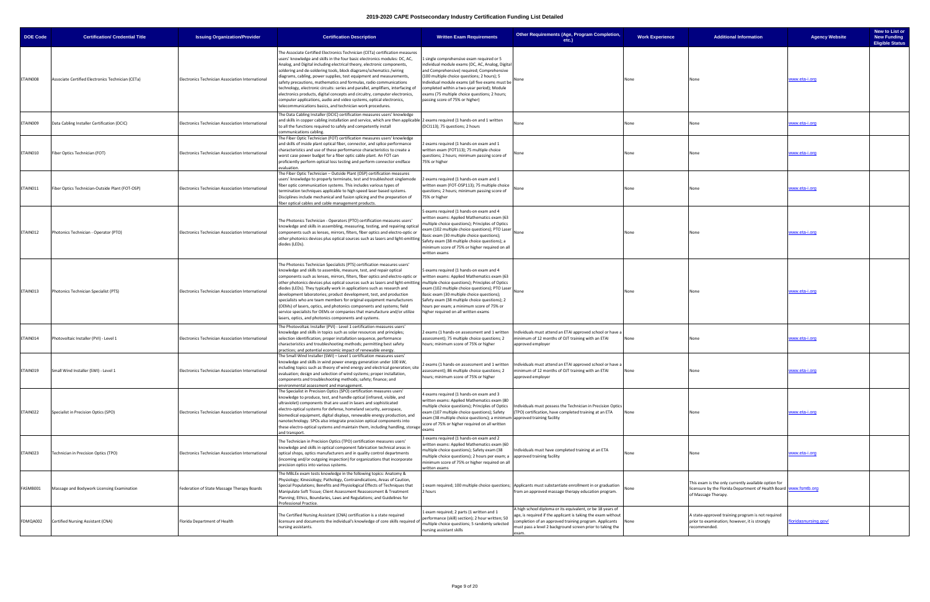| <b>DOE Code</b> | <b>Certification/ Credential Title</b>            | <b>Issuing Organization/Provider</b>             | <b>Certification Description</b>                                                                                                                                                                                                                                                                                                                                                                                                                                                                                                                                                                                                                                                                                                                                                                                | <b>Written Exam Requirements</b>                                                                                                                                                                                                                                                                                                                                                   | Other Requirements (Age, Program Completion,<br>etc.)                                                                                                                                                                                                      | <b>Work Experience</b> | <b>Additional Information</b>                                                                                                                   | <b>Agency Website</b>      | New to List or<br><b>New Funding</b><br><b>Eligible Status</b> |
|-----------------|---------------------------------------------------|--------------------------------------------------|-----------------------------------------------------------------------------------------------------------------------------------------------------------------------------------------------------------------------------------------------------------------------------------------------------------------------------------------------------------------------------------------------------------------------------------------------------------------------------------------------------------------------------------------------------------------------------------------------------------------------------------------------------------------------------------------------------------------------------------------------------------------------------------------------------------------|------------------------------------------------------------------------------------------------------------------------------------------------------------------------------------------------------------------------------------------------------------------------------------------------------------------------------------------------------------------------------------|------------------------------------------------------------------------------------------------------------------------------------------------------------------------------------------------------------------------------------------------------------|------------------------|-------------------------------------------------------------------------------------------------------------------------------------------------|----------------------------|----------------------------------------------------------------|
| ETAIN008        | Associate Certified Electronics Technician (CETa) | Electronics Technician Association International | The Associate Certified Electronics Technician (CETa) certification measures<br>users' knowledge and skills in the four basic electronics modules: DC, AC,<br>Analog, and Digital including electrical theory, electronic components,<br>soldering and de-soldering tools, block diagrams/schematics /wiring<br>liagrams, cabling, power supplies, test equipment and measurements,<br>safety precautions, mathematics and formulas, radio communications<br>technology, electronic circuits: series and parallel, amplifiers, interfacing of<br>electronics products, digital concepts and circuitry, computer electronics,<br>computer applications, audio and video systems, optical electronics,<br>elecommunications basics, and technician work procedures.                                               | 1 single comprehensive exam required or 5<br>individual module exams (DC, AC, Analog, Digital<br>and Comprehensive) required; Comprehensive<br>(100 multiple choice questions; 2 hours); 5<br>Individual module exams (all five exams must be  <br>completed within a two-year period); Module<br>exams (75 multiple choice questions; 2 hours;<br>passing score of 75% or higher) |                                                                                                                                                                                                                                                            | None                   | None                                                                                                                                            | www.eta-i.orq              |                                                                |
| ETAIN009        | Data Cabling Installer Certification (DCIC)       | Electronics Technician Association International | The Data Cabling Installer (DCIC) certification measures users' knowledge<br>and skills in copper cabling installation and service, which are then applicable  2 exams required (1 hands-on and 1 written<br>to all the functions required to safely and competently install<br>communications cabling                                                                                                                                                                                                                                                                                                                                                                                                                                                                                                          | (DCI113); 75 questions; 2 hours                                                                                                                                                                                                                                                                                                                                                    | None                                                                                                                                                                                                                                                       | None                   |                                                                                                                                                 | <u>vww.eta-i.org</u>       |                                                                |
| ETAIN010        | Fiber Optics Technician (FOT)                     | Electronics Technician Association International | The Fiber Optic Technician (FOT) certification measures users' knowledge<br>and skills of inside plant optical fiber, connector, and splice performance<br>characteristics and use of these performance characteristics to create a<br>worst case power budget for a fiber optic cable plant. An FOT can<br>proficiently perform optical loss testing and perform connector endface<br>evaluation.                                                                                                                                                                                                                                                                                                                                                                                                              | 2 exams required (1 hands-on exam and 1<br>written exam (FOT113); 75 multiple choice<br>questions; 2 hours; minimum passing score of<br>75% or higher                                                                                                                                                                                                                              | None                                                                                                                                                                                                                                                       | None                   |                                                                                                                                                 | <u>vww.eta-i.org</u>       |                                                                |
| ETAIN011        | Fiber Optics Technician-Outside Plant (FOT-OSP)   | Electronics Technician Association International | The Fiber Optic Technician - Outside Plant (OSP) certification measures<br>users' knowledge to properly terminate, test and troubleshoot singlemode<br>fiber optic communication systems. This includes various types of<br>termination techniques applicable to high speed laser based systems.<br>Disciplines include mechanical and fusion splicing and the preparation of<br>fiber optical cables and cable management products.                                                                                                                                                                                                                                                                                                                                                                            | 2 exams required (1 hands-on exam and 1<br>written exam (FOT-OSP113); 75 multiple choice<br>questions; 2 hours; minimum passing score of<br>75% or higher                                                                                                                                                                                                                          |                                                                                                                                                                                                                                                            | None                   |                                                                                                                                                 | <u>www.eta-i.org</u>       |                                                                |
| ETAIN012        | Photonics Technician - Operator (PTO)             | Electronics Technician Association International | The Photonics Technician - Operators (PTO) certification measures users'<br>knowledge and skills in assembling, measuring, testing, and repairing optical<br>components such as lenses, mirrors, filters, fiber optics and electro-optic or<br>other photonics devices plus optical sources such as lasers and light-emitting<br>diodes (LEDs).                                                                                                                                                                                                                                                                                                                                                                                                                                                                 | 5 exams required (1 hands-on exam and 4<br>written exams: Applied Mathematics exam (63<br>multiple choice questions); Principles of Optics<br>exam (102 multiple choice questions); PTO Laser None<br>Basic exam (30 multiple choice questions);<br>Safety exam (38 multiple choice questions); a<br>minimum score of 75% or higher required on all<br>written exams               |                                                                                                                                                                                                                                                            | None                   | None                                                                                                                                            | <u>www.eta-i.org</u>       |                                                                |
| ETAIN013        | Photonics Technician Specialist (PTS)             | Electronics Technician Association International | The Photonics Technician Specialists (PTS) certification measures users'<br>knowledge and skills to assemble, measure, test, and repair optical<br>components such as lenses, mirrors, filters, fiber optics and electro-optic or<br>other photonics devices plus optical sources such as lasers and light-emitting  multiple choice questions); Principles of Optics<br>diodes (LEDs). They typically work in applications such as research and<br>development laboratories; product development, test, and production<br>specialists who are team members for original equipment manufacturers<br>(OEMs) of lasers, optics, and photonics components and systems; field<br>service specialists for OEMs or companies that manufacture and/or utilize<br>lasers, optics, and photonics components and systems. | 5 exams required (1 hands-on exam and 4<br>written exams: Applied Mathematics exam (63<br>exam (102 multiple choice questions); PTO Laser<br>Basic exam (30 multiple choice questions);<br>Safety exam (38 multiple choice questions); 2<br>hours per exam; a minimum score of 75% or<br>higher required on all written exams                                                      | None                                                                                                                                                                                                                                                       | None                   | None                                                                                                                                            | www.eta-i.org              |                                                                |
| ETAIN014        | Photovoltaic Installer (PVI) - Level 1            | Electronics Technician Association International | The Photovoltaic Installer (PVI) - Level 1 certification measures users'<br>knowledge and skills in topics such as solar resources and principles;<br>selection identification; proper installation sequence, performance<br>characteristics and troubleshooting methods; permitting best safety<br>practices; and potential economic impact of renewable energy.                                                                                                                                                                                                                                                                                                                                                                                                                                               | 2 exams (1 hands-on assessment and 1 written<br>assessment); 75 multiple choice questions; 2<br>hours; minimum score of 75% or higher                                                                                                                                                                                                                                              | Individuals must attend an ETAI approved school or have a<br>minimum of 12 months of OJT training with an ETAI<br>approved employer                                                                                                                        | None                   |                                                                                                                                                 | <u>vww.eta-i.orq</u>       |                                                                |
| ETAIN019        | Small Wind Installer (SWI) - Level 1              | Electronics Technician Association International | The Small Wind Installer (SWI) – Level 1 certification measures users'<br>knowledge and skills in wind power energy generation under 100 kW,<br>cluding topics such as theory of wind energy and electrical generation; site<br>evaluation; design and selection of wind systems; proper installation,<br>components and troubleshooting methods; safety; finance; and<br>environmental assessment and management.                                                                                                                                                                                                                                                                                                                                                                                              | assessment); 86 multiple choice questions; 2<br>hours; minimum score of 75% or higher                                                                                                                                                                                                                                                                                              | 2 exams (1 hands-on assessment and 1 written   Individuals must attend an ETAI approved school or have a<br>minimum of 12 months of OJT training with an ETAI<br>approved employer                                                                         | None                   | None                                                                                                                                            | www.eta-i.org              |                                                                |
| ETAIN022        | Specialist in Precision Optics (SPO)              | Electronics Technician Association International | The Specialist in Precision Optics (SPO) certification measures users'<br>knowledge to produce, test, and handle optical (infrared, visible, and<br>ultraviolet) components that are used in lasers and sophisticated<br>electro-optical systems for defense, homeland security, aerospace,<br>biomedical equipment, digital displays, renewable energy production, and<br>nanotechnology. SPOs also integrate precision optical components into<br>these electro-optical systems and maintain them, including handling, storage<br>and transport.                                                                                                                                                                                                                                                              | 4 exams required (1 hands-on exam and 3<br>written exams: Applied Mathematics exam (80<br>multiple choice questions); Principles of Optics<br>exam (107 multiple choice questions); Safety<br>exam (38 multiple choice questions); a minimum approved training facility<br>score of 75% or higher required on all written<br>exams                                                 | Individuals must possess the Technician in Precision Optics<br>(TPO) certification, have completed training at an ETA                                                                                                                                      | None                   |                                                                                                                                                 | www.eta-i.org              |                                                                |
| ETAIN023        | Technician in Precision Optics (TPO)              | Electronics Technician Association International | The Technician in Precision Optics (TPO) certification measures users'<br>knowledge and skills in optical component fabrication technical areas in<br>optical shops, optics manufacturers and in quality control departments<br>(incoming and/or outgoing inspection) for organizations that incorporate<br>precision optics into various systems.                                                                                                                                                                                                                                                                                                                                                                                                                                                              | 3 exams required (1 hands-on exam and 2<br>written exams: Applied Mathematics exam (60<br>multiple choice questions); Safety exam (38<br>multiple choice questions); 2 hours per exam; a<br>minimum score of 75% or higher required on all<br>written exams                                                                                                                        | ndividuals must have completed training at an ETA<br>approved training facility                                                                                                                                                                            | None                   | None                                                                                                                                            | <u>vww.eta-i.orq</u>       |                                                                |
| FASMB001        | Massage and Bodywork Licensing Examination        | Federation of State Massage Therapy Boards       | The MBLEx exam tests knowledge in the following topics: Anatomy &<br>Physiology; Kinesiology; Pathology, Contraindications, Areas of Caution,<br>Special Populations; Benefits and Physiological Effects of Techniques that<br>Manipulate Soft Tissue; Client Assessment Reassessment & Treatment<br>Planning; Ethics, Boundaries, Laws and Regulations; and Guidelines for<br>Professional Practice.                                                                                                                                                                                                                                                                                                                                                                                                           | 2 hours                                                                                                                                                                                                                                                                                                                                                                            | exam required; 100 multiple choice questions; Applicants must substantiate enrollment in or graduation<br>from an approved massage therapy education program.                                                                                              |                        | This exam is the only currently available option for<br>icensure by the Florida Department of Health Board Www.fsmtb.org<br>of Massage Therapy. |                            |                                                                |
| FDMQA002        | Certified Nursing Assistant (CNA)                 | Florida Department of Health                     | The Certified Nursing Assistant (CNA) certification is a state required<br>licensure and documents the individual's knowledge of core skills required o<br>nursing assistants.                                                                                                                                                                                                                                                                                                                                                                                                                                                                                                                                                                                                                                  | exam required; 2 parts (1 written and 1<br>performance (skill) section); 2 hour written; 50<br>multiple choice questions; 5 randomly selected<br>nursing assistant skills                                                                                                                                                                                                          | A high school diploma or its equivalent, or be 18 years of<br>age, is required if the applicant is taking the exam without<br>completion of an approved training program. Applicants<br>must pass a level 2 background screen prior to taking the<br>exam. | None                   | state-approved training program is not required<br>prior to examination; however, it is strongly<br>recommended.                                | <u>loridasnursing.gov/</u> |                                                                |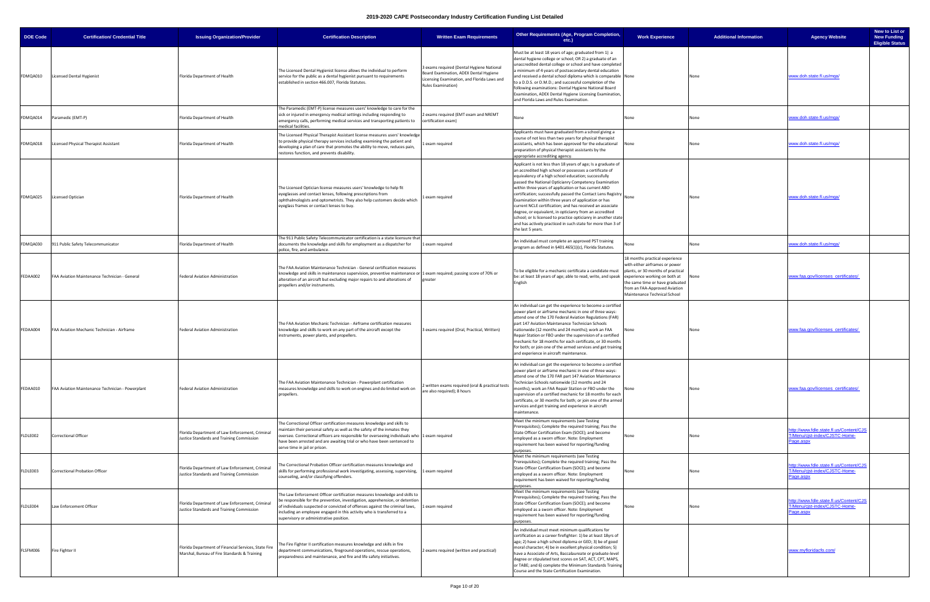| <b>DOE Code</b> | <b>Certification/ Credential Title</b>           | <b>Issuing Organization/Provider</b>                                                                 | <b>Certification Description</b>                                                                                                                                                                                                                                                                                                                                 | <b>Written Exam Requirements</b>                                                                                                                                | Other Requirements (Age, Program Completion,<br>$etc.$ )                                                                                                                                                                                                                                                                                                                                                                                                                                                                                                                                                                                                                                               | <b>Work Experience</b>                                                                                                                                                                                    | <b>Additional Information</b> | <b>Agency Website</b>                                                                 | New to List or<br><b>New Funding</b><br><b>Eligible Status</b> |
|-----------------|--------------------------------------------------|------------------------------------------------------------------------------------------------------|------------------------------------------------------------------------------------------------------------------------------------------------------------------------------------------------------------------------------------------------------------------------------------------------------------------------------------------------------------------|-----------------------------------------------------------------------------------------------------------------------------------------------------------------|--------------------------------------------------------------------------------------------------------------------------------------------------------------------------------------------------------------------------------------------------------------------------------------------------------------------------------------------------------------------------------------------------------------------------------------------------------------------------------------------------------------------------------------------------------------------------------------------------------------------------------------------------------------------------------------------------------|-----------------------------------------------------------------------------------------------------------------------------------------------------------------------------------------------------------|-------------------------------|---------------------------------------------------------------------------------------|----------------------------------------------------------------|
| FDMQA010        | <b>Licensed Dental Hygienist</b>                 | Florida Department of Health                                                                         | The Licensed Dental Hygienist license allows the individual to perform<br>service for the public as a dental hygienist pursuant to requirements<br>established in section 466.007, Florida Statutes.                                                                                                                                                             | 3 exams required (Dental Hygiene National<br>Board Examination, ADEX Dental Hygiene<br>Licensing Examination, and Florida Laws and<br><b>Rules Examination)</b> | Must be at least 18 years of age; graduated from 1) a<br>dental hygiene college or school; OR 2) a graduate of an<br>unaccredited dental college or school and have completed<br>minimum of 4 years of postsecondary dental education<br>and received a dental school diploma which is comparable None<br>to a D.D.S. or D.M.D.; and successful completion of the<br>following examinations: Dental Hygiene National Board<br>Examination, ADEX Dental Hygiene Licensing Examination,<br>and Florida Laws and Rules Examination.                                                                                                                                                                       |                                                                                                                                                                                                           | None                          | www.doh.state.fl.us/mqa/                                                              |                                                                |
| FDMQA014        | Paramedic (EMT-P)                                | Florida Department of Health                                                                         | The Paramedic (EMT-P) license measures users' knowledge to care for the<br>sick or injured in emergency medical settings including responding to<br>emergency calls, performing medical services and transporting patients to<br>medical facilities.                                                                                                             | 2 exams required (EMT exam and NREMT<br>certification exam)                                                                                                     | None                                                                                                                                                                                                                                                                                                                                                                                                                                                                                                                                                                                                                                                                                                   | None                                                                                                                                                                                                      | None                          | www.doh.state.fl.us/mqa/                                                              |                                                                |
| FDMQA018        | Licensed Physical Therapist Assistant            | Florida Department of Health                                                                         | The Licensed Physical Therapist Assistant license measures users' knowledge<br>to provide physical therapy services including examining the patient and<br>developing a plan of care that promotes the ability to move, reduces pain,<br>restores function, and prevents disability.                                                                             | 1 exam required                                                                                                                                                 | Applicants must have graduated from a school giving a<br>course of not less than two years for physical therapist<br>assistants, which has been approved for the educational<br>preparation of physical therapist assistants by the<br>appropriate accrediting agency.                                                                                                                                                                                                                                                                                                                                                                                                                                 | None                                                                                                                                                                                                      |                               | www.doh.state.fl.us/mqa/                                                              |                                                                |
| FDMQA025        | <b>Licensed Optician</b>                         | Florida Department of Health                                                                         | The Licensed Optician license measures users' knowledge to help fit<br>eyeglasses and contact lenses, following prescriptions from<br>ophthalmologists and optometrists. They also help customers decide which<br>eyeglass frames or contact lenses to buy.                                                                                                      | 1 exam required                                                                                                                                                 | Applicant is not less than 18 years of age; Is a graduate of<br>an accredited high school or possesses a certificate of<br>equivalency of a high school education; successfully<br>passed the National Opticianry Competency Examination<br>within three years of application or has current ABO<br>certification; successfully passed the Contact Lens Registry<br>Examination within three years of application or has<br>current NCLE certification; and has received an associate<br>degree, or equivalent, in opticianry from an accredited<br>school; or Is licensed to practice opticianry in another state<br>and has actively practiced in such state for more than 3 of<br>the last 5 years. | None                                                                                                                                                                                                      | None                          | www.doh.state.fl.us/mqa/                                                              |                                                                |
| FDMQA030        | 911 Public Safety Telecommunicator               | Florida Department of Health                                                                         | The 911 Public Safety Telecommunicator certification is a state licensure that<br>documents the knowledge and skills for employment as a dispatcher for<br>police, fire, and ambulance.                                                                                                                                                                          | 1 exam required                                                                                                                                                 | An individual must complete an approved PST training<br>orogram as defined in §401.465(1)(c), Florida Statutes.                                                                                                                                                                                                                                                                                                                                                                                                                                                                                                                                                                                        |                                                                                                                                                                                                           | None                          | www.doh.state.fl.us/mga/                                                              |                                                                |
| FEDAA002        | FAA Aviation Maintenance Technician - General    | Federal Aviation Administration                                                                      | The FAA Aviation Maintenance Technician - General certification measures<br>knowledge and skills in maintenance supervision, preventive maintenance or 1 exam required; passing score of 70% or<br>alteration of an aircraft but excluding major repairs to and alterations of<br>propellers and/or instruments.                                                 | greater                                                                                                                                                         | To be eligible for a mechanic certificate a candidate must<br>be: at least 18 years of age; able to read, write, and speak experience working on both at<br>English                                                                                                                                                                                                                                                                                                                                                                                                                                                                                                                                    | 18 months practical experience<br>with either airframes or power<br>plants, or 30 months of practical<br>the same time or have graduated<br>from an FAA-Approved Aviation<br>Maintenance Technical School |                               | ww.faa.gov/licenses certificates/                                                     |                                                                |
| FEDAA004        | FAA Aviation Mechanic Technician - Airframe      | Federal Aviation Administration                                                                      | The FAA Aviation Mechanic Technician - Airframe certification measures<br>knowledge and skills to work on any part of the aircraft except the<br>instruments, power plants, and propellers.                                                                                                                                                                      | 3 exams required (Oral, Practical, Written)                                                                                                                     | An individual can get the experience to become a certified<br>power plant or airframe mechanic in one of three ways:<br>attend one of the 170 Federal Aviation Regulations (FAR)<br>part 147 Aviation Maintenance Technician Schools<br>nationwide (12 months and 24 months); work an FAA<br>Repair Station or FBO under the supervision of a certified<br>mechanic for 18 months for each certificate, or 30 months<br>for both; or join one of the armed services and get training<br>and experience in aircraft maintenance.                                                                                                                                                                        | None                                                                                                                                                                                                      | None                          | www.faa.gov/licenses certificates/                                                    |                                                                |
| FEDAA010        | FAA Aviation Maintenance Technician - Powerplant | Federal Aviation Administration                                                                      | The FAA Aviation Maintenance Technician - Powerplant certification<br>measures knowledge and skills to work on engines and do limited work on<br>propellers.                                                                                                                                                                                                     | 2 written exams required (oral & practical tests<br>are also required); 8 hours                                                                                 | An individual can get the experience to become a certified<br>power plant or airframe mechanic in one of three ways:<br>attend one of the 170 FAR part 147 Aviation Maintenance<br>Technician Schools nationwide (12 months and 24<br>months); work an FAA Repair Station or FBO under the<br>supervision of a certified mechanic for 18 months for each<br>certificate, or 30 months for both; or join one of the armed<br>services and get training and experience in aircraft<br>maintenance.                                                                                                                                                                                                       | None                                                                                                                                                                                                      | None                          | www.faa.gov/licenses certificates/                                                    |                                                                |
| FLDLE002        | <b>Correctional Officer</b>                      | Florida Department of Law Enforcement, Criminal<br>Justice Standards and Training Commission         | The Correctional Officer certification measures knowledge and skills to<br>maintain their personal safety as well as the safety of the inmates they<br>oversee. Correctional officers are responsible for overseeing individuals who 1 exam required<br>have been arrested and are awaiting trial or who have been sentenced to<br>serve time in jail or prison. |                                                                                                                                                                 | Meet the minimum requirements (see Testing<br>Prerequisites); Complete the required training; Pass the<br>State Officer Certification Exam (SOCE); and become<br>employed as a sworn officer. Note: Employment<br>requirement has been waived for reporting/funding<br>purposes.                                                                                                                                                                                                                                                                                                                                                                                                                       |                                                                                                                                                                                                           |                               | http://www.fdle.state.fl.us/Content/CJS<br>T/Menu/cist-index/CJSTC-Home-<br>Page.aspx |                                                                |
| FLDLE003        | Correctional Probation Officer                   | Florida Department of Law Enforcement, Criminal<br>Justice Standards and Training Commission         | The Correctional Probation Officer certification measures knowledge and<br>skills for performing professional work investigating, assessing, supervising, 1 exam required<br>counseling, and/or classifying offenders.                                                                                                                                           |                                                                                                                                                                 | Meet the minimum requirements (see Testing<br>Prerequisites); Complete the required training; Pass the<br>State Officer Certification Exam (SOCE); and become<br>employed as a sworn officer. Note: Employment<br>requirement has been waived for reporting/funding<br>urposes.                                                                                                                                                                                                                                                                                                                                                                                                                        |                                                                                                                                                                                                           |                               | http://www.fdle.state.fl.us/Content/CJS<br>T/Menu/cjst-index/CJSTC-Home-<br>Page.aspx |                                                                |
| LDLE004         | Law Enforcement Officer                          | Florida Department of Law Enforcement, Criminal<br>Justice Standards and Training Commission         | The Law Enforcement Officer certification measures knowledge and skills to<br>be responsible for the prevention, investigation, apprehension, or detention<br>of individuals suspected or convicted of offenses against the criminal laws,<br>including an employee engaged in this activity who is transferred to a<br>supervisory or administrative position.  | 1 exam required                                                                                                                                                 | Meet the minimum requirements (see Testing<br>Prerequisites); Complete the required training; Pass the<br>State Officer Certification Exam (SOCE); and become<br>employed as a sworn officer. Note: Employment<br>requirement has been waived for reporting/funding<br>ourposes.                                                                                                                                                                                                                                                                                                                                                                                                                       |                                                                                                                                                                                                           |                               | http://www.fdle.state.fl.us/Content/CJS<br>T/Menu/cist-index/CJSTC-Home-<br>Page.aspx |                                                                |
| FLSFM006        | Fire Fighter II                                  | Florida Department of Financial Services, State Fire<br>Marshal, Bureau of Fire Standards & Training | The Fire Fighter II certification measures knowledge and skills in fire<br>department communications, fireground operations, rescue operations,<br>preparedness and maintenance, and fire and life safety initiatives.                                                                                                                                           | 2 exams required (written and practical)                                                                                                                        | An individual must meet minimum qualifications for<br>certification as a career firefighter: 1) be at least 18yrs of<br>age; 2) have a high school diploma or GED; 3) be of good<br>moral character; 4) be in excellent physical condition; 5)<br>have a Associate of Arts, Baccalaureate or graduate-level<br>degree or stipulated test scores on SAT, ACT, CPT, MAPS,<br>or TABE; and 6) complete the Minimum Standards Training<br>Course and the State Certification Examination.                                                                                                                                                                                                                  |                                                                                                                                                                                                           |                               | www.myfloridacfo.com/                                                                 |                                                                |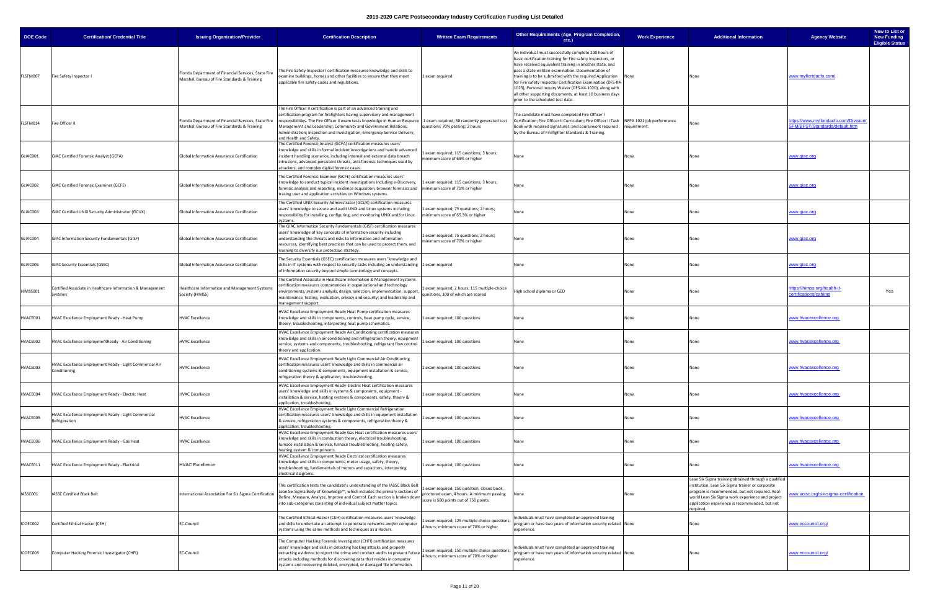| <b>DOE Code</b> | <b>Certification/ Credential Title</b>                                  | <b>Issuing Organization/Provider</b>                                                                 | <b>Certification Description</b>                                                                                                                                                                                                                                                                                                                                                                                                                        | <b>Written Exam Requirements</b>                                                                                                    | Other Requirements (Age, Program Completion,<br>etc.)                                                                                                                                                                                                                                                                                                                                                                                                                                                                           | <b>Work Experience</b> | <b>Additional Information</b>                                                                                                                                                                                                                                                | <b>Agency Website</b>                                                   | New to List or<br><b>New Funding</b><br><b>Eligible Status</b> |
|-----------------|-------------------------------------------------------------------------|------------------------------------------------------------------------------------------------------|---------------------------------------------------------------------------------------------------------------------------------------------------------------------------------------------------------------------------------------------------------------------------------------------------------------------------------------------------------------------------------------------------------------------------------------------------------|-------------------------------------------------------------------------------------------------------------------------------------|---------------------------------------------------------------------------------------------------------------------------------------------------------------------------------------------------------------------------------------------------------------------------------------------------------------------------------------------------------------------------------------------------------------------------------------------------------------------------------------------------------------------------------|------------------------|------------------------------------------------------------------------------------------------------------------------------------------------------------------------------------------------------------------------------------------------------------------------------|-------------------------------------------------------------------------|----------------------------------------------------------------|
| FLSFM007        | Fire Safety Inspector I                                                 | Florida Department of Financial Services, State Fire<br>Marshal, Bureau of Fire Standards & Training | The Fire Safety Inspector I certification measures knowledge and skills to<br>examine buildings, homes and other facilities to ensure that they meet<br>applicable fire safety codes and regulations.                                                                                                                                                                                                                                                   | 1 exam required                                                                                                                     | An individual must successfully complete 200 hours of<br>basic certification training for Fire safety Inspectors, or<br>have received equivalent training in another state, and<br>pass a state written examination. Documentation of<br>raining is to be submitted with the required Application<br>for Fire safety Inspector Certification Examination (DFS-K4-<br>1023), Personal Inquiry Waiver (DFS-K4-1020), along with<br>all other supporting documents, at least 10 business days<br>prior to the scheduled test date. | None                   |                                                                                                                                                                                                                                                                              | www.myfloridacfo.com/                                                   |                                                                |
| FLSFM014        | Fire Officer II                                                         | Florida Department of Financial Services, State Fire<br>Marshal, Bureau of Fire Standards & Training | he Fire Officer II certification is part of an advanced training and<br>certification program for firefighters having supervisory and management<br>responsibilities. The Fire Officer II exam tests knowledge in Human Resource   1 exam required; 50 randomly generated test<br>Management and Leadership; Community and Government Relations;<br>Administration; Inspection and Investigation; Emergency Service Delivery;<br>and Health and Safety. | questions; 70% passing; 2 hours                                                                                                     | The candidate must have completed Fire Officer I<br>Certification; Fire Officer II Curriculum; Fire Officer II Task NFPA 1021 job performance<br>Book with required signatures; and coursework required<br>by the Bureau of Firefighter Standards & Training.                                                                                                                                                                                                                                                                   | requirement.           |                                                                                                                                                                                                                                                                              | ttps://www.mvfloridacfo.com/Division/<br>SFM/BFST/Standards/default.htm |                                                                |
| GLIAC001        | GIAC Certified Forensic Analyst (GCFA)                                  | Global Information Assurance Certification                                                           | The Certified Forensic Analyst (GCFA) certification measures users'<br>knowledge and skills in formal incident investigations and handle advanced<br>incident handling scenarios, including internal and external data breach<br>intrusions, advanced persistent threats, anti-forensic techniques used by<br>attackers, and complex digital forensic cases.                                                                                            | Lexam required; 115 questions; 3 hours;<br>minimum score of 69% or higher                                                           | None                                                                                                                                                                                                                                                                                                                                                                                                                                                                                                                            | None                   |                                                                                                                                                                                                                                                                              | <u>www.qiac.orq</u>                                                     |                                                                |
| GLIAC002        | GIAC Certified Forensic Examiner (GCFE)                                 | Global Information Assurance Certification                                                           | The Certified Forensic Examiner (GCFE) certification measures users'<br>knowledge to conduct typical incident investigations including e-Discovery,<br>forensic analysis and reporting, evidence acquisition, browser forensics and Iminimum score of 71% or higher<br>tracing user and application activities on Windows systems.                                                                                                                      | 1 exam required; 115 questions; 3 hours;                                                                                            | None                                                                                                                                                                                                                                                                                                                                                                                                                                                                                                                            | None                   |                                                                                                                                                                                                                                                                              | <u>vww.qiac.orq</u>                                                     |                                                                |
| GLIAC003        | GIAC Certified UNIX Security Administrator (GCUX)                       | Global Information Assurance Certification                                                           | The Certified UNIX Security Administrator (GCUX) certification measures<br>users' knowledge to secure and audit UNIX and Linux systems including<br>responsibility for installing, configuring, and monitoring UNIX and/or Linux<br>systems.                                                                                                                                                                                                            | 1 exam required; 75 questions; 2 hours;<br>minimum score of 65.3% or higher                                                         | None                                                                                                                                                                                                                                                                                                                                                                                                                                                                                                                            | None                   |                                                                                                                                                                                                                                                                              | www.giac.org                                                            |                                                                |
| GLIAC004        | GIAC Information Security Fundamentals (GISF)                           | Global Information Assurance Certification                                                           | The GIAC Information Security Fundamentals (GISF) certification measures<br>users' knowledge of key concepts of information security including<br>understanding the threats and risks to information and information<br>resources, identifying best practices that can be used to protect them, and<br>earning to diversify our protection strategy.                                                                                                    | 1 exam required; 75 questions; 2 hours;<br>minimum score of 70% or higher                                                           | vone                                                                                                                                                                                                                                                                                                                                                                                                                                                                                                                            | None                   |                                                                                                                                                                                                                                                                              | <u>vww.qiac.orq</u>                                                     |                                                                |
| GLIAC005        | GIAC Security Essentials (GSEC)                                         | Global Information Assurance Certification                                                           | The Security Essentials (GSEC) certification measures users' knowledge and<br>skills in IT systems with respect to security tasks including an understanding 1 exam required<br>of information security beyond simple terminology and concepts.                                                                                                                                                                                                         |                                                                                                                                     | None                                                                                                                                                                                                                                                                                                                                                                                                                                                                                                                            | None                   | None                                                                                                                                                                                                                                                                         | <u>www.qiac.orq</u>                                                     |                                                                |
| HIMSS001        | Certified Associate in Healthcare Information & Management<br>Systems   | Healthcare Information and Management Systems<br>Society (HIMSS)                                     | The Certified Associate in Healthcare Information & Management Systems<br>certification measures competencies in organizational and technology<br>environments; systems analysis, design, selection, implementation, support<br>maintenance, testing, evaluation, privacy and security; and leadership and<br>management support.                                                                                                                       | 1 exam required; 2 hours; 115 multiple-choice<br>questions, 100 of which are scored                                                 | High school diploma or GED                                                                                                                                                                                                                                                                                                                                                                                                                                                                                                      | None                   | None                                                                                                                                                                                                                                                                         | <u>ttps://himss.org/health-it-</u><br>ertifications/cahims              | Yes                                                            |
| IVACE001        | HVAC Excellence Employment Ready - Heat Pump                            | <b>HVAC Excellence</b>                                                                               | HVAC Excellence Employment Ready Heat Pump certification measures<br>knowledge and skills in components, controls, heat pump cycle, service,<br>theory, troubleshooting, interpreting heat pump schematics.                                                                                                                                                                                                                                             | Lexam required; 100 questions                                                                                                       | None                                                                                                                                                                                                                                                                                                                                                                                                                                                                                                                            | None                   | None                                                                                                                                                                                                                                                                         | ww.hvacexcellence.org                                                   |                                                                |
| HVACE002        | HVAC Excellence EmploymentReady - Air Conditioning                      | <b>HVAC Excellence</b>                                                                               | HVAC Excellence Employment Ready Air Conditioning certification measures<br>knowledge and skills in air conditioning and refrigeration theory, equipment<br>service, systems and components, troubleshooting, refrigerant flow control<br>theory and application.                                                                                                                                                                                       | Lexam required; 100 questions                                                                                                       | None                                                                                                                                                                                                                                                                                                                                                                                                                                                                                                                            | None                   | None                                                                                                                                                                                                                                                                         | ww.hvacexcellence.org                                                   |                                                                |
| HVACE003        | HVAC Excellence Employment Ready - Light Commercial Air<br>Conditioning | <b>HVAC Excellence</b>                                                                               | HVAC Excellence Employment Ready Light Commercial Air Conditioning<br>certification measures users' knowledge and skills in commercial air<br>conditioning systems & components, equipment installation & service,<br>refrigeration theory & application, troubleshooting.                                                                                                                                                                              | exam required; 100 questions                                                                                                        |                                                                                                                                                                                                                                                                                                                                                                                                                                                                                                                                 |                        |                                                                                                                                                                                                                                                                              | ww.nvacexcellence.ord                                                   |                                                                |
| HVACE004        | HVAC Excellence Employment Ready - Electric Heat                        | <b>HVAC Excellence</b>                                                                               | HVAC Excellence Employment Ready-Electric Heat certification measures<br>users' knowledge and skills in systems & components, equipment -<br>installation & service, heating systems & components, safety, theory &<br>application, troubleshooting.                                                                                                                                                                                                    | Lexam required; 100 questions                                                                                                       | None                                                                                                                                                                                                                                                                                                                                                                                                                                                                                                                            | None                   | None                                                                                                                                                                                                                                                                         | ww.hvacexcellence.org                                                   |                                                                |
| HVACE005        | HVAC Excellence Employment Ready - Light Commercial<br>Refrigeration    | <b>HVAC Excellence</b>                                                                               | HVAC Excellence Employment Ready Light Commercial Refrigeration<br>certification measures users' knowledge and skills in equipment installation<br>& service, refrigeration systems & components, refrigeration theory &<br>application, troubleshooting.                                                                                                                                                                                               | Lexam required; 100 questions                                                                                                       | None                                                                                                                                                                                                                                                                                                                                                                                                                                                                                                                            | None                   | None                                                                                                                                                                                                                                                                         | www.hvacexcellence.org                                                  |                                                                |
| HVACE006        | HVAC Excellence Employment Ready - Gas Heat                             | <b>HVAC Excellence</b>                                                                               | HVAC Excellence Employment Ready Gas Heat certification measures users'<br>knowledge and skills in combustion theory, electrical troubleshooting,<br>furnace installation & service, furnace troubleshooting, heating safety,<br>heating system & components.                                                                                                                                                                                           | 1 exam required; 100 questions                                                                                                      | None                                                                                                                                                                                                                                                                                                                                                                                                                                                                                                                            | None                   | None                                                                                                                                                                                                                                                                         | ww.hvacexcellence.org                                                   |                                                                |
| HVACE011        | HVAC Excellence Employment Ready - Electrical                           | <b>HVAC Excellence</b>                                                                               | HVAC Excellence Employment Ready Electrical certification measures<br>knowledge and skills in components, meter usage, safety, theory,<br>troubleshooting, fundamentals of motors and capacitors, interpreting<br>electrical diagrams.                                                                                                                                                                                                                  | 1 exam required; 100 questions                                                                                                      | None                                                                                                                                                                                                                                                                                                                                                                                                                                                                                                                            | None                   | None                                                                                                                                                                                                                                                                         | www.hvacexcellence.org                                                  |                                                                |
| ASSC001         | IASSC Certified Black Belt                                              | International Association For Six Sigma Certification                                                | This certification tests the candidate's understanding of the IASSC Black Belt<br>Lean Six Sigma Body of Knowledge™, which includes the primary sections of<br>Define, Measure, Analyze, Improve and Control. Each section is broken down<br>into sub-categories consisting of individual subject matter topics.                                                                                                                                        | 1 exam required; 150 question, closed book,<br>proctored exam, 4 hours. A minimum passing<br>score is 580 points out of 750 points. | None                                                                                                                                                                                                                                                                                                                                                                                                                                                                                                                            | None                   | Lean Six Sigma training obtained through a qualified<br>institution, Lean Six Sigma trainer or corporate<br>program is recommended, but not required. Real-<br>world Lean Six Sigma work experience and project<br>application experience is recommended, but not<br>guired. | ww.iassc.org/six-sigma-certification                                    |                                                                |
| ICOEC002        | Certified Ethical Hacker (CEH)                                          | EC-Council                                                                                           | he Certified Ethical Hacker (CEH) certification measures users' knowledge<br>and skills to undertake an attempt to penetrate networks and/or computer<br>systems using the same methods and techniques as a Hacker.                                                                                                                                                                                                                                     | Lexam required; 125 multiple choice questions<br>4 hours; minimum score of 70% or higher                                            | ndividuals must have completed an approved training<br>program or have two years of information security related None<br>experience.                                                                                                                                                                                                                                                                                                                                                                                            |                        | None                                                                                                                                                                                                                                                                         | www.eccouncil.org/                                                      |                                                                |
| ICOEC003        | Computer Hacking Forensic Investigator (CHFI)                           | EC-Council                                                                                           | The Computer Hacking Forensic Investigator (CHFI) certification measures<br>users' knowledge and skills in detecting hacking attacks and properly<br>extracting evidence to report the crime and conduct audits to prevent future<br>attacks including methods for discovering data that resides in computer<br>systems and recovering deleted, encrypted, or damaged file information.                                                                 | 1 exam required; 150 multiple choice questions<br>4 hours; minimum score of 70% or higher                                           | ndividuals must have completed an approved training<br>orogram or have two years of information security related None<br>experience.                                                                                                                                                                                                                                                                                                                                                                                            |                        |                                                                                                                                                                                                                                                                              | www.eccouncil.org/                                                      |                                                                |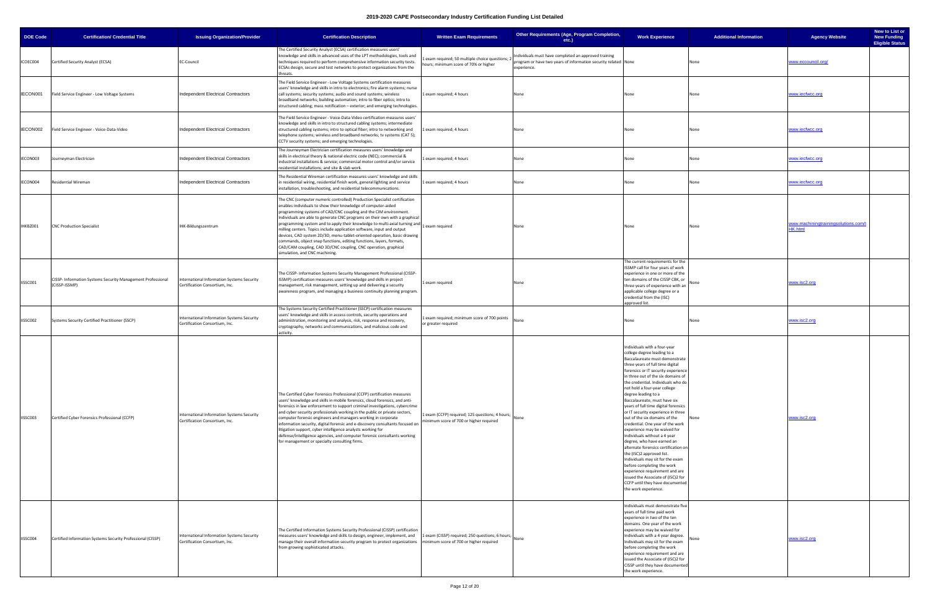| <b>DOE Code</b> | <b>Certification/ Credential Title</b>                                       | <b>Issuing Organization/Provider</b>                                         | <b>Certification Description</b>                                                                                                                                                                                                                                                                                                                                                                                                                                                                                                                                                                                                                                                                               | <b>Written Exam Requirements</b>                                                                 | Other Requirements (Age, Program Completion,<br>$etc.$ )                                                                              | <b>Work Experience</b>                                                                                                                                                                                                                                                                                                                                                                                                                                                                                                                                                                                                                                                                                                                                                                                                                                                 | <b>Additional Information</b> | <b>Agency Website</b>                                  | New to List or<br><b>New Funding</b><br><b>Eligible Status</b> |
|-----------------|------------------------------------------------------------------------------|------------------------------------------------------------------------------|----------------------------------------------------------------------------------------------------------------------------------------------------------------------------------------------------------------------------------------------------------------------------------------------------------------------------------------------------------------------------------------------------------------------------------------------------------------------------------------------------------------------------------------------------------------------------------------------------------------------------------------------------------------------------------------------------------------|--------------------------------------------------------------------------------------------------|---------------------------------------------------------------------------------------------------------------------------------------|------------------------------------------------------------------------------------------------------------------------------------------------------------------------------------------------------------------------------------------------------------------------------------------------------------------------------------------------------------------------------------------------------------------------------------------------------------------------------------------------------------------------------------------------------------------------------------------------------------------------------------------------------------------------------------------------------------------------------------------------------------------------------------------------------------------------------------------------------------------------|-------------------------------|--------------------------------------------------------|----------------------------------------------------------------|
| ICOEC004        | Certified Security Analyst (ECSA)                                            | <b>EC-Council</b>                                                            | The Certified Security Analyst (ECSA) certification measures users'<br>knowledge and skills in advanced uses of the LPT methodologies, tools and<br>techniques required to perform comprehensive information security tests.<br>ECSAs design, secure and test networks to protect organizations from the<br>hreats.                                                                                                                                                                                                                                                                                                                                                                                            | exam required; 50 multiple choice questions;<br>hours; minimum score of 70% or higher            | Individuals must have completed an approved training<br>program or have two years of information security related None<br>experience. |                                                                                                                                                                                                                                                                                                                                                                                                                                                                                                                                                                                                                                                                                                                                                                                                                                                                        | None                          | www.eccouncil.org/                                     |                                                                |
| IECON001        | Field Service Engineer - Low Voltage Systems                                 | Independent Electrical Contractors                                           | The Field Service Engineer - Low Voltage Systems certification measures<br>users' knowledge and skills in intro to electronics; fire alarm systems; nurse<br>call systems; security systems; audio and sound systems; wireless<br>broadband networks; building automation; intro to fiber optics; intro to<br>structured cabling; mass notification - exterior; and emerging technologies.                                                                                                                                                                                                                                                                                                                     | 1 exam required; 4 hours                                                                         | None                                                                                                                                  | None                                                                                                                                                                                                                                                                                                                                                                                                                                                                                                                                                                                                                                                                                                                                                                                                                                                                   | None                          | www.iecfwcc.org                                        |                                                                |
| IECON002        | Field Service Engineer - Voice-Data-Video                                    | Independent Electrical Contractors                                           | The Field Service Engineer - Voice-Data-Video certification measures users'<br>knowledge and skills in intro to structured cabling systems; intermediate<br>structured cabling systems; intro to optical fiber; intro to networking and<br>telephone systems; wireless and broadband networks; tv systems (CAT 5);<br>CCTV security systems; and emerging technologies.                                                                                                                                                                                                                                                                                                                                        | 1 exam required; 4 hours                                                                         | None                                                                                                                                  | None                                                                                                                                                                                                                                                                                                                                                                                                                                                                                                                                                                                                                                                                                                                                                                                                                                                                   | None                          | ww.iecfwcc.org                                         |                                                                |
| IECON003        | Journeyman Electrician                                                       | Independent Electrical Contractors                                           | The Journeyman Electrician certification measures users' knowledge and<br>skills in electrical theory & national electric code (NEC); commercial &<br>industrial installations & service; commercial motor control and/or service<br>residential installations; and site & slab work.                                                                                                                                                                                                                                                                                                                                                                                                                          | 1 exam required; 4 hours                                                                         | None                                                                                                                                  | None                                                                                                                                                                                                                                                                                                                                                                                                                                                                                                                                                                                                                                                                                                                                                                                                                                                                   | None                          | www.iecfwcc.org                                        |                                                                |
| IECON004        | <b>Residential Wireman</b>                                                   | Independent Electrical Contractors                                           | The Residential Wireman certification measures users' knowledge and skills<br>in residential wiring, residential finish work, general lighting and service<br>installation, troubleshooting, and residential telecommunications.                                                                                                                                                                                                                                                                                                                                                                                                                                                                               | 1 exam required; 4 hours                                                                         | None                                                                                                                                  | None                                                                                                                                                                                                                                                                                                                                                                                                                                                                                                                                                                                                                                                                                                                                                                                                                                                                   | None                          | www.iecfwcc.org                                        |                                                                |
| IHKBZ001        | <b>CNC Production Specialist</b>                                             | IHK-Bildungszentrum                                                          | The CNC (computer numeric controlled) Production Specialist certification<br>enables individuals to show their knowledge of computer-aided<br>programming systems of CAD/CNC coupling and the CIM environment.<br>Individuals are able to generate CNC programs on their own with a graphical<br>programming system and to apply their knowledge to multi-axial turning and<br>milling centers. Topics include application software, input and output<br>devices, CAD system 2D/3D, menu-tablet-oriented operation, basic drawing<br>commands, object snap functions, editing functions, layers, formats,<br>CAD/CAM coupling, CAD 3D/CNC coupling, CNC operation, graphical<br>simulation, and CNC machining. | 1 exam required                                                                                  | None                                                                                                                                  | None                                                                                                                                                                                                                                                                                                                                                                                                                                                                                                                                                                                                                                                                                                                                                                                                                                                                   | None                          | www.machiningtrainingsolutions.com/l<br><b>HK.html</b> |                                                                |
| IISSC001        | CISSP- Information Systems Security Management Professional<br>(CISSP-ISSMP) | International Information Systems Security<br>Certification Consortium, Inc. | The CISSP- Information Systems Security Management Professional (CISSP-<br>ISSMP) certification measures users' knowledge and skills in project<br>management, risk management, setting up and delivering a security<br>awareness program, and managing a business continuity planning program.                                                                                                                                                                                                                                                                                                                                                                                                                | 1 exam required                                                                                  | None                                                                                                                                  | The current requirements for the<br>ISSMP call for four years of work<br>experience in one or more of the<br>ten domains of the CISSP CBK, or<br>three years of experience with an<br>applicable college degree or a<br>credential from the (ISC)<br>approved list.                                                                                                                                                                                                                                                                                                                                                                                                                                                                                                                                                                                                    | None                          | www.isc2.org                                           |                                                                |
| IISSC002        | Systems Security Certified Practitioner (SSCP)                               | International Information Systems Security<br>Certification Consortium, Inc. | The Systems Security Certified Practitioner (SSCP) certification measures<br>users' knowledge and skills in access controls, security operations and<br>administration, monitoring and analysis, risk, response and recovery,<br>cryptography, networks and communications, and malicious code and<br>activity.                                                                                                                                                                                                                                                                                                                                                                                                | exam required; minimum score of 700 points<br>or greater required                                | None                                                                                                                                  | None                                                                                                                                                                                                                                                                                                                                                                                                                                                                                                                                                                                                                                                                                                                                                                                                                                                                   | None                          | www.isc2.org                                           |                                                                |
| IISSC003        | Certified Cyber Forensics Professional (CCFP)                                | International Information Systems Security<br>Certification Consortium, Inc. | The Certified Cyber Forensics Professional (CCFP) certification measures<br>users' knowledge and skills in mobile forensics, cloud forensics, and anti-<br>forensics in law enforcement to support criminal investigations, cybercrime<br>and cyber security professionals working in the public or private sectors,<br>computer forensic engineers and managers working in corporate<br>information security, digital forensic and e-discovery consultants focused on<br>litigation support, cyber intelligence analysts working for<br>defense/intelligence agencies, and computer forensic consultants working<br>for management or specialty consulting firms.                                             | 1 exam (CCFP) required; 125 questions; 4 hours; None<br>minimum score of 700 or higher required  |                                                                                                                                       | Individuals with a four-year<br>college degree leading to a<br>Baccalaureate must demonstrate<br>three years of full time digital<br>forensics or IT security experience<br>in three out of the six domains of<br>the credential. Individuals who do<br>not hold a four-year college<br>degree leading to a<br>Baccalaureate, must have six<br>years of full time digital forensics<br>or IT security experience in three<br>out of the six domains of the<br>credential. One year of the work<br>experience may be waived for<br>Individuals without a 4 year<br>degree, who have earned an<br>alternate forensics certification on<br>the (ISC)2 approved list.<br>Individuals may sit for the exam<br>before completing the work<br>experience requirement and are<br>issued the Associate of (ISC)2 for<br>CCFP until they have documented<br>the work experience. |                               | www.isc2.org                                           |                                                                |
| IISSC004        | Certified Information Systems Security Professional (CISSP)                  | International Information Systems Security<br>Certification Consortium, Inc. | The Certified Information Systems Security Professional (CISSP) certification<br>measures users' knowledge and skills to design, engineer, implement, and<br>manage their overall information security program to protect organizations<br>rom growing sophisticated attacks.                                                                                                                                                                                                                                                                                                                                                                                                                                  | 1 exam (CISSP) required; 250 questions; 6 hours; None<br>minimum score of 700 or higher required |                                                                                                                                       | Individuals must demonstrate five<br>years of full time paid work<br>experience in two of the ten<br>domains. One year of the work<br>experience may be waived for<br>Individuals with a 4 year degree.<br>Individuals may sit for the exam<br>before completing the work<br>experience requirement and are<br>issued the Associate of (ISC)2 for<br>CISSP until they have documented<br>the work experience.                                                                                                                                                                                                                                                                                                                                                                                                                                                          |                               | www.isc2.org                                           |                                                                |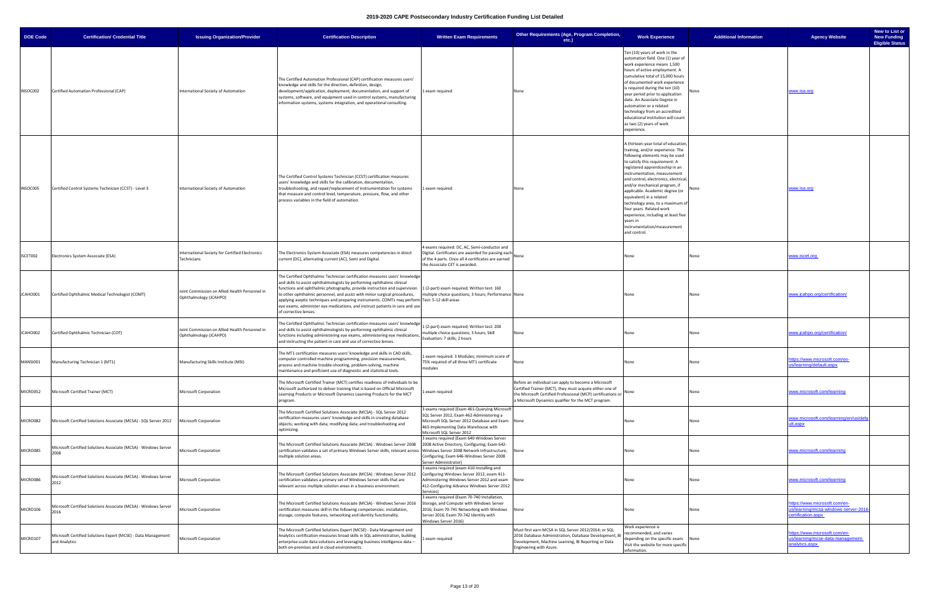| <b>DOE Code</b> | <b>Certification/ Credential Title</b>                                         | <b>Issuing Organization/Provider</b>                                     | <b>Certification Description</b>                                                                                                                                                                                                                                                                                                                                                                                                                                                                                                                                         | <b>Written Exam Requirements</b>                                                                                                                                                                                   | Other Requirements (Age, Program Completion,<br>etc.)                                                                                                                                                                                        | <b>Work Experience</b>                                                                                                                                                                                                                                                                                                                                                                                                                                                                                                   | <b>Additional Information</b> | New to List or<br><b>New Funding</b><br><b>Agency Website</b><br><b>Eligible Status</b>  |
|-----------------|--------------------------------------------------------------------------------|--------------------------------------------------------------------------|--------------------------------------------------------------------------------------------------------------------------------------------------------------------------------------------------------------------------------------------------------------------------------------------------------------------------------------------------------------------------------------------------------------------------------------------------------------------------------------------------------------------------------------------------------------------------|--------------------------------------------------------------------------------------------------------------------------------------------------------------------------------------------------------------------|----------------------------------------------------------------------------------------------------------------------------------------------------------------------------------------------------------------------------------------------|--------------------------------------------------------------------------------------------------------------------------------------------------------------------------------------------------------------------------------------------------------------------------------------------------------------------------------------------------------------------------------------------------------------------------------------------------------------------------------------------------------------------------|-------------------------------|------------------------------------------------------------------------------------------|
| INSOC002        | Certified Automation Professional (CAP)                                        | International Society of Automation                                      | The Certified Automation Professional (CAP) certification measures users'<br>knowledge and skills for the direction, definition, design,<br>development/application, deployment, documentation, and support of<br>systems, software, and equipment used in control systems, manufacturing<br>information systems, systems integration, and operational consulting.                                                                                                                                                                                                       | 1 exam required                                                                                                                                                                                                    | None                                                                                                                                                                                                                                         | Ten (10) years of work in the<br>automation field. One (1) year of<br>work experience means 1,500<br>hours of active employment. A<br>cumulative total of 15,000 hours<br>of documented work experience<br>is required during the ten (10)<br>year period prior to application<br>date. An Associate Degree in<br>automation or a related<br>technology from an accredited<br>educational institution will count<br>as two (2) years of work<br>experience.                                                              |                               | www.isa.org                                                                              |
| INSOC005        | Certified Control Systems Technician (CCST) - Level 3                          | International Society of Automation                                      | The Certified Control Systems Technician (CCST) certification measures<br>users' knowledge and skills for the calibration, documentation,<br>troubleshooting, and repair/replacement of instrumentation for systems<br>that measure and control level, temperature, pressure, flow, and other<br>process variables in the field of automation.                                                                                                                                                                                                                           | Lexam required                                                                                                                                                                                                     | None                                                                                                                                                                                                                                         | A thirteen-year total of education,<br>training, and/or experience. The<br>following elements may be used<br>to satisfy this requirement: A<br>registered apprenticeship in an<br>instrumentation, measurement<br>and control, electronics, electrical<br>and/or mechanical program, if<br>applicable. Academic degree (or<br>equivalent) in a related<br>technology area, to a maximum of<br>four years. Related work<br>experience, including at least five<br>years in<br>instrumentation/measurement<br>and control. |                               | <u>www.isa.org</u>                                                                       |
| ISCET002        | Electronics System Associate (ESA)                                             | International Society for Certified Electronics<br>Technicians           | The Electronics System Associate (ESA) measures competencies in direct<br>current (DC), alternating current (AC), Semi and Digital.                                                                                                                                                                                                                                                                                                                                                                                                                                      | 4 exams required: DC, AC, Semi-conductor and<br>Digital. Certificates are awarded for passing each<br>of the 4 parts. Once all 4 certificates are earned<br>the Associate CET is awarded.                          | None                                                                                                                                                                                                                                         | None                                                                                                                                                                                                                                                                                                                                                                                                                                                                                                                     |                               | www.iscet.org                                                                            |
| JCAHO001        | Certified Ophthalmic Medical Technologist (COMT)                               | Joint Commission on Allied Health Personnel in<br>Ophthalmology (JCAHPO) | The Certified Ophthalmic Technician certification measures users' knowledge<br>and skills to assist ophthalmologists by performing ophthalmic clinical<br>functions and ophthalmic photography, provide instruction and supervision 1 (2-part) exam required; Written test: 160<br>to other ophthalmic personnel, and assist with minor surgical procedures,<br>applying aseptic techniques and preparing instruments. COMTs may perform Test: 5-12 skill areas<br>eye exams, administer eye medications, and instruct patients in care and use<br>of corrective lenses. | multiple choice questions; 3 hours; Performance None                                                                                                                                                               |                                                                                                                                                                                                                                              | None                                                                                                                                                                                                                                                                                                                                                                                                                                                                                                                     | None                          | www.jcahpo.org/certification/                                                            |
| JCAHO002        | Certified Ophthalmic Technician (COT)                                          | Joint Commission on Allied Health Personnel in<br>Ophthalmology (JCAHPO) | The Certified Ophthalmic Technician certification measures users' knowledge<br>and skills to assist ophthalmologists by performing ophthalmic clinical<br>functions including administering eye exams, administering eye medications,<br>and instructing the patient in care and use of corrective lenses.                                                                                                                                                                                                                                                               | 1 (2-part) exam required; Written test: 200<br>multiple choice questions; 3 hours; Skill<br>Evaluation: 7 skills; 2 hours                                                                                          | None                                                                                                                                                                                                                                         | None                                                                                                                                                                                                                                                                                                                                                                                                                                                                                                                     | None                          | www.jcahpo.org/certification/                                                            |
| MANSI001        | Manufacturing Technician 1 (MT1)                                               | Manufacturing Skills Institute (MSI)                                     | The MT1 certification measures users' knowledge and skills in CAD skills,<br>computer controlled machine programming, precision measurement,<br>process and machine trouble-shooting, problem-solving, machine<br>maintenance and proficient use of diagnostic and statistical tools.                                                                                                                                                                                                                                                                                    | 1 exam required: 3 Modules; minimum score of<br>75% required of all three MT1 certificate<br>ooules                                                                                                                | None                                                                                                                                                                                                                                         | None                                                                                                                                                                                                                                                                                                                                                                                                                                                                                                                     | None                          | ttps://www.microsoft.com/en-<br>us/learning/default.aspx                                 |
| MICRO052        | Microsoft Certified Trainer (MCT)                                              | <b>Microsoft Corporation</b>                                             | The Microsoft Certified Trainer (MCT) certifies readiness of individuals to be<br>Microsoft authorized to deliver training that is based on Official Microsoft<br>Learning Products or Microsoft Dynamics Learning Products for the MCT<br>program.                                                                                                                                                                                                                                                                                                                      | 1 exam required                                                                                                                                                                                                    | Before an individual can apply to become a Microsoft<br>Certified Trainer (MCT), they must acquire either one of<br>the Microsoft Certified Professional (MCP) certifications or None<br>a Microsoft Dynamics qualifier for the MCT program. |                                                                                                                                                                                                                                                                                                                                                                                                                                                                                                                          | None                          | www.microsoft.com/learning                                                               |
| MICRO082        | Microsoft Certified Solutions Associate (MCSA) - SQL Server 2012               | Microsoft Corporation                                                    | The Microsoft Certified Solutions Associate (MCSA) - SQL Server 2012<br>certification measures users' knowledge and skills in creating database<br>objects; working with data; modifying data; and troubleshooting and<br>optimizing.                                                                                                                                                                                                                                                                                                                                    | 3 exams required (Exam 461-Querying Microsof<br>SQL Server 2012, Exam 462-Administering a<br>Microsoft SQL Server 2012 Database and Exam None<br>463-Implementing Data Warehouse with<br>Microsoft SQL Server 2012 |                                                                                                                                                                                                                                              | None                                                                                                                                                                                                                                                                                                                                                                                                                                                                                                                     | None                          | www.microsoft.com/learning/en/us/defa<br>ult.aspx                                        |
| MICRO085        | Microsoft Certified Solutions Associate (MCSA) - Windows Server<br>2008        | Microsoft Corporation                                                    | The Microsoft Certified Solutions Associate (MCSA) : Windows Server 2008<br>certification validates a set of primary Windows Server skills, relevant across Windows Server 2008 Network Infrastructure,<br>multiple solution areas.                                                                                                                                                                                                                                                                                                                                      | 3 exams required (Exam 640-Windows Server<br>2008 Active Directory, Configuring; Exam 642-<br>Configuring; Exam 646-Windows Server 2008<br>Server Administrator)                                                   | None                                                                                                                                                                                                                                         | None                                                                                                                                                                                                                                                                                                                                                                                                                                                                                                                     | None                          | www.microsoft.com/learning                                                               |
| MICRO086        | Microsoft Certified Solutions Associate (MCSA) - Windows Server<br>2012        | Microsoft Corporation                                                    | The Microsoft Certified Solutions Associate (MCSA) : Windows Server 2012<br>certification validates a primary set of Windows Server skills that are<br>relevant across multiple solution areas in a business environment.                                                                                                                                                                                                                                                                                                                                                | 3 exams required (exam 410-Installing and<br>Configuring Windows Server 2012, exam 411-<br>Administering Windows Server 2012 and exam None<br>412-Configuring Advance Windows Server 2012<br>Services)             |                                                                                                                                                                                                                                              | None                                                                                                                                                                                                                                                                                                                                                                                                                                                                                                                     | None                          | www.microsoft.com/learning                                                               |
| MICRO106        | Microsoft Certified Solutions Associate (MCSA) - Windows Server                | Microsoft Corporation                                                    | The Microsoft Certified Solutions Associate (MCSA) - Windows Server 2016<br>certification measures skill in the following competencies: installation,<br>storage, compute features, networking and identity functionality.                                                                                                                                                                                                                                                                                                                                               | 3 exams required (Exam 70-740 Installation,<br>Storage, and Compute with Windows Server<br>2016; Exam 70-741 Networking with Windows None<br>Server 2016; Exam 70-742 Identity with<br>Windows Server 2016)        |                                                                                                                                                                                                                                              | None                                                                                                                                                                                                                                                                                                                                                                                                                                                                                                                     | None                          | https://www.microsoft.com/en-<br>s/learning/mcsa-windows-server-201<br>ertification.aspx |
| MICRO107        | Microsoft Certified Solutions Expert (MCSE) - Data Management<br>and Analytics | Microsoft Corporation                                                    | The Microsoft Certified Solutions Expert (MCSE) - Data Management and<br>Analytics certification measures broad skills in SQL administration, building<br>enterprise-scale data solutions and leveraging business intelligence data -<br>both on-premises and in cloud environments.                                                                                                                                                                                                                                                                                     | 1 exam required                                                                                                                                                                                                    | Must first earn MCSA in SQL Server 2012/2014; or SQL<br>2016 Database Administration, Database Development, BI<br>Development, Machine Learning, BI Reporting or Data<br>Engineering with Azure.                                             | Work experience is<br>recommended, and varies<br>depending on the specific exam.<br>Visit the website for more specific<br>information.                                                                                                                                                                                                                                                                                                                                                                                  | None                          | https://www.microsoft.com/en-<br>is/learning/mcse-data-management-<br>analytics.aspx     |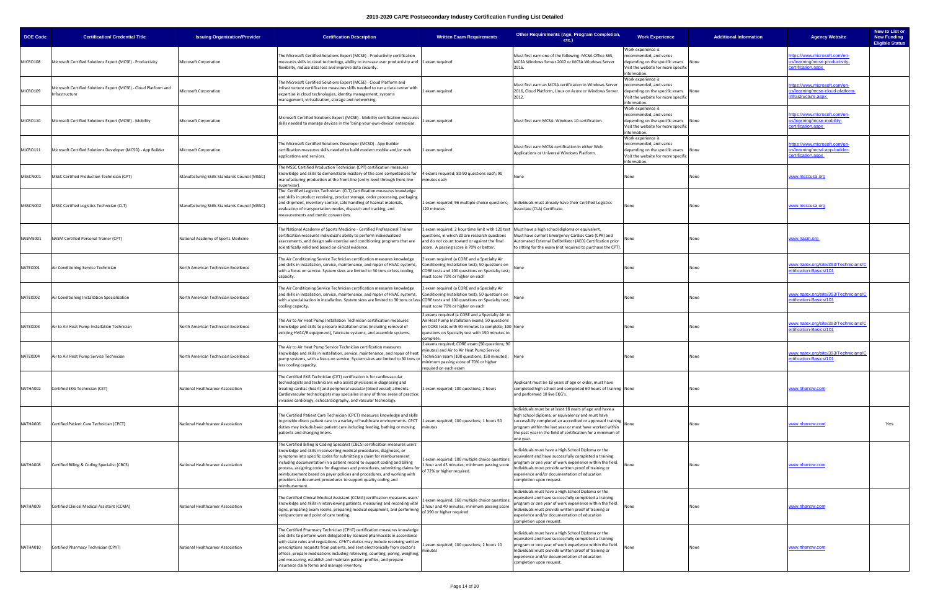| <b>DOE Code</b> | <b>Certification/ Credential Title</b>                                            | <b>Issuing Organization/Provider</b>          | <b>Certification Description</b>                                                                                                                                                                                                                                                                                                                                                                                                                                                                                                                          | <b>Written Exam Requirements</b>                                                                                                                                                                                         | Other Requirements (Age, Program Completion,<br>$etc.$ )                                                                                                                                                                                                                                                              | <b>Work Experience</b>                                                                                                                  | <b>Additional Information</b> | New to List or<br><b>New Funding</b><br><b>Agency Website</b><br><b>Eligible Status</b> |  |
|-----------------|-----------------------------------------------------------------------------------|-----------------------------------------------|-----------------------------------------------------------------------------------------------------------------------------------------------------------------------------------------------------------------------------------------------------------------------------------------------------------------------------------------------------------------------------------------------------------------------------------------------------------------------------------------------------------------------------------------------------------|--------------------------------------------------------------------------------------------------------------------------------------------------------------------------------------------------------------------------|-----------------------------------------------------------------------------------------------------------------------------------------------------------------------------------------------------------------------------------------------------------------------------------------------------------------------|-----------------------------------------------------------------------------------------------------------------------------------------|-------------------------------|-----------------------------------------------------------------------------------------|--|
| MICRO108        | Microsoft Certified Solutions Expert (MCSE) - Productivity                        | <b>Microsoft Corporation</b>                  | The Microsoft Certified Solutions Expert (MCSE) - Productivity certification<br>measures skills in cloud technology, ability to increase user productivity and 1 exam required<br>flexibility, reduce data loss and improve data security.                                                                                                                                                                                                                                                                                                                |                                                                                                                                                                                                                          | Must first earn one of the following: MCSA Office 365,<br>MCSA Windows Server 2012 or MCSA Windows Server<br>2016.                                                                                                                                                                                                    | Work experience is<br>recommended, and varies<br>depending on the specific exam.<br>Visit the website for more specific<br>nformation.  |                               | ttps://www.microsoft.com/en-<br>s/learning/mcse-productivity-<br>ertification.aspx      |  |
| MICRO109        | Microsoft Certified Solutions Expert (MCSE) - Cloud Platform and<br>nfrastructure | Microsoft Corporation                         | The Microsoft Certified Solutions Expert (MCSE) - Cloud Platform and<br>Infrastructure certification measures skills needed to run a data center with<br>expertise in cloud technologies, identity management, systems<br>management, virtualization, storage and networking.                                                                                                                                                                                                                                                                             | exam required                                                                                                                                                                                                            | Must first earn an MCSA certification in Windows Server<br>2016, Cloud Platform, Linux on Azure or Windows Server<br>2012.                                                                                                                                                                                            | Work experience is<br>recommended, and varies<br>depending on the specific exam.<br>Visit the website for more specific<br>nformation.  | None                          | ttps://www.microsoft.com/en-<br>s/learning/mcse-cloud-platform-<br>rastructure.aspx     |  |
| MICRO110        | Microsoft Certified Solutions Expert (MCSE) - Mobility                            | <b>Microsoft Corporation</b>                  | Microsoft Certified Solutions Expert (MCSE) - Mobility certification measures<br>skills needed to manage devices in the 'bring-your-own-device' enterprise.                                                                                                                                                                                                                                                                                                                                                                                               | exam required                                                                                                                                                                                                            | Must first earn MCSA: Windows 10 certification.                                                                                                                                                                                                                                                                       | Work experience is<br>recommended, and varies<br>depending on the specific exam.<br>Visit the website for more specific<br>information. |                               | ttps://www.microsoft.com/en-<br>s/learning/mcse-mobility-<br>ertification.aspx          |  |
| MICRO111        | Microsoft Certified Solutions Developer (MCSD) - App Builder                      | Microsoft Corporation                         | The Microsoft Certified Solutions Developer (MCSD) - App Builder<br>certification measures skills needed to build modern mobile and/or web<br>applications and services.                                                                                                                                                                                                                                                                                                                                                                                  | exam required                                                                                                                                                                                                            | Must first earn MCSA certification in either Web<br>Applications or Universal Windows Platform.                                                                                                                                                                                                                       | Work experience is<br>ecommended, and varies<br>depending on the specific exam.<br>Visit the website for more specific<br>information.  | None                          | ttps://www.microsoft.com/en-<br>s/learning/mcsd-app-builder-<br>ertification.aspx       |  |
| MSSCN001        | MSSC Certified Production Technician (CPT)                                        | Manufacturing Skills Standards Council (MSSC) | The MSSC Certified Production Technician (CPT) certification measures<br>knowledge and skills to demonstrate mastery of the core competencies for<br>manufacturing production at the front-line (entry-level through front-line<br>upervisor).                                                                                                                                                                                                                                                                                                            | 4 exams required; 80-90 questions each; 90<br>minutes each                                                                                                                                                               | None                                                                                                                                                                                                                                                                                                                  | None                                                                                                                                    | None                          | vww.msscusa.org                                                                         |  |
| MSSCN002        | MSSC Certified Logistics Technician (CLT)                                         | Manufacturing Skills Standards Council (MSSC) | The Certified Logistics Technician (CLT) Certification measures knowledge<br>and skills in product receiving, product storage, order processing, packaging<br>and shipment, inventory control, safe handling of hazmat materials,<br>evaluation of transportation modes, dispatch and tracking, and<br>measurements and metric conversions.                                                                                                                                                                                                               | 1 exam required; 96 multiple choice questions;<br>120 minutes                                                                                                                                                            | Individuals must already have their Certified Logistics<br>Associate (CLA) Certificate.                                                                                                                                                                                                                               | None                                                                                                                                    | None                          | www.msscusa.org                                                                         |  |
| NASME001        | NASM Certified Personal Trainer (CPT)                                             | National Academy of Sports Medicine           | The National Academy of Sports Medicine - Certified Professional Trainer<br>certification measures individual's ability to perform individualized<br>assessments, and design safe exercise and conditioning programs that are<br>scientifically valid and based on clinical evidence.                                                                                                                                                                                                                                                                     | 1 exam required; 2 hour time limit with 120 test<br>questions, in which 20 are research questions<br>and do not count toward or against the final<br>score. A passing score is 70% or better.                            | Must have a high school diploma or equivalent.<br>Must have current Emergency Cardiac Care (CPR) and<br>Automated External Defibrillator (AED) Certification prior<br>to sitting for the exam (not required to purchase the CPT).                                                                                     |                                                                                                                                         | None                          | www.nasm.org                                                                            |  |
| NATEX001        | Air Conditioning Service Technician                                               | North American Technician Excellence          | The Air Conditioning Service Technician certification measures knowledge<br>and skills in installation, service, maintenance, and repair of HVAC systems<br>with a focus on service. System sizes are limited to 30 tons or less cooling<br>capacity.                                                                                                                                                                                                                                                                                                     | 2 exam required (a CORE and a Specialty Air<br>Conditioning Installation test); 50 questions on<br>CORE tests and 100 questions on Specialty test;<br>must score 70% or higher on each                                   | Vone                                                                                                                                                                                                                                                                                                                  | None                                                                                                                                    |                               | ww.natex.org/site/353/Technicians/C<br>ertification-Basics/101                          |  |
| NATEX002        | Air Conditioning Installation Specialization                                      | North American Technician Excellence          | The Air Conditioning Service Technician certification measures knowledge<br>and skills in installation, service, maintenance, and repair of HVAC systems,<br>with a specialization in installation. System sizes are limited to 30 tons or less CORE tests and 100 questions on Specialty test;<br>cooling capacity.                                                                                                                                                                                                                                      | 2 exam required (a CORE and a Specialty Air<br>Conditioning Installation test); 50 questions on<br>must score 70% or higher on each                                                                                      | None                                                                                                                                                                                                                                                                                                                  | None                                                                                                                                    | None                          | vww.natex.org/site/353/Technicians/C<br>ertification-Basics/101                         |  |
| NATEX003        | Air to Air Heat Pump Installation Technician                                      | North American Technician Excellence          | The Air to Air Heat Pump Installation Technician certification measures<br>knowledge and skills to prepare installation sites (including removal of<br>existing HVAC/R equipment), fabricate systems, and assemble systems.                                                                                                                                                                                                                                                                                                                               | 2 exams required (a CORE and a Specialty Air to<br>Air Heat Pump Installation exam); 50 questions<br>on CORE tests with 90 minutes to complete; 100 None<br>questions on Specialty test with 150 minutes to<br>complete. |                                                                                                                                                                                                                                                                                                                       | None                                                                                                                                    | None                          | ww.natex.org/site/353/Technicians/C<br>rtification-Basics/101                           |  |
| NATEX004        | Air to Air Heat Pump Service Technician                                           | North American Technician Excellence          | The Air to Air Heat Pump Service Technician certification measures<br>nowledge and skills in installation, service, maintenance, and repair of heat<br>pump systems, with a focus on service. System sizes are limited to 30 tons or<br>less cooling capacity.                                                                                                                                                                                                                                                                                            | 2 exams required; CORE exam (50 questions; 90<br>minutes) and Air to Air Heat Pump Service<br>Technician exam (100 questions; 150 minutes); None<br>minimum passing score of 70% or higher<br>required on each exan      |                                                                                                                                                                                                                                                                                                                       | None                                                                                                                                    | None                          | ww.natex.org/site/353/Technicians/C<br>rtification-Basics/101                           |  |
| NATHA002        | Certified EKG Technician (CET)                                                    | National Healthcareer Association             | The Certified EKG Technician (CET) certification is for cardiovascular<br>technologists and technicians who assist physicians in diagnosing and<br>treating cardiac (heart) and peripheral vascular (blood vessel) ailments.<br>Cardiovascular technologists may specialize in any of three areas of practice:<br>invasive cardiology, echocardiography, and vascular technology.                                                                                                                                                                         | 1 exam required; 100 questions; 2 hours                                                                                                                                                                                  | Applicant must be 18 years of age or older, must have<br>completed high school and completed 60 hours of training None<br>and performed 10 live EKG's.                                                                                                                                                                |                                                                                                                                         |                               | vww.nhanow.com                                                                          |  |
| NATHA006        | Certified Patient Care Technician (CPCT)                                          | National Healthcareer Association             | The Certified Patient Care Technician (CPCT) measures knowledge and skills<br>to provide direct patient care in a variety of healthcare environments. CPCT  1 exam required; 100 questions; 1 hours 50<br>duties may include basic patient care including feeding, bathing or moving<br>patients and changing linens.                                                                                                                                                                                                                                     | minutes                                                                                                                                                                                                                  | ndividuals must be at least 18 years of age and have a<br>high school diploma, or equivalency and must have<br>successfully completed an accredited or approved training None<br>program within the last year or must have worked within<br>the past year in the field of certification for a minimum of<br>one year. |                                                                                                                                         |                               | <u>www.nhanow.com</u><br>Yes                                                            |  |
| NATHA008        | Certified Billing & Coding Specialist (CBCS)                                      | National Healthcareer Association             | The Certified Billing & Coding Specialist (CBCS) certification measures users'<br>knowledge and skills in converting medical procedures, diagnoses, or<br>symptoms into specific codes for submitting a claim for reimbursement<br>including documentation in a patient record to support coding and billing<br>process, assigning codes for diagnoses and procedures, submitting claims for<br>reimbursement based on payer policies and procedures, and working with<br>providers to document procedures to support quality coding and<br>eimbursement. | 1 exam required; 100 multiple choice questions<br>1 hour and 45 minutes; minimum passing score<br>of 72% or higher required.                                                                                             | Individuals must have a High School Diploma or the<br>equivalent and have successfully completed a training<br>rogram or one year of work experience within the field.<br>Individuals must provide written proof of training or<br>experience and/or documentation of education<br>completion upon request.           |                                                                                                                                         |                               | <u>vww.nhanow.com</u>                                                                   |  |
| NATHA009        | Certified Clinical Medical Assistant (CCMA)                                       | National Healthcareer Association             | The Certified Clinical Medical Assistant (CCMA) certification measures users<br>knowledge and skills in interviewing patients, measuring and recording vital<br>signs, preparing exam rooms, preparing medical equipment, and performing<br>venipuncture and point of care testing.                                                                                                                                                                                                                                                                       | 1 exam required; 160 multiple choice questions;<br>2 hour and 40 minutes; minimum passing score<br>of 390 or higher required.                                                                                            | Individuals must have a High School Diploma or the<br>equivalent and have successfully completed a training<br>rogram or one year of work experience within the field.<br>Individuals must provide written proof of training or<br>experience and/or documentation of education<br>ompletion upon request.            | None                                                                                                                                    |                               | <u>www.nhanow.com</u>                                                                   |  |
| NATHA010        | Certified Pharmacy Technician (CPhT)                                              | National Healthcareer Association             | The Certified Pharmacy Technician (CPhT) certification measures knowledge<br>and skills to perform work delegated by licensed pharmacists in accordance<br>with state rules and regulations. CPhT's duties may include receiving written<br>prescriptions requests from patients, and sent electronically from doctor's<br>offices, prepare medications including retrieving, counting, poring, weighing,<br>and measuring, establish and maintain patient profiles, and prepare<br>insurance claim forms and manage inventory.                           | 1 exam required; 100 questions; 2 hours 10<br>minutes                                                                                                                                                                    | Individuals must have a High School Diploma or the<br>equivalent and have successfully completed a training<br>program or one year of work experience within the field.<br>Individuals must provide written proof of training or<br>experience and/or documentation of education<br>completion upon request.          |                                                                                                                                         |                               | vww.nhanow.com                                                                          |  |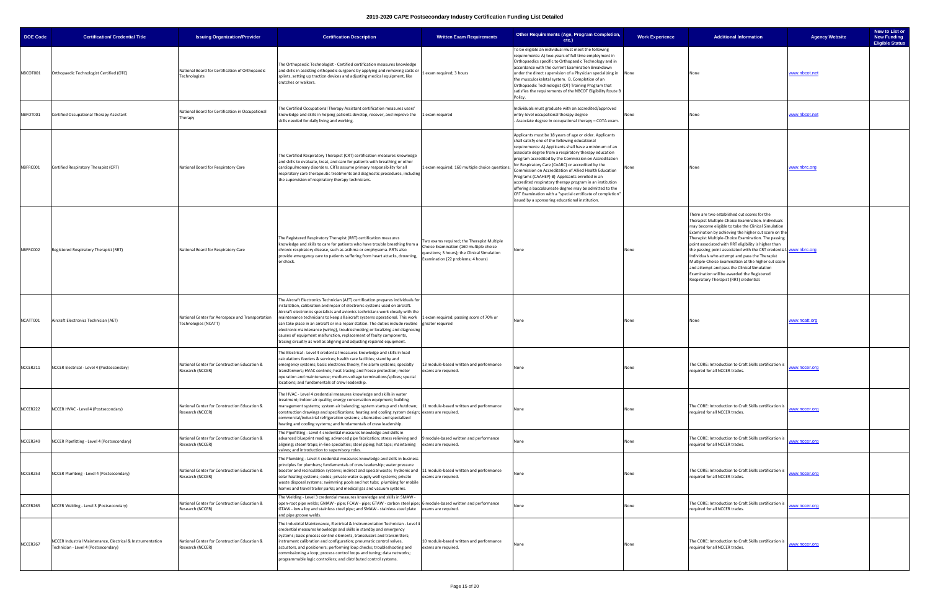| <b>DOE Code</b> | <b>Certification/ Credential Title</b>                                                             | <b>Issuing Organization/Provider</b>                                     | <b>Certification Description</b>                                                                                                                                                                                                                                                                                                                                                                                                                                                                                                                                                                                                                                                                                   | <b>Written Exam Requirements</b>                                                                                                                                            | Other Requirements (Age, Program Completion,<br>$etc.$ )                                                                                                                                                                                                                                                                                                                                                                                                                                                                                                                                                                                                                                     | <b>Work Experience</b> | <b>Additional Information</b>                                                                                                                                                                                                                                                                                                                                                                                                                                                                                                                                                                                                                                  | New to List or<br><b>New Funding</b><br><b>Agency Website</b><br><b>Eligible Status</b> |
|-----------------|----------------------------------------------------------------------------------------------------|--------------------------------------------------------------------------|--------------------------------------------------------------------------------------------------------------------------------------------------------------------------------------------------------------------------------------------------------------------------------------------------------------------------------------------------------------------------------------------------------------------------------------------------------------------------------------------------------------------------------------------------------------------------------------------------------------------------------------------------------------------------------------------------------------------|-----------------------------------------------------------------------------------------------------------------------------------------------------------------------------|----------------------------------------------------------------------------------------------------------------------------------------------------------------------------------------------------------------------------------------------------------------------------------------------------------------------------------------------------------------------------------------------------------------------------------------------------------------------------------------------------------------------------------------------------------------------------------------------------------------------------------------------------------------------------------------------|------------------------|----------------------------------------------------------------------------------------------------------------------------------------------------------------------------------------------------------------------------------------------------------------------------------------------------------------------------------------------------------------------------------------------------------------------------------------------------------------------------------------------------------------------------------------------------------------------------------------------------------------------------------------------------------------|-----------------------------------------------------------------------------------------|
| NBCOT001        | Orthopaedic Technologist Certified (OTC)                                                           | National Board for Certification of Orthopaedic<br>Technologists         | The Orthopaedic Technologist - Certified certification measures knowledge<br>and skills in assisting orthopedic surgeons by applying and removing casts or<br>splints, setting up traction devices and adjusting medical equipment, like<br>crutches or walkers.                                                                                                                                                                                                                                                                                                                                                                                                                                                   | 1 exam required; 3 hours                                                                                                                                                    | To be eligible an individual must meet the following<br>requirements: A) two-years of full time employment in<br>Orthopaedics specific to Orthopaedic Technology and in<br>accordance with the current Examination Breakdown<br>under the direct supervision of a Physician specializing in None<br>the musculoskeletal system. B. Completion of an<br>Orthopaedic Technologist (OT) Training Program that<br>satisfies the requirements of the NBCOT Eligibility Route B                                                                                                                                                                                                                    |                        | None                                                                                                                                                                                                                                                                                                                                                                                                                                                                                                                                                                                                                                                           | www.nbcot.net                                                                           |
| NBFOT001        | Certified Occupational Therapy Assistant                                                           | National Board for Certification in Occupational<br>Therapy              | The Certified Occupational Therapy Assistant certification measures users'<br>knowledge and skills in helping patients develop, recover, and improve the 1 exam required<br>skills needed for daily living and working.                                                                                                                                                                                                                                                                                                                                                                                                                                                                                            |                                                                                                                                                                             | Individuals must graduate with an accredited/approved<br>entry-level occupational therapy degree<br>Associate degree in occupational therapy - COTA exam.                                                                                                                                                                                                                                                                                                                                                                                                                                                                                                                                    |                        |                                                                                                                                                                                                                                                                                                                                                                                                                                                                                                                                                                                                                                                                | <u>www.nbcot.net</u>                                                                    |
| NBFRC001        | Certified Respiratory Therapist (CRT)                                                              | National Board for Respiratory Care                                      | The Certified Respiratory Therapist (CRT) certification measures knowledge<br>and skills to evaluate, treat, and care for patients with breathing or other<br>cardiopulmonary disorders. CRTs assume primary responsibility for all<br>respiratory care therapeutic treatments and diagnostic procedures, including<br>the supervision of respiratory therapy technicians.                                                                                                                                                                                                                                                                                                                                         | 1 exam required; 160 multiple choice questions;                                                                                                                             | Applicants must be 18 years of age or older. Applicants<br>shall satisfy one of the following educational<br>requirements: A) Applicants shall have a minimum of an<br>associate degree from a respiratory therapy education<br>program accredited by the Commission on Accreditation<br>for Respiratory Care (CoARC) or accredited by the<br>Commission on Accreditation of Allied Health Education<br>Programs (CAAHEP) B) Applicants enrolled in an<br>accredited respiratory therapy program in an institution<br>offering a baccalaureate degree may be admitted to the<br>CRT Examination with a "special certificate of completion"<br>issued by a sponsoring educational institution |                        | None                                                                                                                                                                                                                                                                                                                                                                                                                                                                                                                                                                                                                                                           | www.nbrc.org                                                                            |
| NBFRC002        | Registered Respiratory Therapist (RRT)                                                             | National Board for Respiratory Care                                      | The Registered Respiratory Therapist (RRT) certification measures<br>knowledge and skills to care for patients who have trouble breathing from a<br>chronic respiratory disease, such as asthma or emphysema. RRTs also<br>provide emergency care to patients suffering from heart attacks, drowning,<br>or shock.                                                                                                                                                                                                                                                                                                                                                                                                 | Two exams required; the Therapist Multiple<br>Choice Examination (160 multiple choice<br>questions; 3 hours); the Clinical Simulation<br>Examination (22 problems; 4 hours) | None                                                                                                                                                                                                                                                                                                                                                                                                                                                                                                                                                                                                                                                                                         | None                   | There are two established cut scores for the<br>Therapist Multiple-Choice Examination. Individuals<br>may become eligible to take the Clinical Simulation<br>Examination by achieving the higher cut score on the<br>Therapist Multiple-Choice Examination. The passing<br>point associated with RRT eligibility is higher than<br>the passing point associated with the CRT credential. <b>www.nbrc.org</b><br>Individuals who attempt and pass the Therapist<br>Multiple-Choice Examination at the higher cut score<br>and attempt and pass the Clinical Simulation<br>Examination will be awarded the Registered<br>Respiratory Therapist (RRT) credential. |                                                                                         |
| NCATT001        | Aircraft Electronics Technician (AET)                                                              | National Center for Aerospace and Transportation<br>Technologies (NCATT) | The Aircraft Electronics Technician (AET) certification prepares individuals for<br>installation, calibration and repair of electronic systems used on aircraft.<br>Aircraft electronics specialists and avionics technicians work closely with the<br>maintenance technicians to keep all aircraft systems operational. This work 1 exam required; passing score of 70% or<br>can take place in an aircraft or in a repair station. The duties include routine greater required<br>electronic maintenance (wiring), troubleshooting or localizing and diagnosing<br>causes of equipment malfunction, replacement of faulty components,<br>tracing circuitry as well as aligning and adjusting repaired equipment. |                                                                                                                                                                             | None                                                                                                                                                                                                                                                                                                                                                                                                                                                                                                                                                                                                                                                                                         | None                   | None                                                                                                                                                                                                                                                                                                                                                                                                                                                                                                                                                                                                                                                           | www.ncatt.org                                                                           |
| NCCER211        | NCCER Electrical - Level 4 (Postsecondary)                                                         | National Center for Construction Education &<br>Research (NCCER)         | The Electrical - Level 4 credential measures knowledge and skills in load<br>calculations feeders & services; health care facilities; standby and<br>emergency systems; basic electronic theory; fire alarm systems; specialty<br>transformers; HVAC controls; heat tracing and freeze protection; motor<br>operation and maintenance; medium-voltage terminations/splices; special<br>locations; and fundamentals of crew leadership.                                                                                                                                                                                                                                                                             | 13 module-based written and performance<br>exams are required.                                                                                                              |                                                                                                                                                                                                                                                                                                                                                                                                                                                                                                                                                                                                                                                                                              |                        | The CORE: Introduction to Craft Skills certification is<br>required for all NCCER trades.                                                                                                                                                                                                                                                                                                                                                                                                                                                                                                                                                                      | <u>www.nccer.orc</u>                                                                    |
| NCCER222        | NCCER HVAC - Level 4 (Postsecondary)                                                               | National Center for Construction Education &<br>Research (NCCER)         | The HVAC - Level 4 credential measures knowledge and skills in water<br>treatment; indoor air quality; energy conservation equipment; building<br>management systems; system air balancing; system startup and shutdown; 11 module-based written and performance<br>construction drawings and specifications; heating and cooling system design; exams are required.<br>commercial/industrial refrigeration systems; alternative and specialized<br>heating and cooling systems; and fundamentals of crew leadership.                                                                                                                                                                                              |                                                                                                                                                                             | None                                                                                                                                                                                                                                                                                                                                                                                                                                                                                                                                                                                                                                                                                         | None                   | The CORE: Introduction to Craft Skills certification is<br>required for all NCCER trades.                                                                                                                                                                                                                                                                                                                                                                                                                                                                                                                                                                      | www.nccer.org                                                                           |
| NCCER249        | NCCER Pipefitting - Level 4 (Postsecondary)                                                        | National Center for Construction Education &<br>Research (NCCER)         | The Pipefitting - Level 4 credential measures knowledge and skills in<br>advanced blueprint reading; advanced pipe fabrication; stress relieving and  9 module-based written and performance<br>aligning; steam traps; in-line specialties; steel piping; hot taps; maintaining exams are required.<br>valves; and introduction to supervisory roles                                                                                                                                                                                                                                                                                                                                                               |                                                                                                                                                                             | None                                                                                                                                                                                                                                                                                                                                                                                                                                                                                                                                                                                                                                                                                         | None                   | The CORE: Introduction to Craft Skills certification is<br>required for all NCCER trades.                                                                                                                                                                                                                                                                                                                                                                                                                                                                                                                                                                      | www.nccer.org                                                                           |
| NCCER253        | NCCER Plumbing - Level 4 (Postsecondary)                                                           | National Center for Construction Education &<br>Research (NCCER)         | The Plumbing - Level 4 credential measures knowledge and skills in business<br>principles for plumbers; fundamentals of crew leadership; water pressure<br>booster and recirculation systems; indirect and special waste; hydronic and 11 module-based written and performance<br>solar heating systems; codes; private water supply well systems; private<br>waste disposal systems; swimming pools and hot tubs; plumbing for mobile<br>homes and travel trailer parks; and medical gas and vacuum systems.                                                                                                                                                                                                      | exams are required.                                                                                                                                                         | None                                                                                                                                                                                                                                                                                                                                                                                                                                                                                                                                                                                                                                                                                         | None                   | The CORE: Introduction to Craft Skills certification is<br>equired for all NCCER trades.                                                                                                                                                                                                                                                                                                                                                                                                                                                                                                                                                                       | www.nccer.org                                                                           |
| NCCER265        | NCCER Welding - Level 3 (Postsecondary)                                                            | National Center for Construction Education &<br>Research (NCCER)         | The Welding - Level 3 credential measures knowledge and skills in SMAW -<br>open-root pipe welds; GMAW - pipe; FCAW - pipe; GTAW - carbon steel pipe; 6 module-based written and performance<br>GTAW - low alloy and stainless steel pipe; and SMAW - stainless steel plate exams are required.<br>and pipe groove welds.                                                                                                                                                                                                                                                                                                                                                                                          |                                                                                                                                                                             | None                                                                                                                                                                                                                                                                                                                                                                                                                                                                                                                                                                                                                                                                                         | None                   | The CORE: Introduction to Craft Skills certification is<br>equired for all NCCER trades.                                                                                                                                                                                                                                                                                                                                                                                                                                                                                                                                                                       | ww.nccer.org                                                                            |
| NCCER267        | NCCER Industrial Maintenance, Electrical & Instrumentation<br>Technician - Level 4 (Postsecondary) | National Center for Construction Education &<br>Research (NCCER)         | The Industrial Maintenance, Electrical & Instrumentation Technician - Level 4<br>credential measures knowledge and skills in standby and emergency<br>systems; basic process control elements, transducers and transmitters;<br>instrument calibration and configuration; pneumatic control valves,<br>actuators, and positioners; performing loop checks; troubleshooting and<br>commissioning a loop; process control loops and tuning; data networks;<br>programmable logic controllers; and distributed control systems.                                                                                                                                                                                       | 10 module-based written and performance<br>exams are required.                                                                                                              | None                                                                                                                                                                                                                                                                                                                                                                                                                                                                                                                                                                                                                                                                                         | None                   | The CORE: Introduction to Craft Skills certification is<br>required for all NCCER trades.                                                                                                                                                                                                                                                                                                                                                                                                                                                                                                                                                                      | ww.nccer.org                                                                            |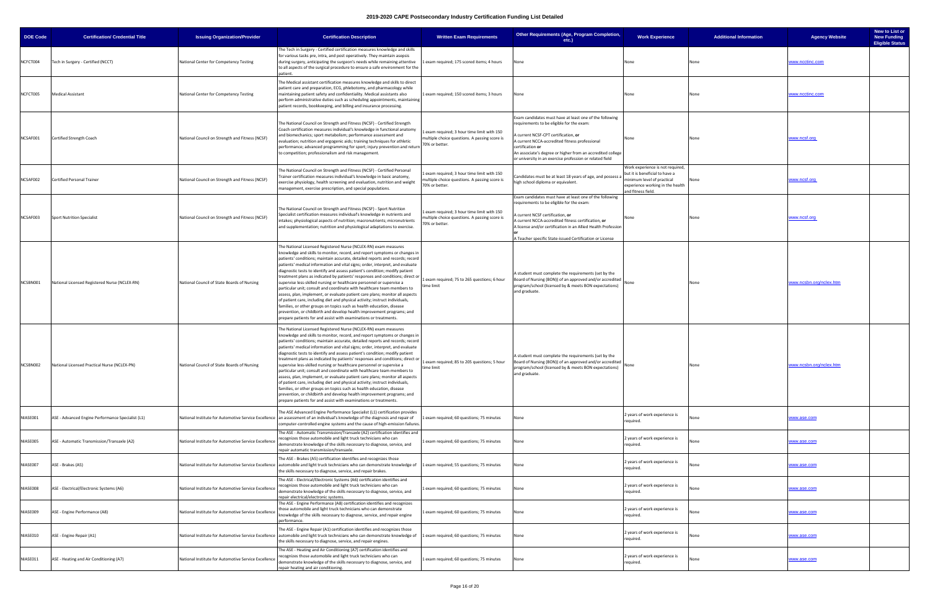| <b>DOE Code</b> | <b>Certification/ Credential Title</b>                | <b>Issuing Organization/Provider</b>                 | <b>Certification Description</b>                                                                                                                                                                                                                                                                                                                                                                                                                                                                                                                                                                                                                                                                                                                                                                                                                                                                                                                                                                                           | <b>Written Exam Requirements</b>                                                                              | Other Requirements (Age, Program Completion,<br>etc.)                                                                                                                                                                                                                                                                                      | <b>Work Experience</b>                                                                                                                                     | <b>Additional Information</b> | New to List or<br><b>New Funding</b><br><b>Agency Website</b><br><b>Eligible Status</b> |
|-----------------|-------------------------------------------------------|------------------------------------------------------|----------------------------------------------------------------------------------------------------------------------------------------------------------------------------------------------------------------------------------------------------------------------------------------------------------------------------------------------------------------------------------------------------------------------------------------------------------------------------------------------------------------------------------------------------------------------------------------------------------------------------------------------------------------------------------------------------------------------------------------------------------------------------------------------------------------------------------------------------------------------------------------------------------------------------------------------------------------------------------------------------------------------------|---------------------------------------------------------------------------------------------------------------|--------------------------------------------------------------------------------------------------------------------------------------------------------------------------------------------------------------------------------------------------------------------------------------------------------------------------------------------|------------------------------------------------------------------------------------------------------------------------------------------------------------|-------------------------------|-----------------------------------------------------------------------------------------|
| NCFCT004        | Tech in Surgery - Certified (NCCT)                    | National Center for Competency Testing               | The Tech in Surgery - Certified certification measures knowledge and skills<br>for various tasks pre, intra, and post operatively. They maintain asepsis<br>during surgery, anticipating the surgeon's needs while remaining attentive<br>to all aspects of the surgical procedure to ensure a safe environment for the<br>patient.                                                                                                                                                                                                                                                                                                                                                                                                                                                                                                                                                                                                                                                                                        | 1 exam required; 175 scored items; 4 hours                                                                    | None                                                                                                                                                                                                                                                                                                                                       | None                                                                                                                                                       |                               | ww.ncctinc.com                                                                          |
| NCFCT005        | <b>Medical Assistant</b>                              | National Center for Competency Testing               | The Medical assistant certification measures knowledge and skills to direct<br>patient care and preparation, ECG, phlebotomy, and pharmacology while<br>maintaining patient safety and confidentiality. Medical assistants also<br>perform administrative duties such as scheduling appointments, maintaining<br>patient records, bookkeeping, and billing and insurance processing.                                                                                                                                                                                                                                                                                                                                                                                                                                                                                                                                                                                                                                       | 1 exam required; 150 scored items; 3 hours                                                                    | None                                                                                                                                                                                                                                                                                                                                       | None                                                                                                                                                       |                               | ww.ncctinc.com                                                                          |
| NCSAF001        | Certified Strength Coach                              | National Council on Strength and Fitness (NCSF)      | The National Council on Strength and Fitness (NCSF) - Certified Strength<br>Coach certification measures individual's knowledge in functional anatomy<br>and biomechanics; sport metabolism; performance assessment and<br>evaluation; nutrition and ergogenic aids; training techniques for athletic<br>performance; advanced programming for sport; injury prevention and return<br>o competition; professionalism and risk management.                                                                                                                                                                                                                                                                                                                                                                                                                                                                                                                                                                                  | Lexam required; 3 hour time limit with 150<br>multiple choice questions. A passing score is<br>70% or better. | Exam candidates must have at least one of the following<br>requirements to be eligible for the exam:<br>current NCSF-CPT certification, or<br>A current NCCA-accredited fitness professional<br>certification or<br>An associate's degree or higher from an accredited college<br>or university in an exercise profession or related field | None                                                                                                                                                       |                               | www.ncsf.org                                                                            |
| NCSAF002        | Certified Personal Trainer                            | National Council on Strength and Fitness (NCSF)      | The National Council on Strength and Fitness (NCSF) - Certified Personal<br>Trainer certification measures individual's knowledge in basic anatomy,<br>exercise physiology, health screening and evaluation, nutrition and weight<br>management, exercise prescription, and special populations.                                                                                                                                                                                                                                                                                                                                                                                                                                                                                                                                                                                                                                                                                                                           | exam required; 3 hour time limit with 150<br>multiple choice questions. A passing score is<br>70% or better.  | Candidates must be at least 18 years of age, and possess a<br>high school diploma or equivalent.                                                                                                                                                                                                                                           | Work experience is not required,<br>but it is beneficial to have a<br>minimum level of practical<br>experience working in the health<br>and fitness field. |                               | www.ncsf.org                                                                            |
| NCSAF003        | <b>Sport Nutrition Specialist</b>                     | National Council on Strength and Fitness (NCSF)      | The National Council on Strength and Fitness (NCSF) - Sport Nutrition<br>Specialist certification measures individual's knowledge in nutrients and<br>ntakes; physiological aspects of nutrition; macronutrients; micronutrients<br>and supplementation; nutrition and physiological adaptations to exercise.                                                                                                                                                                                                                                                                                                                                                                                                                                                                                                                                                                                                                                                                                                              | Lexam required; 3 hour time limit with 150<br>multiple choice questions. A passing score is<br>70% or better. | Exam candidates must have at least one of the following<br>requirements to be eligible for the exam:<br>A current NCSF certification, or<br>A current NCCA-accredited fitness certification, or<br>A license and/or certification in an Allied Health Profession<br>A Teacher specific State-issued Certification or License               | None                                                                                                                                                       | None                          | www.ncsf.org                                                                            |
| NCSBN001        | National Licensed Registered Nurse (NCLEX-RN)         | National Council of State Boards of Nursing          | The National Licensed Registered Nurse (NCLEX-RN) exam measures<br>knowledge and skills to monitor, record, and report symptoms or changes in<br>patients' conditions; maintain accurate, detailed reports and records; record<br>patients' medical information and vital signs; order, interpret, and evaluate<br>diagnostic tests to identify and assess patient's condition; modify patient<br>treatment plans as indicated by patients' responses and conditions; direct or<br>supervise less-skilled nursing or healthcare personnel or supervise a<br>particular unit; consult and coordinate with healthcare team members to<br>assess, plan, implement, or evaluate patient care plans; monitor all aspects<br>of patient care, including diet and physical activity; instruct individuals,<br>families, or other groups on topics such as health education, disease<br>prevention, or childbirth and develop health improvement programs; and<br>prepare patients for and assist with examinations or treatments. | 1 exam required; 75 to 265 questions; 6 hour<br>time limit                                                    | A student must complete the requirements (set by the<br>Board of Nursing (BON)) of an approved and/or accredited<br>program/school (licensed by & meets BON expectations)<br>and graduate.                                                                                                                                                 | None                                                                                                                                                       | None                          | ww.ncsbn.org/nclex.htm                                                                  |
|                 | NCSBN002 National Licensed Practical Nurse (NCLEX-PN) | National Council of State Boards of Nursing          | The National Licensed Registered Nurse (NCLEX-RN) exam measures<br>mowledge and skills to monitor, record, and report symptoms or changes in<br>patients' conditions; maintain accurate, detailed reports and records; record<br>patients' medical information and vital signs; order, interpret, and evaluate<br>diagnostic tests to identify and assess patient's condition; modify patient<br>treatment plans as indicated by patients' responses and conditions; direct or<br>supervise less-skilled nursing or healthcare personnel or supervise a<br>particular unit; consult and coordinate with healthcare team members to<br>assess, plan, implement, or evaluate patient care plans; monitor all aspects<br>of patient care, including diet and physical activity; instruct individuals,<br>families, or other groups on topics such as health education, disease<br>prevention, or childbirth and develop health improvement programs; and<br>prepare patients for and assist with examinations or treatments.  | 1 exam required; 85 to 205 questions; 5 hour<br>time limit                                                    | A student must complete the requirements (set by the<br>Board of Nursing (BON)) of an approved and/or accredited None<br>program/school (licensed by & meets BON expectations)<br>and graduate.                                                                                                                                            |                                                                                                                                                            |                               | www.ncsbn.org/nclex.htm                                                                 |
| NIASE001        | ASE - Advanced Engine Performance Specialist (L1)     |                                                      | The ASE Advanced Engine Performance Specialist (L1) certification provides<br>National Institute for Automotive Service Excellence an assessment of an individual's knowledge of the diagnosis and repair of<br>computer-controlled engine systems and the cause of high-emission failures.                                                                                                                                                                                                                                                                                                                                                                                                                                                                                                                                                                                                                                                                                                                                | 1 exam required; 60 questions; 75 minutes                                                                     | None                                                                                                                                                                                                                                                                                                                                       | 2 years of work experience is<br>required.                                                                                                                 |                               | www.ase.com                                                                             |
| NIASE005        | ASE - Automatic Transmission/Transaxle (A2)           | National Institute for Automotive Service Excellence | The ASE - Automatic Transmission/Transaxle (A2) certification identifies and<br>ecognizes those automobile and light truck technicians who can<br>demonstrate knowledge of the skills necessary to diagnose, service, and<br>epair automatic transmission/transaxle.                                                                                                                                                                                                                                                                                                                                                                                                                                                                                                                                                                                                                                                                                                                                                       | exam required; 60 questions; 75 minutes                                                                       | None                                                                                                                                                                                                                                                                                                                                       | 2 years of work experience is<br>required.                                                                                                                 |                               | www.ase.com                                                                             |
| NIASE007        | ASE - Brakes (A5)                                     |                                                      | The ASE - Brakes (A5) certification identifies and recognizes those<br>National Institute for Automotive Service Excellence   automobile and light truck technicians who can demonstrate knowledge of   1 exam required; 55 questions; 75 minutes<br>the skills necessary to diagnose, service, and repair brakes.                                                                                                                                                                                                                                                                                                                                                                                                                                                                                                                                                                                                                                                                                                         |                                                                                                               | None                                                                                                                                                                                                                                                                                                                                       | 2 years of work experience is<br>required.                                                                                                                 |                               | www.ase.com                                                                             |
| NIASE008        | ASE - Electrical/Electronic Systems (A6)              | National Institute for Automotive Service Excellence | The ASE - Electrical/Electronic Systems (A6) certification identifies and<br>ecognizes those automobile and light truck technicians who can<br>demonstrate knowledge of the skills necessary to diagnose, service, and<br>epair electrical/electronic systems.                                                                                                                                                                                                                                                                                                                                                                                                                                                                                                                                                                                                                                                                                                                                                             | 1 exam required; 60 questions; 75 minutes                                                                     | None                                                                                                                                                                                                                                                                                                                                       | 2 years of work experience is<br>required.                                                                                                                 |                               | www.ase.com                                                                             |
| NIASE009        | ASE - Engine Performance (A8)                         | National Institute for Automotive Service Excellence | The ASE - Engine Performance (A8) certification identifies and recognizes<br>hose automobile and light truck technicians who can demonstrate:<br>knowledge of the skills necessary to diagnose, service, and repair engine<br>performance.                                                                                                                                                                                                                                                                                                                                                                                                                                                                                                                                                                                                                                                                                                                                                                                 | exam required; 60 questions; 75 minutes                                                                       | None                                                                                                                                                                                                                                                                                                                                       | 2 years of work experience is<br>required.                                                                                                                 |                               | www.ase.com                                                                             |
| NIASE010        | ASE - Engine Repair (A1)                              |                                                      | The ASE - Engine Repair (A1) certification identifies and recognizes those<br>National Institute for Automotive Service Excellence automobile and light truck technicians who can demonstrate knowledge of 1 exam required; 60 questions; 75 minutes<br>the skills necessary to diagnose, service, and repair engines.                                                                                                                                                                                                                                                                                                                                                                                                                                                                                                                                                                                                                                                                                                     |                                                                                                               | None                                                                                                                                                                                                                                                                                                                                       | 2 years of work experience is<br>required.                                                                                                                 |                               | www.ase.com                                                                             |
| NIASE011        | ASE - Heating and Air Conditioning (A7)               | National Institute for Automotive Service Excellence | The ASE - Heating and Air Conditioning (A7) certification identifies and<br>ecognizes those automobile and light truck technicians who can<br>demonstrate knowledge of the skills necessary to diagnose, service, and<br>epair heating and air conditioning.                                                                                                                                                                                                                                                                                                                                                                                                                                                                                                                                                                                                                                                                                                                                                               | exam required; 60 questions; 75 minutes                                                                       | None                                                                                                                                                                                                                                                                                                                                       | 2 years of work experience is<br>required.                                                                                                                 |                               | www.ase.com                                                                             |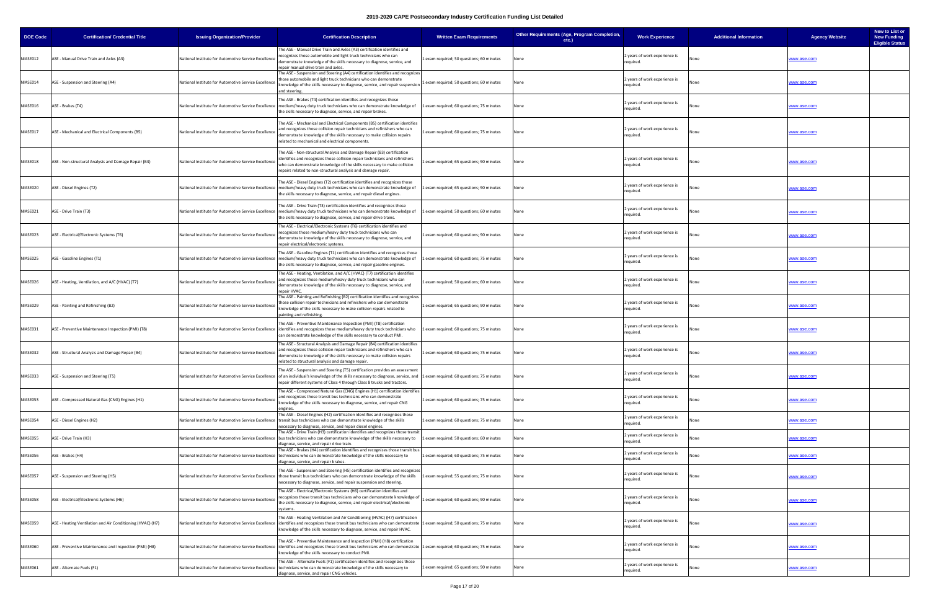| <b>DOE Code</b> | <b>Certification/ Credential Title</b>                     | <b>Issuing Organization/Provider</b>                 | <b>Certification Description</b>                                                                                                                                                                                                                                                                                                         | <b>Written Exam Requirements</b>          | Other Requirements (Age, Program Completion,<br>etc.) | <b>Work Experience</b>                     | <b>Additional Information</b> | New to List or<br><b>New Funding</b><br><b>Agency Website</b><br><b>Eligible Status</b> |
|-----------------|------------------------------------------------------------|------------------------------------------------------|------------------------------------------------------------------------------------------------------------------------------------------------------------------------------------------------------------------------------------------------------------------------------------------------------------------------------------------|-------------------------------------------|-------------------------------------------------------|--------------------------------------------|-------------------------------|-----------------------------------------------------------------------------------------|
| NIASE012        | ASE - Manual Drive Train and Axles (A3)                    | National Institute for Automotive Service Excellence | The ASE - Manual Drive Train and Axles (A3) certification identifies and<br>ecognizes those automobile and light truck technicians who can<br>demonstrate knowledge of the skills necessary to diagnose, service, and<br>epair manual drive train and axles                                                                              | Lexam required; 50 questions; 60 minutes  | None                                                  | 2 years of work experience is<br>required. |                               | www.ase.com                                                                             |
| NIASE014        | ASE - Suspension and Steering (A4)                         | National Institute for Automotive Service Excellence | The ASE - Suspension and Steering (A4) certification identifies and recognizes<br>hose automobile and light truck technicians who can demonstrate<br>knowledge of the skills necessary to diagnose, service, and repair suspensior<br>and steering.                                                                                      | 1 exam required; 50 questions; 60 minutes | None                                                  | 2 years of work experience is<br>required. |                               | www.ase.com                                                                             |
| NIASE016        | ASE - Brakes (T4)                                          |                                                      | The ASE - Brakes (T4) certification identifies and recognizes those<br>National Institute for Automotive Service Excellence   medium/heavy duty truck technicians who can demonstrate knowledge of<br>the skills necessary to diagnose, service, and repair brakes.                                                                      | 1 exam required; 60 questions; 75 minutes | None                                                  | 2 years of work experience is<br>required. |                               | vww.ase.com                                                                             |
| NIASE017        | ASE - Mechanical and Electrical Components (B5)            | National Institute for Automotive Service Excellence | The ASE - Mechanical and Electrical Components (B5) certification identifies<br>and recognizes those collision repair technicians and refinishers who can<br>demonstrate knowledge of the skills necessary to make collision repairs<br>related to mechanical and electrical components.                                                 | 1 exam required; 60 questions; 75 minutes | None                                                  | 2 years of work experience is<br>required. |                               | vww.ase.com                                                                             |
| NIASE018        | ASE - Non-structural Analysis and Damage Repair (B3)       | National Institute for Automotive Service Excellence | The ASE - Non-structural Analysis and Damage Repair (B3) certification<br>identifies and recognizes those collision repair technicians and refinishers<br>who can demonstrate knowledge of the skills necessary to make collision<br>repairs related to non-structural analysis and damage repair.                                       | exam required; 65 questions; 90 minutes   | None                                                  | 2 years of work experience is<br>required. |                               | vww.ase.com                                                                             |
| NIASE020        | ASE - Diesel Engines (T2)                                  |                                                      | The ASE - Diesel Engines (T2) certification identifies and recognizes those<br>National Institute for Automotive Service Excellence   medium/heavy duty truck technicians who can demonstrate knowledge of<br>the skills necessary to diagnose, service, and repair diesel engines.                                                      | 1 exam required; 65 questions; 90 minutes | None                                                  | 2 years of work experience is<br>required. |                               | www.ase.com                                                                             |
| NIASE021        | ASE - Drive Train (T3)                                     |                                                      | The ASE - Drive Train (T3) certification identifies and recognizes those<br>National Institute for Automotive Service Excellence   medium/heavy duty truck technicians who can demonstrate knowledge of<br>the skills necessary to diagnose, service, and repair drive trains.                                                           | 1 exam required; 50 questions; 60 minutes | None                                                  | 2 years of work experience is<br>required. |                               | www.ase.com                                                                             |
| NIASE023        | ASE - Electrical/Electronic Systems (T6)                   | National Institute for Automotive Service Excellence | The ASE - Electrical/Electronic Systems (T6) certification identifies and<br>ecognizes those medium/heavy duty truck technicians who can<br>demonstrate knowledge of the skills necessary to diagnose, service, and<br>epair electrical/electronic systems.                                                                              | exam required; 60 questions; 90 minutes   | None                                                  | 2 years of work experience is<br>required. |                               | www.ase.com                                                                             |
| NIASE025        | ASE - Gasoline Engines (T1)                                |                                                      | The ASE - Gasoline Engines (T1) certification identifies and recognizes those<br>National Institute for Automotive Service Excellence   medium/heavy duty truck technicians who can demonstrate knowledge of<br>he skills necessary to diagnose, service, and repair gasoline engines.                                                   | 1 exam required; 60 questions; 75 minutes | None                                                  | 2 years of work experience is<br>required. |                               | ww.ase.com                                                                              |
| NIASE026        | ASE - Heating, Ventilation, and A/C (HVAC) (T7)            | National Institute for Automotive Service Excellence | The ASE - Heating, Ventilation, and A/C (HVAC) (T7) certification identifies<br>and recognizes those medium/heavy duty truck technicians who can<br>demonstrate knowledge of the skills necessary to diagnose, service, and<br>repair HVAC.                                                                                              | exam required; 50 questions; 60 minutes   | None                                                  | 2 years of work experience is<br>required. |                               | www.ase.com                                                                             |
| NIASE029        | ASE - Painting and Refinishing (B2)                        | National Institute for Automotive Service Excellence | The ASE - Painting and Refinishing (B2) certification identifies and recognizes<br>hose collision repair technicians and refinishers who can demonstrate<br>knowledge of the skills necessary to make collision repairs related to<br>painting and refinishing.                                                                          | Lexam required; 65 questions; 90 minutes  | None                                                  | 2 years of work experience is<br>required. |                               | vww.ase.com                                                                             |
| NIASE031        | ASE - Preventive Maintenance Inspection (PMI) (T8)         |                                                      | The ASE - Preventive Maintenance Inspection (PMI) (T8) certification<br>National Institute for Automotive Service Excellence  identifies and recognizes those medium/heavy duty truck technicians who<br>can demonstrate knowledge of the skills necessary to conduct PMI.                                                               | Lexam required; 60 questions; 75 minutes  | None                                                  | 2 years of work experience is<br>required. |                               | www.ase.com                                                                             |
| NIASE032        | ASE - Structural Analysis and Damage Repair (B4)           | National Institute for Automotive Service Excellence | The ASE - Structural Analysis and Damage Repair (B4) certification identifies<br>and recognizes those collision repair technicians and refinishers who can<br>demonstrate knowledge of the skills necessary to make collision repairs<br>elated to structural analysis and damage repair.                                                | Lexam required; 60 questions; 75 minutes  | None                                                  | 2 years of work experience is<br>required. |                               | www.ase.com                                                                             |
| NIASE033        | ASE - Suspension and Steering (T5)                         |                                                      | The ASE - Suspension and Steering (T5) certification provides an assessment<br>National Institute for Automotive Service Excellence of an individual's knowledge of the skills necessary to diagnose, service, and 1 exam required; 60 questions; 75 minutes<br>repair different systems of Class 4 through Class 8 trucks and tractors. |                                           | None                                                  | 2 years of work experience is<br>required. |                               | vww.ase.com                                                                             |
| NIASE053        | ASE - Compressed Natural Gas (CNG) Engines (H1)            | National Institute for Automotive Service Excellence | The ASE - Compressed Natural Gas (CNG) Engines (H1) certification identifies<br>and recognizes those transit bus technicians who can demonstrate<br>knowledge of the skills necessary to diagnose, service, and repair CNG<br>engines.                                                                                                   | 1 exam required; 60 questions; 75 minutes | None                                                  | 2 years of work experience is<br>required. |                               | <u>vww.ase.com</u>                                                                      |
| NIASE054        | ASE - Diesel Engines (H2)                                  |                                                      | The ASE - Diesel Engines (H2) certification identifies and recognizes those<br>National Institute for Automotive Service Excellence transit bus technicians who can demonstrate knowledge of the skills<br>necessary to diagnose, service, and repair diesel engines.                                                                    | 1 exam required; 60 questions; 75 minutes | None                                                  | 2 years of work experience is<br>required. |                               | www.ase.com                                                                             |
| NIASE055        | ASE - Drive Train (H3)                                     |                                                      | The ASE - Drive Train (H3) certification identifies and recognizes those transit<br>National Institute for Automotive Service Excellence   bus technicians who can demonstrate knowledge of the skills necessary to<br>diagnose, service, and repair drive train.                                                                        | 1 exam required; 50 questions; 60 minutes | None                                                  | 2 years of work experience is<br>required. |                               | vww.ase.com                                                                             |
| NIASE056        | ASE - Brakes (H4)                                          |                                                      | The ASE - Brakes (H4) certification identifies and recognizes those transit bus<br>National Institute for Automotive Service Excellence   technicians who can demonstrate knowledge of the skills necessary to<br>diagnose, service, and repair brakes.                                                                                  | 1 exam required; 60 questions; 75 minutes | None                                                  | 2 years of work experience is<br>required. |                               | vww.ase.com                                                                             |
| NIASE057        | ASE - Suspension and Steering (H5)                         |                                                      | The ASE - Suspension and Steering (H5) certification identifies and recognizes<br>National Institute for Automotive Service Excellence those transit bus technicians who can demonstrate knowledge of the skills<br>necessary to diagnose, service, and repair suspension and steering.                                                  | 1 exam required; 55 questions; 75 minutes | None                                                  | 2 years of work experience is<br>required. |                               | www.ase.com                                                                             |
| NIASE058        | ASE - Electrical/Electronic Systems (H6)                   | National Institute for Automotive Service Excellence | The ASE - Electrical/Electronic Systems (H6) certification identifies and<br>ecognizes those transit bus technicians who can demonstrate knowledge c<br>the skills necessary to diagnose, service, and repair electrical/electronic<br>systems.                                                                                          | exam required; 60 questions; 90 minutes   | None                                                  | 2 years of work experience is<br>required. |                               | ww.ase.com                                                                              |
| NIASE059        | ASE - Heating Ventilation and Air Conditioning (HVAC) (H7) |                                                      | The ASE - Heating Ventilation and Air Conditioning (HVAC) (H7) certification<br>National Institute for Automotive Service Excellence identifies and recognizes those transit bus technicians who can demonstrate 1 exam required; 50 questions; 75 minutes<br>mowledge of the skills necessary to diagnose, service, and repair HVAC.    |                                           | None                                                  | 2 years of work experience is<br>required. | None                          | www.ase.com                                                                             |
| NIASE060        | ASE - Preventive Maintenance and Inspection (PMI) (H8)     |                                                      | The ASE - Preventive Maintenance and Inspection (PMI) (H8) certification<br>National Institute for Automotive Service Excellence lidentifies and recognizes those transit bus technicians who can demonstrate 1 exam required; 60 questions; 75 minutes<br>knowledge of the skills necessary to conduct PMI                              |                                           | None                                                  | 2 years of work experience is<br>required. |                               | vww.ase.com                                                                             |
| NIASE061        | ASE - Alternate Fuels (F1)                                 | National Institute for Automotive Service Excellence | The ASE - Alternate Fuels (F1) certification identifies and recognizes those<br>technicians who can demonstrate knowledge of the skills necessary to<br>diagnose, service, and repair CNG vehicles.                                                                                                                                      | 1 exam required; 65 questions; 90 minutes | None                                                  | 2 years of work experience is<br>required. |                               | www.ase.com                                                                             |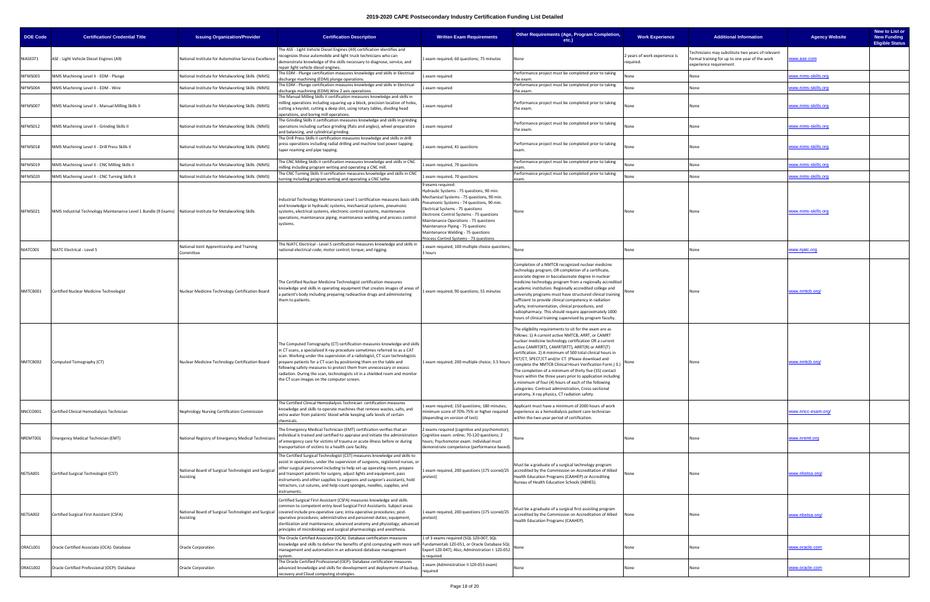| <b>DOE Code</b> | <b>Certification/ Credential Title</b>                                                                     | <b>Issuing Organization/Provider</b>                              | <b>Certification Description</b>                                                                                                                                                                                                                                                                                                                                                                                                                                                                               | <b>Written Exam Requirements</b>                                                                                                                                                                                                                                                                                                                                                                          | Other Requirements (Age, Program Completion,<br>etc.)                                                                                                                                                                                                                                                                                                                                                                                                                                                                                                                                                                                                                                               | <b>Work Experience</b>                     | <b>Additional Information</b>                                                                                                | <b>Agency Website</b> | New to List or<br><b>New Funding</b><br><b>Eligible Status</b> |
|-----------------|------------------------------------------------------------------------------------------------------------|-------------------------------------------------------------------|----------------------------------------------------------------------------------------------------------------------------------------------------------------------------------------------------------------------------------------------------------------------------------------------------------------------------------------------------------------------------------------------------------------------------------------------------------------------------------------------------------------|-----------------------------------------------------------------------------------------------------------------------------------------------------------------------------------------------------------------------------------------------------------------------------------------------------------------------------------------------------------------------------------------------------------|-----------------------------------------------------------------------------------------------------------------------------------------------------------------------------------------------------------------------------------------------------------------------------------------------------------------------------------------------------------------------------------------------------------------------------------------------------------------------------------------------------------------------------------------------------------------------------------------------------------------------------------------------------------------------------------------------------|--------------------------------------------|------------------------------------------------------------------------------------------------------------------------------|-----------------------|----------------------------------------------------------------|
| NIASE071        | ASE - Light Vehicle Diesel Engines (A9)                                                                    | National Institute for Automotive Service Excellence              | The ASE - Light Vehicle Diesel Engines (A9) certification identifies and<br>ecognizes those automobile and light truck technicians who can<br>demonstrate knowledge of the skills necessary to diagnose, service, and<br>repair light vehicle diesel engines.                                                                                                                                                                                                                                                  | Lexam required; 60 questions; 75 minutes                                                                                                                                                                                                                                                                                                                                                                  | None                                                                                                                                                                                                                                                                                                                                                                                                                                                                                                                                                                                                                                                                                                | 2 years of work experience is<br>required. | echnicians may substitute two years of relevant<br>formal training for up to one year of the work<br>experience requirement. | www.ase.com           |                                                                |
| NIFMS003        | VIMS Machining Level II - EDM - Plunge                                                                     | National Institute for Metalworking Skills (NIMS)                 | The EDM - Plunge certification measures knowledge and skills in Electrical<br>lischarge machining (EDM) plunge operations.                                                                                                                                                                                                                                                                                                                                                                                     | exam required                                                                                                                                                                                                                                                                                                                                                                                             | Performance project must be completed prior to taking<br>the exam.                                                                                                                                                                                                                                                                                                                                                                                                                                                                                                                                                                                                                                  | None                                       | None                                                                                                                         | ww.nims-skills.org    |                                                                |
| <b>NIFMS004</b> | NIMS Machining Level II - EDM - Wire                                                                       | National Institute for Metalworking Skills (NIMS)                 | The EDM - Plunge certification measures knowledge and skills in Electrical<br>discharge machining (EDM) Wire 2 axis operations.                                                                                                                                                                                                                                                                                                                                                                                | exam required                                                                                                                                                                                                                                                                                                                                                                                             | Performance project must be completed prior to taking<br>the exam.                                                                                                                                                                                                                                                                                                                                                                                                                                                                                                                                                                                                                                  | None                                       | None                                                                                                                         | ww.nims-skills.org    |                                                                |
| NIFMS007        | NIMS Machining Level II - Manual Milling Skills II                                                         | National Institute for Metalworking Skills (NIMS)                 | The Manual Milling Skills II certification measures knowledge and skills in<br>milling operations including squaring up a block, precision location of holes,<br>cutting a keyslot, cutting a deep slot, using rotary tables, dividing head                                                                                                                                                                                                                                                                    | exam required                                                                                                                                                                                                                                                                                                                                                                                             | Performance project must be completed prior to taking<br>the exam.                                                                                                                                                                                                                                                                                                                                                                                                                                                                                                                                                                                                                                  | None                                       | None                                                                                                                         | www.nims-skills.org   |                                                                |
| NIFMS012        | NIMS Machining Level II - Grinding Skills II                                                               | National Institute for Metalworking Skills (NIMS)                 | operations, and boring mill operations.<br>The Grinding Skills II certification measures knowledge and skills in grinding<br>operations including surface grinding (flats and angles), wheel preparation<br>nd balancing, and cylindrical grinding                                                                                                                                                                                                                                                             | 1 exam required                                                                                                                                                                                                                                                                                                                                                                                           | Performance project must be completed prior to taking<br>the exam.                                                                                                                                                                                                                                                                                                                                                                                                                                                                                                                                                                                                                                  | None                                       | None                                                                                                                         | ww.nims-skills.org    |                                                                |
| NIFMS018        | NIMS Machining Level II - Drill Press Skills II                                                            | National Institute for Metalworking Skills (NIMS)                 | The Drill Press Skills II certification measures knowledge and skills in drill<br>press operations including radial drilling and machine tool power tapping:<br>taper reaming and pipe tapping.                                                                                                                                                                                                                                                                                                                | exam required, 41 questions                                                                                                                                                                                                                                                                                                                                                                               | Performance project must be completed prior to taking<br>exam.                                                                                                                                                                                                                                                                                                                                                                                                                                                                                                                                                                                                                                      | None                                       | None                                                                                                                         | ww.nims-skills.org    |                                                                |
| NIFMS019        | VIMS Machining Level II - CNC Milling Skills II                                                            | National Institute for Metalworking Skills (NIMS)                 | The CNC Milling Skills II certification measures knowledge and skills in CNC<br>illing including program writing and operating a CNC mill.                                                                                                                                                                                                                                                                                                                                                                     | exam required, 70 questions                                                                                                                                                                                                                                                                                                                                                                               | Performance project must be completed prior to taking                                                                                                                                                                                                                                                                                                                                                                                                                                                                                                                                                                                                                                               | None                                       | None                                                                                                                         | ww.nims-skills.org    |                                                                |
| NIFMS020        | NIMS Machining Level II - CNC Turning Skills II                                                            | National Institute for Metalworking Skills (NIMS)                 | The CNC Turning Skills II certification measures knowledge and skills in CNC<br>urning including program writing and operating a CNC lathe.                                                                                                                                                                                                                                                                                                                                                                    | 1 exam required, 70 questions                                                                                                                                                                                                                                                                                                                                                                             | Performance project must be completed prior to taking<br><b>xam</b>                                                                                                                                                                                                                                                                                                                                                                                                                                                                                                                                                                                                                                 | None                                       | None                                                                                                                         | www.nims-skills.org   |                                                                |
| NIFMS021        | NIMS Industrial Technology Maintenance Level 1 Bundle (9 Exams) National Institute for Metalworking Skills |                                                                   | ndustrial Technology Maintenance Level 1 certification measures basic skills<br>and knowledge in hydraulic systems, mechanical systems, pneumonic<br>systems, electrical systems, electronic control systems, maintenance<br>operations, maintenance piping, maintenance welding and process control<br>systems.                                                                                                                                                                                               | 9 exams required:<br>Hydraulic Systems - 75 questions, 90 min.<br>Mechanical Systems - 75 questions, 90 min.<br>Pneumonic Systems - 74 questions, 90 min.<br>Electrical Systems - 75 questions<br>Electronic Control Systems - 75 questions<br>Maintenance Operations - 75 questions<br>Maintenance Piping - 75 questions<br>Maintenance Welding - 75 questions<br>Process Control Systems - 73 questions | None                                                                                                                                                                                                                                                                                                                                                                                                                                                                                                                                                                                                                                                                                                | None                                       |                                                                                                                              | www.nims-skills.org   |                                                                |
| NJATC001        | NJATC Electrical - Level 5                                                                                 | National Joint Apprenticeship and Training<br>Committee           | The NJATC Electrical - Level 5 certification measures knowledge and skills i<br>national electrical code; motor control; torque; and rigging.                                                                                                                                                                                                                                                                                                                                                                  | 1 exam required; 100 multiple choice questions;<br>3 hours                                                                                                                                                                                                                                                                                                                                                | None                                                                                                                                                                                                                                                                                                                                                                                                                                                                                                                                                                                                                                                                                                | None                                       | None                                                                                                                         | ww.njatc.org          |                                                                |
| NMTCB001        | Certified Nuclear Medicine Technologist                                                                    | Nuclear Medicine Technology Certification Board                   | The Certified Nuclear Medicine Technologist certification measures<br>mowledge and skills in operating equipment that creates images of areas o<br>a patient's body including preparing radioactive drugs and administering<br>them to patients.                                                                                                                                                                                                                                                               | Lexam required; 90 questions; 55 minutes                                                                                                                                                                                                                                                                                                                                                                  | Completion of a NMTCB recognized nuclear medicine<br>technology program; OR completion of a certificate,<br>associate degree or baccalaureate degree in nuclear<br>medicine technology program from a regionally accredited<br>academic institution. Regionally accredited college and<br>university programs must have structured clinical training<br>sufficient to provide clinical competency in radiation<br>safety, instrumentation, clinical procedures, and<br>radiopharmacy. This should require approximately 1000<br>hours of clinical training supervised by program faculty.                                                                                                           | None                                       | None                                                                                                                         | ww.nmtcb.org          |                                                                |
| NMTCB002        | Computed Tomography (CT)                                                                                   | Nuclear Medicine Technology Certification Board                   | The Computed Tomography (CT) certification measures knowledge and skills<br>n CT scans, a specialized X-ray procedure sometimes referred to as a CAT<br>scan. Working under the supervision of a radiologist, CT scan technologists<br>prepare patients for a CT scan by positioning them on the table and<br>ollowing safety measures to protect them from unnecessary or excess<br>adiation. During the scan, technologists sit in a shielded room and monitor<br>the CT scan images on the computer screen. | 1 exam required; 200 multiple choice; 3.5 hours                                                                                                                                                                                                                                                                                                                                                           | he eligibility requirements to sit for the exam are as<br>follows: 1) A current active NMTCB, ARRT, or CAMRT<br>nuclear medicine technology certification OR a current<br>active CAMRT(RT), CAMRT(RTT), ARRT(R) or ARRT(T)<br>certification. 2) A minimum of 500 total clinical hours in<br>PET/CT, SPECT/CT and/or CT. (Please download and<br>complete the NMTCB Clinical Hours Verification Form.) 3.)<br>The completion of a minimum of thirty five (35) contact<br>hours within the three years prior to application including<br>a minimum of four (4) hours of each of the following<br>categories: Contrast administration, Cross-sectional<br>anatomy, X-ray physics, CT radiation safety. | None                                       | None                                                                                                                         | www.nmtcb.org/        |                                                                |
| NNCCO001        | Certified Clinical Hemodialysis Technician                                                                 | Nephrology Nursing Certification Commission                       | The Certified Clinical Hemodialysis Technician certification measures<br>mowledge and skills to operate machines that remove wastes, salts, and<br>extra water from patients' blood while keeping safe levels of certain<br>:hemicals.                                                                                                                                                                                                                                                                         | exam required; 150 questions; 180 minutes;<br>minimum score of 70%-75% or higher required<br>(depending on version of test)                                                                                                                                                                                                                                                                               | Applicant must have a minimum of 2000 hours of work<br>experience as a hemodialysis patient care technician<br>within the two-year period of certification.                                                                                                                                                                                                                                                                                                                                                                                                                                                                                                                                         |                                            |                                                                                                                              | www.nncc-exam.org/    |                                                                |
| NREMT001        | Emergency Medical Technician (EMT)                                                                         | National Registry of Emergency Medical Technicians                | The Emergency Medical Technician (EMT) certification verifies that an<br>ndividual is trained and certified to appraise and initiate the administration<br>of emergency care for victims of trauma or acute illness before or during<br>transportation of victims to a health care facility.                                                                                                                                                                                                                   | 2 exams required (cognitive and psychomotor);<br>Cognitive exam: online; 70-120 questions; 2<br>hours; Psychomotor exam: Individual must<br>demonstrate competence (performance based).                                                                                                                                                                                                                   | lone                                                                                                                                                                                                                                                                                                                                                                                                                                                                                                                                                                                                                                                                                                | None                                       | None                                                                                                                         | www.nremt.org         |                                                                |
| NSTSA001        | Certified Surgical Technologist (CST)                                                                      | National Board of Surgical Technologist and Surgical<br>Assisting | The Certified Surgical Technologist (CST) measures knowledge and skills to<br>assist in operations, under the supervision of surgeons, registered nurses, or<br>other surgical personnel including to help set up operating room, prepare<br>and transport patients for surgery, adjust lights and equipment, pass<br>instruments and other supplies to surgeons and surgeon's assistants, hold<br>retractors, cut sutures, and help count sponges, needles, supplies, and<br>nstruments.                      | pretest)                                                                                                                                                                                                                                                                                                                                                                                                  | Must be a graduate of a surgical technology program<br>Lexam required, 200 questions (175 scored/25   accredited by the Commission on Accreditation of Allied<br>Health Education Programs (CAAHEP) or Accrediting<br>Bureau of Health Education Schools (ABHES).                                                                                                                                                                                                                                                                                                                                                                                                                                   | None                                       | None                                                                                                                         | www.nbstsa.org/       |                                                                |
| NSTSA002        | Certified Surgical First Assistant (CSFA)                                                                  | Assisting                                                         | Certified Surgical First Assistant (CSFA) measures knowledge and skills<br>common to competent entry-level Surgical First Assistants. Subject areas<br>National Board of Surgical Technologist and Surgical covered include pre-operative care; intra-operative procedures; post-<br>operative procedures; administrative and personnel duties; equipment,<br>sterilization and maintenance; advanced anatomy and physiology; advanced<br>principles of microbiology and surgical pharmacology and anesthesia. | 1 exam required, 200 questions (175 scored/25<br>pretest)                                                                                                                                                                                                                                                                                                                                                 | Must be a graduate of a surgical first assisting program<br>accredited by the Commission on Accreditation of Allied<br>Health Education Programs (CAAHEP).                                                                                                                                                                                                                                                                                                                                                                                                                                                                                                                                          | None                                       | None                                                                                                                         | www.nbstsa.org/       |                                                                |
| ORACL001        | Oracle Certified Associate (OCA): Database                                                                 | <b>Oracle Corporation</b>                                         | The Oracle Certified Associate (OCA): Database certification measures<br>mowledge and skills to deliver the benefits of grid computing with more self- Fundamentals 1Z0-051, or Oracle Database SQL<br>management and automation in an advanced database management<br>system.                                                                                                                                                                                                                                 | 1 of 3 exams required (SQL 1Z0-007, SQL<br>Expert 1Z0-047); Also, Administration I: 1Z0-052<br>is required                                                                                                                                                                                                                                                                                                |                                                                                                                                                                                                                                                                                                                                                                                                                                                                                                                                                                                                                                                                                                     | None                                       | None                                                                                                                         | <u>www.oracle.com</u> |                                                                |
| ORACL002        | Oracle Certified Professional (OCP): Database                                                              | <b>Oracle Corporation</b>                                         | The Oracle Certified Professional (OCP): Database certification measures<br>advanced knowledge and skills for development and deployment of backup,<br>recovery and Cloud computing strategies.                                                                                                                                                                                                                                                                                                                | 1 exam (Administration II 1Z0-053 exam)<br>required                                                                                                                                                                                                                                                                                                                                                       | None                                                                                                                                                                                                                                                                                                                                                                                                                                                                                                                                                                                                                                                                                                | None                                       | None                                                                                                                         | www.oracle.com        |                                                                |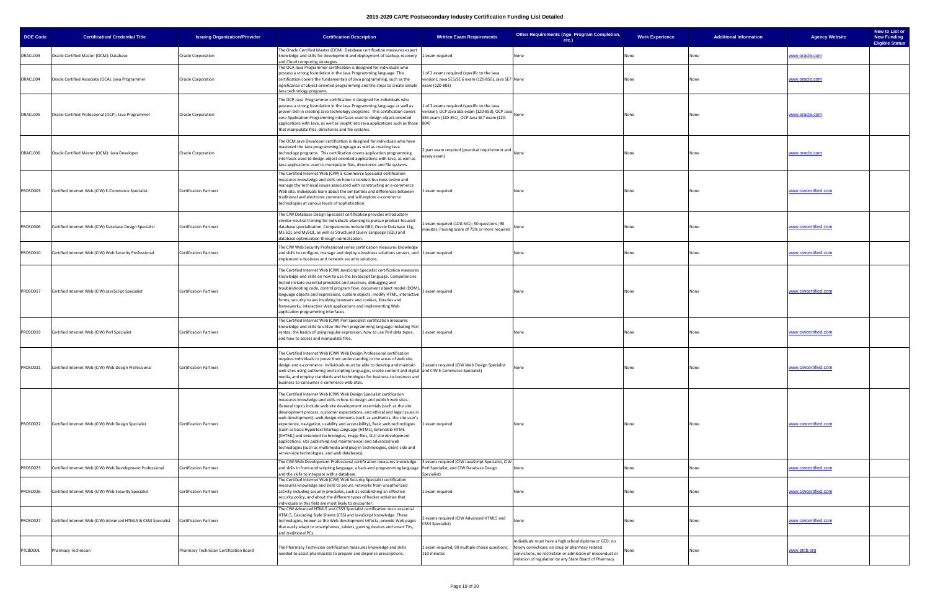| <b>DOE Code</b> | <b>Certification/ Credential Title</b>                        | <b>Issuing Organization/Provider</b>    | <b>Certification Description</b>                                                                                                                                                                                                                                                                                                                                                                                                                                                                                                                                                                                                                                                                                                                                                                                     | <b>Written Exam Requirements</b>                                                                                                              | Other Requirements (Age, Program Completion,<br>$etc.$ )                                                                                                                                                                          | <b>Work Experience</b> | <b>Additional Information</b> | New to List or<br><b>Agency Website</b><br><b>New Funding</b><br><b>Eligible Status</b> |
|-----------------|---------------------------------------------------------------|-----------------------------------------|----------------------------------------------------------------------------------------------------------------------------------------------------------------------------------------------------------------------------------------------------------------------------------------------------------------------------------------------------------------------------------------------------------------------------------------------------------------------------------------------------------------------------------------------------------------------------------------------------------------------------------------------------------------------------------------------------------------------------------------------------------------------------------------------------------------------|-----------------------------------------------------------------------------------------------------------------------------------------------|-----------------------------------------------------------------------------------------------------------------------------------------------------------------------------------------------------------------------------------|------------------------|-------------------------------|-----------------------------------------------------------------------------------------|
| ORACL003        | Oracle Certified Master (OCM): Database                       | <b>Oracle Corporation</b>               | The Oracle Certified Master (OCM): Database certification measures expert<br>knowledge and skills for development and deployment of backup, recovery 1 exam required<br>and Cloud computing strategies.                                                                                                                                                                                                                                                                                                                                                                                                                                                                                                                                                                                                              |                                                                                                                                               | None                                                                                                                                                                                                                              | None                   | None                          | www.oracle.com                                                                          |
| ORACL004        | Oracle Certified Associate (OCA): Java Programmer             | <b>Oracle Corporation</b>               | The OCA Java Programmer certification is designed for individuals who<br>possess a strong foundation in the Java Programming language. This<br>certification covers the fundamentals of Java programming, such as the<br>significance of object-oriented programming and the steps to create simple exam (120-803)<br>Java technology programs.                                                                                                                                                                                                                                                                                                                                                                                                                                                                      | 1 of 2 exams required (specific to the Java<br>version); Java SE5/SE 6 exam (1Z0-850), Java SE7 None                                          |                                                                                                                                                                                                                                   | None                   | None                          | www.oracle.com                                                                          |
| ORACL005        | Oracle Certified Professional (OCP): Java Programmer          | Oracle Corporation                      | The OCP Java Programmer certification is designed for individuals who<br>possess a strong foundation in the Java Programming language as well as<br>proven skill in creating Java technology programs. This certification covers<br>core Application Programming interfaces used to design object-oriented<br>applications with Java, as well as insight into Java applications such as those 804)<br>that manipulate files, directories and file systems.                                                                                                                                                                                                                                                                                                                                                           | 1 of 3 exams required (specific to the Java<br>version); OCP Java SE5 exam (1Z0-853), OCP Java<br>SE6 exam (1Z0-851), OCP Java SE7 exam (1Z0- | None                                                                                                                                                                                                                              | None                   | None                          | www.oracle.com                                                                          |
| ORACL006        | Oracle Certified Master (OCM): Java Developer                 | <b>Oracle Corporation</b>               | The OCM Java Developer certification is designed for individuals who have<br>mastered the Java programming language as well as creating Java<br>technology programs. This certification covers application programming<br>interfaces used to design object-oriented applications with Java, as well as<br>Java applications used to manipulate files, directories and file systems.                                                                                                                                                                                                                                                                                                                                                                                                                                  | 2 part exam required (practical requirement and<br>essay exam)                                                                                | None                                                                                                                                                                                                                              | None                   | None                          | www.oracle.com                                                                          |
| PROSO003        | Certified Internet Web (CIW) E-Commerce Specialist            | <b>Certification Partners</b>           | The Certified Internet Web (CIW) E-Commerce Specialist certification<br>measures knowledge and skills on how to conduct business online and<br>manage the technical issues associated with constructing an e-commerce<br>Web site. Individuals learn about the similarities and differences between<br>traditional and electronic commerce, and will explore e-commerce<br>technologies at various levels of sophistication.                                                                                                                                                                                                                                                                                                                                                                                         | 1 exam required                                                                                                                               | None                                                                                                                                                                                                                              | None                   | None                          | www.ciwcertified.com                                                                    |
| PROSO006        | Certified Internet Web (CIW) Database Design Specialist       | <b>Certification Partners</b>           | The CIW Database Design Specialist certification provides introductory<br>vendor-neutral training for individuals planning to pursue product-focused<br>database specialization. Competencies include DB2, Oracle Database 11g,<br>MS SQL and MySQL, as well as Structured Query Language (SQL) and<br>database optimization through normalization.                                                                                                                                                                                                                                                                                                                                                                                                                                                                  | exam required (1D0-541); 50 questions; 90<br>minutes; Passing score of 75% or more required                                                   | None                                                                                                                                                                                                                              | None                   | None                          | vww.ciwcertified.com                                                                    |
| PROSO010        | Certified Internet Web (CIW) Web Security Professional        | <b>Certification Partners</b>           | The CIW Web Security Professional series certification measures knowledge<br>and skills to configure, manage and deploy e-business solutions servers, and 1 exam required<br>implement e-business and network security solutions.                                                                                                                                                                                                                                                                                                                                                                                                                                                                                                                                                                                    |                                                                                                                                               | None                                                                                                                                                                                                                              | None                   |                               | vww.ciwcertified.com                                                                    |
| PROSO017        | Certified Internet Web (CIW) JavaScript Specialist            | <b>Certification Partners</b>           | The Certified Internet Web (CIW) JavaScript Specialist certification measures<br>knowledge and skills on how to use the JavaScript language. Competencies<br>tested include essential principles and practices, debugging and<br>troubleshooting code, control program flow, document object model (DOM),<br>language objects and expressions, custom objects, modify HTML, interactive<br>forms, security issues involving browsers and cookies, libraries and<br>frameworks, interactive Web applications and implementing Web<br>application programming interfaces.                                                                                                                                                                                                                                              | 1 exam required                                                                                                                               | None                                                                                                                                                                                                                              | None                   | None                          | www.ciwcertified.com                                                                    |
| PROSO019        | Certified Internet Web (CIW) Perl Specialist                  | <b>Certification Partners</b>           | The Certified Internet Web (CIW) Perl Specialist certification measures<br>knowledge and skills to utilize the Perl programming language including Perl<br>syntax, the basics of using regular expression, how to use Perl data types,<br>and how to access and manipulate files.                                                                                                                                                                                                                                                                                                                                                                                                                                                                                                                                    | 1 exam required                                                                                                                               | None                                                                                                                                                                                                                              | None                   | None                          | vww.ciwcertified.com                                                                    |
| PROSO021        | Certified Internet Web (CIW) Web Design Professional          | Certification Partners                  | The Certified Internet Web (CIW) Web Design Professional certification<br>requires individuals to prove their understanding in the areas of web site<br>design and e-commerce. Individuals must be able to develop and maintain<br>web sites using authoring and scripting languages, create content and digital and CIW E-Commerce Specialist)<br>media, and employ standards and technologies for business-to-business and<br>business-to-consumer e-commerce web sites.                                                                                                                                                                                                                                                                                                                                           | 2 exams required (CIW Web Design Specialist                                                                                                   |                                                                                                                                                                                                                                   |                        |                               | <u>ww.ciwcertified.com</u>                                                              |
| PROSO022        | Certified Internet Web (CIW) Web Design Specialist            | <b>Certification Partners</b>           | The Certified Internet Web (CIW) Web Design Specialist certification<br>measures knowledge and skills in how to design and publish web sites.<br>General topics include web site development essentials (such as the site<br>development process, customer expectations, and ethical and legal issues in<br>web development), web design elements (such as aesthetics, the site user's<br>experience, navigation, usability and accessibility), Basic web technologies<br>(such as basic Hypertext Markup Language [HTML], Extensible HTML<br>[XHTML] and extended technologies, image files, GUI site development<br>applications, site publishing and maintenance) and advanced web<br>technologies (such as multimedia and plug-in technologies, client-side and<br>server-side technologies, and web databases). | 1 exam required                                                                                                                               | None                                                                                                                                                                                                                              | None                   | None                          | www.ciwcertified.com                                                                    |
| PROSO023        | Certified Internet Web (CIW) Web Development Professional     | <b>Certification Partners</b>           | The CIW Web Development Professional certification measures knowledge 3 exams required (CIW JavaScript Specialist, CIW<br>and skills in front-end scripting language, a back-end programming language Perl Specialist, and CIW Database Design<br>and the skills to integrate with a database.                                                                                                                                                                                                                                                                                                                                                                                                                                                                                                                       | Specialist)                                                                                                                                   | None                                                                                                                                                                                                                              | None                   | None                          | www.ciwcertified.com                                                                    |
| PROSO026        | Certified Internet Web (CIW) Web Security Specialist          | <b>Certification Partners</b>           | The Certified Internet Web (CIW) Web Security Specialist certification<br>measures knowledge and skills to secure networks from unauthorized<br>activity including security principles, such as establishing an effective<br>security policy, and about the different types of hacker activities that<br>individuals in this field are most likely to encounter.                                                                                                                                                                                                                                                                                                                                                                                                                                                     | 1 exam required                                                                                                                               | None                                                                                                                                                                                                                              | None                   | None                          | www.ciwcertified.com                                                                    |
| PROSO027        | Certified Internet Web (CIW) Advanced HTML5 & CSS3 Specialist | <b>Certification Partners</b>           | The CIW Advanced HTML5 and CSS3 Specialist certification tests essential<br>HTML5, Cascading Style Sheets (CSS) and JavaScript knowledge. These<br>technologies, known as the Web development trifecta, provide Web pages<br>that easily adapt to smartphones, tablets, gaming devices and smart TVs,<br>and traditional PCs.                                                                                                                                                                                                                                                                                                                                                                                                                                                                                        | 2 exams required (CIW Advanced HTML5 and<br>CSS3 Specialist)                                                                                  | None                                                                                                                                                                                                                              | None                   | None                          | www.ciwcertified.com                                                                    |
| PTCBD001        | Pharmacy Technician                                           | Pharmacy Technician Certification Board | The Pharmacy Technician certification measures knowledge and skills<br>needed to assist pharmacists to prepare and dispense prescriptions.                                                                                                                                                                                                                                                                                                                                                                                                                                                                                                                                                                                                                                                                           | 1 exam required; 90 multiple choice questions;<br>110 minutes                                                                                 | Individuals must have a high school diploma or GED; no<br>felony convictions; no drug or pharmacy related<br>convictions, no restriction or admission of misconduct or<br>violation of regulation by any State Board of Pharmacy. |                        |                               | www.ptcb.org                                                                            |